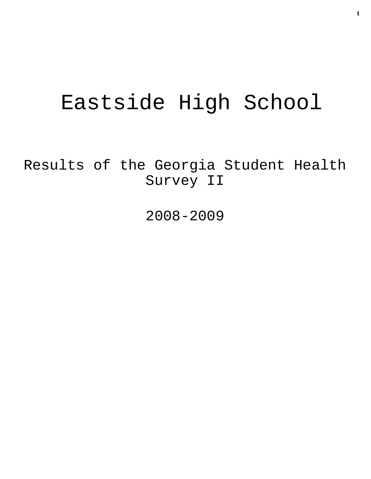# Eastside High School

Results of the Georgia Student Health Survey II

2008-2009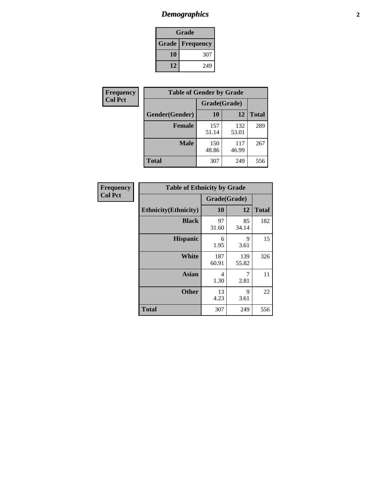# *Demographics* **2**

| Grade                    |     |  |  |  |
|--------------------------|-----|--|--|--|
| <b>Grade   Frequency</b> |     |  |  |  |
| 10                       | 307 |  |  |  |
| 12                       | 249 |  |  |  |

| <b>Frequency</b> | <b>Table of Gender by Grade</b> |              |              |              |  |
|------------------|---------------------------------|--------------|--------------|--------------|--|
| <b>Col Pct</b>   |                                 | Grade(Grade) |              |              |  |
|                  | Gender(Gender)                  | 10           | 12           | <b>Total</b> |  |
|                  | <b>Female</b>                   | 157<br>51.14 | 132<br>53.01 | 289          |  |
|                  | <b>Male</b>                     | 150<br>48.86 | 117<br>46.99 | 267          |  |
|                  | <b>Total</b>                    | 307          | 249          | 556          |  |

| Frequency<br>Col Pct |
|----------------------|
|                      |

| <b>Table of Ethnicity by Grade</b> |              |              |              |  |  |  |
|------------------------------------|--------------|--------------|--------------|--|--|--|
|                                    | Grade(Grade) |              |              |  |  |  |
| <b>Ethnicity</b> (Ethnicity)       | 10           | 12           | <b>Total</b> |  |  |  |
| <b>Black</b>                       | 97<br>31.60  | 85<br>34.14  | 182          |  |  |  |
| <b>Hispanic</b>                    | 6<br>1.95    | 9<br>3.61    | 15           |  |  |  |
| <b>White</b>                       | 187<br>60.91 | 139<br>55.82 | 326          |  |  |  |
| <b>Asian</b>                       | 4<br>1.30    | 7<br>2.81    | 11           |  |  |  |
| <b>Other</b>                       | 13<br>4.23   | 9<br>3.61    | 22           |  |  |  |
| <b>Total</b>                       | 307          | 249          | 556          |  |  |  |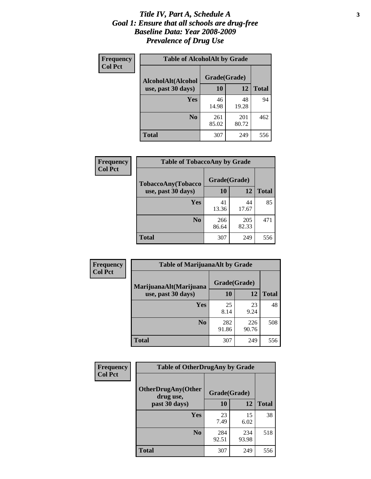#### *Title IV, Part A, Schedule A* **3** *Goal 1: Ensure that all schools are drug-free Baseline Data: Year 2008-2009 Prevalence of Drug Use*

| Frequency<br><b>Col Pct</b> | <b>Table of AlcoholAlt by Grade</b> |              |              |              |  |
|-----------------------------|-------------------------------------|--------------|--------------|--------------|--|
|                             | AlcoholAlt(Alcohol                  | Grade(Grade) |              |              |  |
|                             | use, past 30 days)                  | <b>10</b>    | 12           | <b>Total</b> |  |
|                             | <b>Yes</b>                          | 46<br>14.98  | 48<br>19.28  | 94           |  |
|                             | N <sub>0</sub>                      | 261<br>85.02 | 201<br>80.72 | 462          |  |
|                             | <b>Total</b>                        | 307          | 249          | 556          |  |

| Frequency<br><b>Col Pct</b> | <b>Table of TobaccoAny by Grade</b> |              |              |              |  |
|-----------------------------|-------------------------------------|--------------|--------------|--------------|--|
|                             | <b>TobaccoAny(Tobacco</b>           | Grade(Grade) |              |              |  |
|                             | use, past 30 days)                  | <b>10</b>    | 12           | <b>Total</b> |  |
|                             | Yes                                 | 41<br>13.36  | 44<br>17.67  | 85           |  |
|                             | N <sub>0</sub>                      | 266<br>86.64 | 205<br>82.33 | 471          |  |
|                             | Total                               | 307          | 249          | 556          |  |

| Frequency<br><b>Col Pct</b> | <b>Table of MarijuanaAlt by Grade</b> |              |              |              |  |
|-----------------------------|---------------------------------------|--------------|--------------|--------------|--|
|                             | MarijuanaAlt(Marijuana                | Grade(Grade) |              |              |  |
|                             | use, past 30 days)                    | 10           | 12           | <b>Total</b> |  |
|                             | <b>Yes</b>                            | 25<br>8.14   | 23<br>9.24   | 48           |  |
|                             | N <sub>0</sub>                        | 282<br>91.86 | 226<br>90.76 | 508          |  |
|                             | <b>Total</b>                          | 307          | 249          | 556          |  |

| <b>Frequency</b> | <b>Table of OtherDrugAny by Grade</b>  |              |              |              |  |
|------------------|----------------------------------------|--------------|--------------|--------------|--|
| <b>Col Pct</b>   | <b>OtherDrugAny(Other</b><br>drug use, | Grade(Grade) |              |              |  |
|                  | past 30 days)                          | 10           | 12           | <b>Total</b> |  |
|                  | Yes                                    | 23<br>7.49   | 15<br>6.02   | 38           |  |
|                  | N <sub>0</sub>                         | 284<br>92.51 | 234<br>93.98 | 518          |  |
|                  | <b>Total</b>                           | 307          | 249          | 556          |  |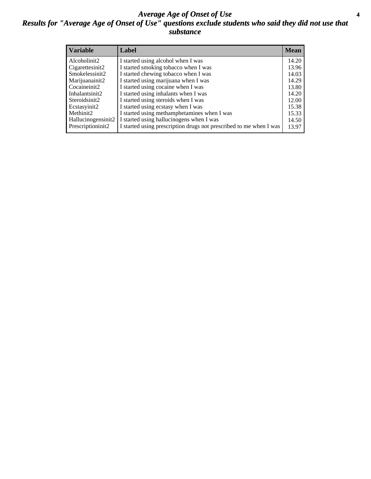#### *Average Age of Onset of Use* **4** *Results for "Average Age of Onset of Use" questions exclude students who said they did not use that substance*

| <b>Variable</b>    | Label                                                              | <b>Mean</b> |
|--------------------|--------------------------------------------------------------------|-------------|
| Alcoholinit2       | I started using alcohol when I was                                 | 14.20       |
| Cigarettesinit2    | I started smoking tobacco when I was                               | 13.96       |
| Smokelessinit2     | I started chewing tobacco when I was                               | 14.03       |
| Marijuanainit2     | I started using marijuana when I was                               | 14.29       |
| Cocaineinit2       | I started using cocaine when I was                                 | 13.80       |
| Inhalantsinit2     | I started using inhalants when I was                               | 14.20       |
| Steroidsinit2      | I started using steroids when I was                                | 12.00       |
| Ecstasyinit2       | I started using ecstasy when I was                                 | 15.38       |
| Methinit2          | I started using methamphetamines when I was                        | 15.33       |
| Hallucinogensinit2 | I started using hallucinogens when I was                           | 14.50       |
| Prescriptioninit2  | I started using prescription drugs not prescribed to me when I was | 13.97       |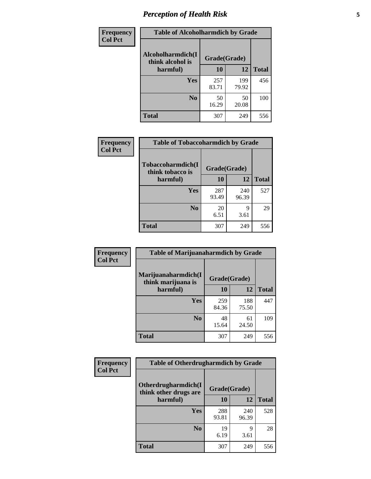# *Perception of Health Risk* **5**

| Frequency      | <b>Table of Alcoholharmdich by Grade</b> |              |              |              |  |
|----------------|------------------------------------------|--------------|--------------|--------------|--|
| <b>Col Pct</b> | Alcoholharmdich(I<br>think alcohol is    | Grade(Grade) |              |              |  |
|                | harmful)                                 | 10           | 12           | <b>Total</b> |  |
|                | <b>Yes</b>                               | 257<br>83.71 | 199<br>79.92 | 456          |  |
|                | N <sub>0</sub>                           | 50<br>16.29  | 50<br>20.08  | 100          |  |
|                | <b>Total</b>                             | 307          | 249          | 556          |  |

| <b>Frequency</b> | <b>Table of Tobaccoharmdich by Grade</b> |              |              |              |  |
|------------------|------------------------------------------|--------------|--------------|--------------|--|
| <b>Col Pct</b>   | Tobaccoharmdich(I<br>think tobacco is    | Grade(Grade) |              |              |  |
|                  | harmful)                                 | 10           | 12           | <b>Total</b> |  |
|                  | Yes                                      | 287<br>93.49 | 240<br>96.39 | 527          |  |
|                  | N <sub>0</sub>                           | 20<br>6.51   | 9<br>3.61    | 29           |  |
|                  | <b>Total</b>                             | 307          | 249          | 556          |  |

| Frequency<br><b>Col Pct</b> | <b>Table of Marijuanaharmdich by Grade</b>                |              |              |              |  |  |
|-----------------------------|-----------------------------------------------------------|--------------|--------------|--------------|--|--|
|                             | Marijuanaharmdich(I<br>Grade(Grade)<br>think marijuana is |              |              |              |  |  |
|                             | harmful)                                                  | 10           | 12           | <b>Total</b> |  |  |
|                             | Yes                                                       | 259<br>84.36 | 188<br>75.50 | 447          |  |  |
|                             | N <sub>0</sub>                                            | 48<br>15.64  | 61<br>24.50  | 109          |  |  |
|                             | <b>Total</b>                                              | 307          | 249          | 556          |  |  |

| Frequency<br><b>Col Pct</b> | <b>Table of Otherdrugharmdich by Grade</b>                   |              |              |              |  |  |  |  |
|-----------------------------|--------------------------------------------------------------|--------------|--------------|--------------|--|--|--|--|
|                             | Otherdrugharmdich(I<br>Grade(Grade)<br>think other drugs are |              |              |              |  |  |  |  |
|                             | harmful)                                                     | 10           | 12           | <b>Total</b> |  |  |  |  |
|                             | <b>Yes</b>                                                   | 288<br>93.81 | 240<br>96.39 | 528          |  |  |  |  |
|                             | N <sub>0</sub>                                               | 19<br>6.19   | Q<br>3.61    | 28           |  |  |  |  |
|                             | <b>Total</b>                                                 | 307          | 249          | 556          |  |  |  |  |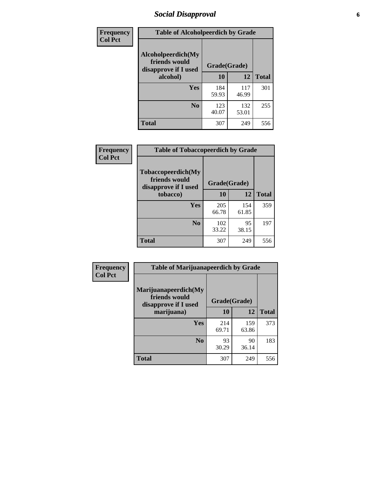# *Social Disapproval* **6**

| Frequency      | <b>Table of Alcoholpeerdich by Grade</b>                    |              |              |              |  |  |  |  |
|----------------|-------------------------------------------------------------|--------------|--------------|--------------|--|--|--|--|
| <b>Col Pct</b> | Alcoholpeerdich(My<br>friends would<br>disapprove if I used | Grade(Grade) |              |              |  |  |  |  |
|                | alcohol)                                                    | 10           | 12           | <b>Total</b> |  |  |  |  |
|                | <b>Yes</b>                                                  | 184<br>59.93 | 117<br>46.99 | 301          |  |  |  |  |
|                | N <sub>0</sub>                                              | 123<br>40.07 | 132<br>53.01 | 255          |  |  |  |  |
|                | <b>Total</b>                                                | 307          | 249          | 556          |  |  |  |  |

| <b>Frequency</b> |
|------------------|
| <b>Col Pct</b>   |

| <b>Table of Tobaccopeerdich by Grade</b>                    |              |              |              |  |  |  |  |
|-------------------------------------------------------------|--------------|--------------|--------------|--|--|--|--|
| Tobaccopeerdich(My<br>friends would<br>disapprove if I used | Grade(Grade) |              |              |  |  |  |  |
| tobacco)                                                    | 10           | 12           | <b>Total</b> |  |  |  |  |
| Yes                                                         | 205<br>66.78 | 154<br>61.85 | 359          |  |  |  |  |
| N <sub>0</sub>                                              | 102<br>33.22 | 95<br>38.15  | 197          |  |  |  |  |
| <b>Total</b>                                                | 307          | 249          | 556          |  |  |  |  |

| <b>Frequency</b> | <b>Table of Marijuanapeerdich by Grade</b>                    |              |              |              |  |  |  |  |
|------------------|---------------------------------------------------------------|--------------|--------------|--------------|--|--|--|--|
| <b>Col Pct</b>   | Marijuanapeerdich(My<br>friends would<br>disapprove if I used | Grade(Grade) |              |              |  |  |  |  |
|                  | marijuana)                                                    | 10           | 12           | <b>Total</b> |  |  |  |  |
|                  | <b>Yes</b>                                                    | 214<br>69.71 | 159<br>63.86 | 373          |  |  |  |  |
|                  | N <sub>0</sub>                                                | 93<br>30.29  | 90<br>36.14  | 183          |  |  |  |  |
|                  | <b>Total</b>                                                  | 307          | 249          | 556          |  |  |  |  |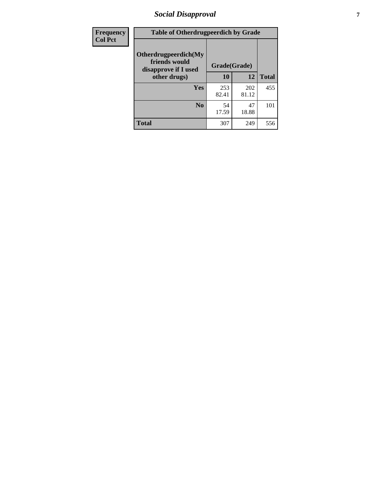# *Social Disapproval* **7**

| Frequency      | <b>Table of Otherdrugpeerdich by Grade</b>                    |              |              |              |  |  |  |  |
|----------------|---------------------------------------------------------------|--------------|--------------|--------------|--|--|--|--|
| <b>Col Pct</b> | Otherdrugpeerdich(My<br>friends would<br>disapprove if I used | Grade(Grade) |              |              |  |  |  |  |
|                | other drugs)                                                  | 10           | 12           | <b>Total</b> |  |  |  |  |
|                | Yes                                                           | 253<br>82.41 | 202<br>81.12 | 455          |  |  |  |  |
|                | N <sub>0</sub>                                                | 54<br>17.59  | 47<br>18.88  | 101          |  |  |  |  |
|                | <b>Total</b>                                                  | 307          | 249          | 556          |  |  |  |  |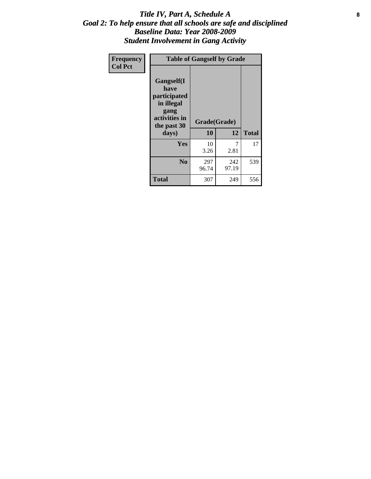### Title IV, Part A, Schedule A **8** *Goal 2: To help ensure that all schools are safe and disciplined Baseline Data: Year 2008-2009 Student Involvement in Gang Activity*

| Frequency      | <b>Table of Gangself by Grade</b>                                                                         |                    |              |              |
|----------------|-----------------------------------------------------------------------------------------------------------|--------------------|--------------|--------------|
| <b>Col Pct</b> | <b>Gangself</b> (I<br>have<br>participated<br>in illegal<br>gang<br>activities in<br>the past 30<br>days) | Grade(Grade)<br>10 | 12           | <b>Total</b> |
|                | Yes                                                                                                       | 10<br>3.26         | 7<br>2.81    | 17           |
|                | N <sub>0</sub>                                                                                            | 297<br>96.74       | 242<br>97.19 | 539          |
|                | <b>Total</b>                                                                                              | 307                | 249          | 556          |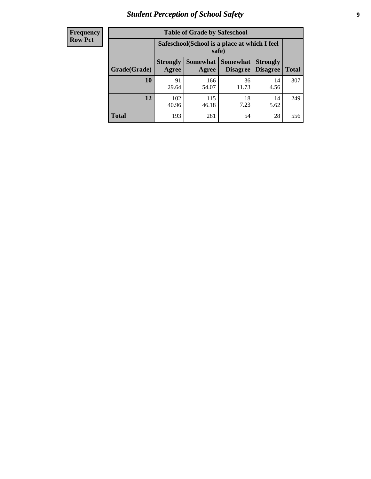# *Student Perception of School Safety* **9**

| <b>Frequency</b><br>Row Pct |
|-----------------------------|
|                             |

| <b>Table of Grade by Safeschool</b> |                                                                                                                                                  |                                                       |             |            |     |  |  |
|-------------------------------------|--------------------------------------------------------------------------------------------------------------------------------------------------|-------------------------------------------------------|-------------|------------|-----|--|--|
|                                     |                                                                                                                                                  | Safeschool(School is a place at which I feel<br>safe) |             |            |     |  |  |
| Grade(Grade)                        | <b>Somewhat</b><br><b>Somewhat</b><br><b>Strongly</b><br><b>Strongly</b><br><b>Disagree</b><br><b>Disagree</b><br><b>Total</b><br>Agree<br>Agree |                                                       |             |            |     |  |  |
| <b>10</b>                           | 91<br>29.64                                                                                                                                      | 166<br>54.07                                          | 36<br>11.73 | 14<br>4.56 | 307 |  |  |
| 12                                  | 102<br>40.96                                                                                                                                     | 115<br>46.18                                          | 18<br>7.23  | 14<br>5.62 | 249 |  |  |
| <b>Total</b>                        | 193                                                                                                                                              | 281                                                   | 54          | 28         | 556 |  |  |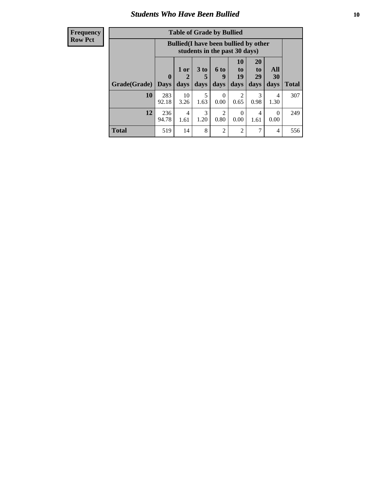### *Students Who Have Been Bullied* **10**

| <b>Frequency</b> |
|------------------|
| Row Pct          |

| <b>Table of Grade by Bullied</b> |                            |                                                                               |                   |                              |                               |                        |                   |              |
|----------------------------------|----------------------------|-------------------------------------------------------------------------------|-------------------|------------------------------|-------------------------------|------------------------|-------------------|--------------|
|                                  |                            | <b>Bullied</b> (I have been bullied by other<br>students in the past 30 days) |                   |                              |                               |                        |                   |              |
| Grade(Grade)                     | $\mathbf 0$<br><b>Days</b> | 1 or<br>2<br>days                                                             | 3 to<br>5<br>days | 6 <sub>to</sub><br>9<br>days | <b>10</b><br>to<br>19<br>days | 20<br>to<br>29<br>days | All<br>30<br>days | <b>Total</b> |
| 10                               | 283<br>92.18               | 10<br>3.26                                                                    | 5<br>1.63         | $\Omega$<br>0.00             | 2<br>0.65                     | 3<br>0.98              | 4<br>1.30         | 307          |
| 12                               | 236<br>94.78               | 4<br>1.61                                                                     | 3<br>1.20         | 2<br>0.80                    | $\Omega$<br>0.00              | 4<br>1.61              | 0<br>0.00         | 249          |
| <b>Total</b>                     | 519                        | 14                                                                            | 8                 | $\overline{2}$               | 2                             | 7                      | 4                 | 556          |

 $\blacksquare$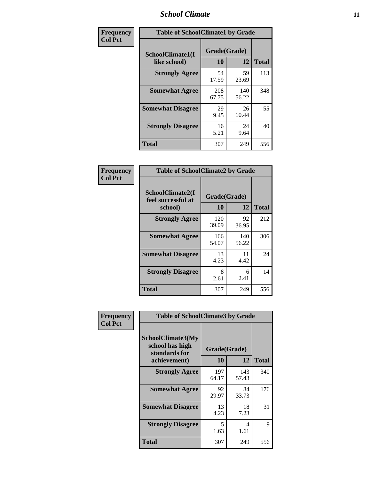### *School Climate* **11**

| Frequency      | <b>Table of SchoolClimate1 by Grade</b> |                    |              |              |  |  |  |
|----------------|-----------------------------------------|--------------------|--------------|--------------|--|--|--|
| <b>Col Pct</b> | SchoolClimate1(I<br>like school)        | Grade(Grade)<br>10 | 12           | <b>Total</b> |  |  |  |
|                | <b>Strongly Agree</b>                   | 54<br>17.59        | 59<br>23.69  | 113          |  |  |  |
|                | <b>Somewhat Agree</b>                   | 208<br>67.75       | 140<br>56.22 | 348          |  |  |  |
|                | <b>Somewhat Disagree</b>                | 29<br>9.45         | 26<br>10.44  | 55           |  |  |  |
|                | <b>Strongly Disagree</b>                | 16<br>5.21         | 24<br>9.64   | 40           |  |  |  |
|                | Total                                   | 307                | 249          | 556          |  |  |  |

| <b>Frequency</b> | <b>Table of SchoolClimate2 by Grade</b>           |                    |              |              |
|------------------|---------------------------------------------------|--------------------|--------------|--------------|
| <b>Col Pct</b>   | SchoolClimate2(I<br>feel successful at<br>school) | Grade(Grade)<br>10 | 12           | <b>Total</b> |
|                  | <b>Strongly Agree</b>                             | 120<br>39.09       | 92<br>36.95  | 212          |
|                  | <b>Somewhat Agree</b>                             | 166<br>54.07       | 140<br>56.22 | 306          |
|                  | <b>Somewhat Disagree</b>                          | 13<br>4.23         | 11<br>4.42   | 24           |
|                  | <b>Strongly Disagree</b>                          | 8<br>2.61          | 6<br>2.41    | 14           |
|                  | <b>Total</b>                                      | 307                | 249          | 556          |

| Frequency<br><b>Col Pct</b> | <b>Table of SchoolClimate3 by Grade</b>               |              |              |              |  |
|-----------------------------|-------------------------------------------------------|--------------|--------------|--------------|--|
|                             | SchoolClimate3(My<br>school has high<br>standards for | Grade(Grade) |              |              |  |
|                             | achievement)                                          | 10           | 12           | <b>Total</b> |  |
|                             | <b>Strongly Agree</b>                                 | 197<br>64.17 | 143<br>57.43 | 340          |  |
|                             | <b>Somewhat Agree</b>                                 | 92<br>29.97  | 84<br>33.73  | 176          |  |
|                             | <b>Somewhat Disagree</b>                              | 13<br>4.23   | 18<br>7.23   | 31           |  |
|                             | <b>Strongly Disagree</b>                              | 5<br>1.63    | 4<br>1.61    | 9            |  |
|                             | Total                                                 | 307          | 249          | 556          |  |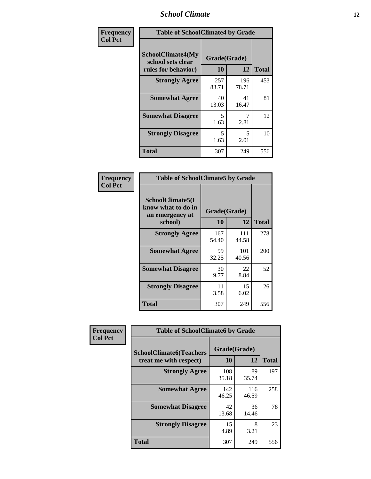### *School Climate* **12**

| Frequency      |                                                                      | <b>Table of SchoolClimate4 by Grade</b> |              |              |  |
|----------------|----------------------------------------------------------------------|-----------------------------------------|--------------|--------------|--|
| <b>Col Pct</b> | <b>SchoolClimate4(My</b><br>school sets clear<br>rules for behavior) | Grade(Grade)<br>10                      | 12           | <b>Total</b> |  |
|                | <b>Strongly Agree</b>                                                | 257<br>83.71                            | 196<br>78.71 | 453          |  |
|                | <b>Somewhat Agree</b>                                                | 40<br>13.03                             | 41<br>16.47  | 81           |  |
|                | <b>Somewhat Disagree</b>                                             | 5<br>1.63                               | 7<br>2.81    | 12           |  |
|                | <b>Strongly Disagree</b>                                             | 5<br>1.63                               | 5<br>2.01    | 10           |  |
|                | <b>Total</b>                                                         | 307                                     | 249          | 556          |  |

| <b>Table of SchoolClimate5 by Grade</b>                              |                    |              |              |  |
|----------------------------------------------------------------------|--------------------|--------------|--------------|--|
| SchoolClimate5(I<br>know what to do in<br>an emergency at<br>school) | Grade(Grade)<br>10 | 12           | <b>Total</b> |  |
| <b>Strongly Agree</b>                                                | 167                | 111          | 278          |  |
|                                                                      | 54.40              | 44.58        |              |  |
| <b>Somewhat Agree</b>                                                | 99<br>32.25        | 101<br>40.56 | 200          |  |
| <b>Somewhat Disagree</b>                                             | 30<br>9.77         | 22<br>8.84   | 52           |  |
| <b>Strongly Disagree</b>                                             | 11<br>3.58         | 15<br>6.02   | 26           |  |
| <b>Total</b>                                                         | 307                | 249          | 556          |  |

| Frequency      | <b>Table of SchoolClimate6 by Grade</b>                  |                    |              |              |
|----------------|----------------------------------------------------------|--------------------|--------------|--------------|
| <b>Col Pct</b> | <b>SchoolClimate6(Teachers</b><br>treat me with respect) | Grade(Grade)<br>10 | 12           | <b>Total</b> |
|                | <b>Strongly Agree</b>                                    | 108<br>35.18       | 89<br>35.74  | 197          |
|                | <b>Somewhat Agree</b>                                    | 142<br>46.25       | 116<br>46.59 | 258          |
|                | <b>Somewhat Disagree</b>                                 | 42<br>13.68        | 36<br>14.46  | 78           |
|                | <b>Strongly Disagree</b>                                 | 15<br>4.89         | 8<br>3.21    | 23           |
|                | <b>Total</b>                                             | 307                | 249          | 556          |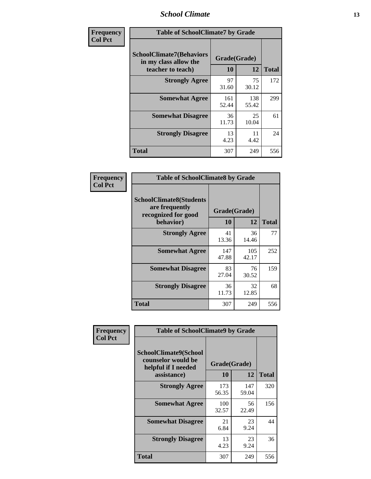### *School Climate* **13**

| Frequency      | <b>Table of SchoolClimate7 by Grade</b>                                       |                           |              |              |
|----------------|-------------------------------------------------------------------------------|---------------------------|--------------|--------------|
| <b>Col Pct</b> | <b>SchoolClimate7(Behaviors</b><br>in my class allow the<br>teacher to teach) | Grade(Grade)<br><b>10</b> | 12           | <b>Total</b> |
|                | <b>Strongly Agree</b>                                                         | 97<br>31.60               | 75<br>30.12  | 172          |
|                | <b>Somewhat Agree</b>                                                         | 161<br>52.44              | 138<br>55.42 | 299          |
|                | <b>Somewhat Disagree</b>                                                      | 36<br>11.73               | 25<br>10.04  | 61           |
|                | <b>Strongly Disagree</b>                                                      | 13<br>4.23                | 11<br>4.42   | 24           |
|                | <b>Total</b>                                                                  | 307                       | 249          | 556          |

| Frequency      | <b>Table of SchoolClimate8 by Grade</b>                                              |                    |              |              |
|----------------|--------------------------------------------------------------------------------------|--------------------|--------------|--------------|
| <b>Col Pct</b> | <b>SchoolClimate8(Students</b><br>are frequently<br>recognized for good<br>behavior) | Grade(Grade)<br>10 | 12           | <b>Total</b> |
|                | <b>Strongly Agree</b>                                                                | 41<br>13.36        | 36<br>14.46  | 77           |
|                | <b>Somewhat Agree</b>                                                                | 147<br>47.88       | 105<br>42.17 | 252          |
|                | <b>Somewhat Disagree</b>                                                             | 83<br>27.04        | 76<br>30.52  | 159          |
|                | <b>Strongly Disagree</b>                                                             | 36<br>11.73        | 32<br>12.85  | 68           |
|                | <b>Total</b>                                                                         | 307                | 249          | 556          |

| Frequency      | <b>Table of SchoolClimate9 by Grade</b>                            |              |              |              |
|----------------|--------------------------------------------------------------------|--------------|--------------|--------------|
| <b>Col Pct</b> | SchoolClimate9(School<br>counselor would be<br>helpful if I needed | Grade(Grade) |              |              |
|                | assistance)                                                        | 10           | 12           | <b>Total</b> |
|                | <b>Strongly Agree</b>                                              | 173<br>56.35 | 147<br>59.04 | 320          |
|                | <b>Somewhat Agree</b>                                              | 100<br>32.57 | 56<br>22.49  | 156          |
|                | <b>Somewhat Disagree</b>                                           | 21<br>6.84   | 23<br>9.24   | 44           |
|                | <b>Strongly Disagree</b>                                           | 13<br>4.23   | 23<br>9.24   | 36           |
|                | Total                                                              | 307          | 249          | 556          |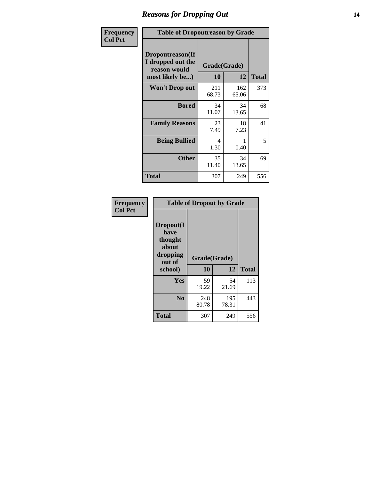### *Reasons for Dropping Out* **14**

| Frequency      | <b>Table of Dropoutreason by Grade</b>                                   |              |                    |              |
|----------------|--------------------------------------------------------------------------|--------------|--------------------|--------------|
| <b>Col Pct</b> | Dropoutreason(If<br>I dropped out the<br>reason would<br>most likely be) | 10           | Grade(Grade)<br>12 | <b>Total</b> |
|                | <b>Won't Drop out</b>                                                    | 211<br>68.73 | 162<br>65.06       | 373          |
|                | <b>Bored</b>                                                             | 34<br>11.07  | 34<br>13.65        | 68           |
|                | <b>Family Reasons</b>                                                    | 23<br>7.49   | 18<br>7.23         | 41           |
|                | <b>Being Bullied</b>                                                     | 4<br>1.30    | 0.40               | 5            |
|                | <b>Other</b>                                                             | 35<br>11.40  | 34<br>13.65        | 69           |
|                | <b>Total</b>                                                             | 307          | 249                | 556          |

| Frequency      | <b>Table of Dropout by Grade</b>                                       |                    |              |              |  |
|----------------|------------------------------------------------------------------------|--------------------|--------------|--------------|--|
| <b>Col Pct</b> | Dropout(I<br>have<br>thought<br>about<br>dropping<br>out of<br>school) | Grade(Grade)<br>10 | 12           | <b>Total</b> |  |
|                | Yes                                                                    | 59                 | 54           | 113          |  |
|                |                                                                        | 19.22              | 21.69        |              |  |
|                | N <sub>0</sub>                                                         | 248<br>80.78       | 195<br>78.31 | 443          |  |
|                | <b>Total</b>                                                           | 307                | 249          | 556          |  |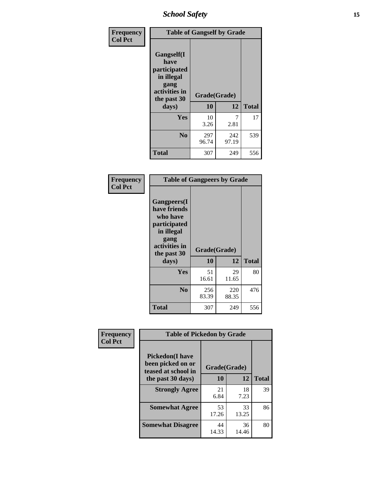*School Safety* **15**

| Frequency      |                                                                                                   | <b>Table of Gangself by Grade</b> |              |              |  |
|----------------|---------------------------------------------------------------------------------------------------|-----------------------------------|--------------|--------------|--|
| <b>Col Pct</b> | Gangself(I<br>have<br>participated<br>in illegal<br>gang<br>activities in<br>the past 30<br>days) | Grade(Grade)<br>10<br>12          |              | <b>Total</b> |  |
|                | Yes                                                                                               | 10<br>3.26                        | 7<br>2.81    | 17           |  |
|                | N <sub>0</sub>                                                                                    | 297<br>96.74                      | 242<br>97.19 | 539          |  |
|                | <b>Total</b>                                                                                      | 307                               | 249          | 556          |  |

| Frequency<br><b>Col Pct</b> | <b>Table of Gangpeers by Grade</b>                                                                                             |                    |              |              |
|-----------------------------|--------------------------------------------------------------------------------------------------------------------------------|--------------------|--------------|--------------|
|                             | <b>Gangpeers</b> (I<br>have friends<br>who have<br>participated<br>in illegal<br>gang<br>activities in<br>the past 30<br>days) | Grade(Grade)<br>10 | 12           | <b>Total</b> |
|                             | Yes                                                                                                                            | 51<br>16.61        | 29<br>11.65  | 80           |
|                             | N <sub>0</sub>                                                                                                                 | 256<br>83.39       | 220<br>88.35 | 476          |
|                             | <b>Total</b>                                                                                                                   | 307                | 249          | 556          |

| Frequency      | <b>Table of Pickedon by Grade</b>                                  |              |             |              |  |  |  |  |  |
|----------------|--------------------------------------------------------------------|--------------|-------------|--------------|--|--|--|--|--|
| <b>Col Pct</b> | <b>Pickedon(I have</b><br>been picked on or<br>teased at school in | Grade(Grade) |             |              |  |  |  |  |  |
|                | the past 30 days)                                                  | 10           | 12          | <b>Total</b> |  |  |  |  |  |
|                | <b>Strongly Agree</b>                                              | 21<br>6.84   | 18<br>7.23  | 39           |  |  |  |  |  |
|                | <b>Somewhat Agree</b>                                              | 53<br>17.26  | 33<br>13.25 | 86           |  |  |  |  |  |
|                | <b>Somewhat Disagree</b>                                           | 44<br>14.33  | 36<br>14.46 | 80           |  |  |  |  |  |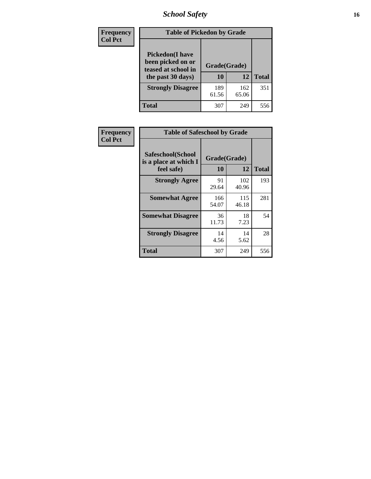# *School Safety* **16**

| Frequency      | <b>Table of Pickedon by Grade</b>                                                        |                    |              |              |
|----------------|------------------------------------------------------------------------------------------|--------------------|--------------|--------------|
| <b>Col Pct</b> | <b>Pickedon</b> (I have<br>been picked on or<br>teased at school in<br>the past 30 days) | Grade(Grade)<br>10 | 12           | <b>Total</b> |
|                | <b>Strongly Disagree</b>                                                                 | 189<br>61.56       | 162<br>65.06 | 351          |
|                | Total                                                                                    | 307                | 249          | 556          |

| <b>Frequency</b> | <b>Table of Safeschool by Grade</b>        |              |              |              |
|------------------|--------------------------------------------|--------------|--------------|--------------|
| <b>Col Pct</b>   | Safeschool(School<br>is a place at which I | Grade(Grade) |              |              |
|                  | feel safe)                                 | 10           | 12           | <b>Total</b> |
|                  | <b>Strongly Agree</b>                      | 91<br>29.64  | 102<br>40.96 | 193          |
|                  | <b>Somewhat Agree</b>                      | 166<br>54.07 | 115<br>46.18 | 281          |
|                  | <b>Somewhat Disagree</b>                   | 36<br>11.73  | 18<br>7.23   | 54           |
|                  | <b>Strongly Disagree</b>                   | 14<br>4.56   | 14<br>5.62   | 28           |
|                  | <b>Total</b>                               | 307          | 249          | 556          |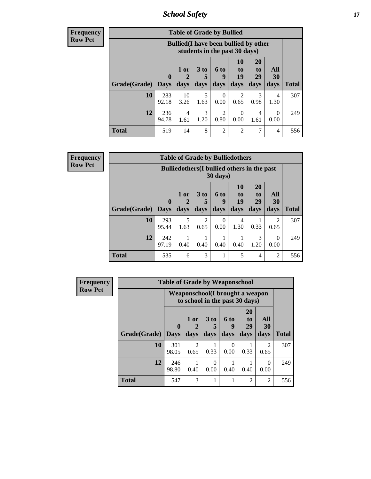*School Safety* **17**

| Frequency |  |
|-----------|--|
| Row Pct   |  |

| <b>Table of Grade by Bullied</b> |              |                                                                               |                      |                |                |                       |           |              |  |  |  |  |
|----------------------------------|--------------|-------------------------------------------------------------------------------|----------------------|----------------|----------------|-----------------------|-----------|--------------|--|--|--|--|
|                                  |              | <b>Bullied</b> (I have been bullied by other<br>students in the past 30 days) |                      |                |                |                       |           |              |  |  |  |  |
|                                  | $\mathbf{0}$ | $1$ or $ $                                                                    | 3 <sub>to</sub><br>5 | 6 to<br>9      | 10<br>to<br>19 | <b>20</b><br>to<br>29 | All<br>30 |              |  |  |  |  |
| Grade(Grade)                     | <b>Days</b>  | days                                                                          | days                 | days           | days           | days                  | days      | <b>Total</b> |  |  |  |  |
| 10                               | 283<br>92.18 | 10<br>3.26                                                                    | 5<br>1.63            | 0<br>0.00      | 0.65           | 3<br>0.98             | 4<br>1.30 | 307          |  |  |  |  |
| 12                               | 236<br>94.78 | 4<br>1.61                                                                     | 3<br>1.20            | 2<br>0.80      | 0<br>0.00      | 4<br>1.61             | 0<br>0.00 | 249          |  |  |  |  |
| <b>Total</b>                     | 519          | 14                                                                            | 8                    | $\overline{c}$ | 2              | 7                     | 4         | 556          |  |  |  |  |

| Frequency      |              |                                                                         | <b>Table of Grade by Bulliedothers</b> |                         |                   |                               |                               |                   |              |  |
|----------------|--------------|-------------------------------------------------------------------------|----------------------------------------|-------------------------|-------------------|-------------------------------|-------------------------------|-------------------|--------------|--|
| <b>Row Pct</b> |              | <b>Bulliedothers</b> (I bullied others in the past<br>$30 \text{ days}$ |                                        |                         |                   |                               |                               |                   |              |  |
|                | Grade(Grade) | $\mathbf{0}$<br><b>Days</b>                                             | 1 or<br>days                           | 3 <sub>to</sub><br>days | 6 to<br>9<br>days | <b>10</b><br>to<br>19<br>days | <b>20</b><br>to<br>29<br>days | All<br>30<br>days | <b>Total</b> |  |
|                | 10           | 293<br>95.44                                                            | 5<br>1.63                              | 2<br>0.65               | $\Omega$<br>0.00  | 4<br>1.30                     | 0.33                          | 2<br>0.65         | 307          |  |
|                | 12           | 242<br>97.19                                                            | 0.40                                   | 0.40                    | 0.40              | 0.40                          | 3<br>1.20                     | $\Omega$<br>0.00  | 249          |  |
|                | <b>Total</b> | 535                                                                     | 6                                      | 3                       | 1                 | 5                             | 4                             | $\overline{2}$    | 556          |  |

| <b>Frequency</b> | <b>Table of Grade by Weaponschool</b> |                             |                                                                   |                  |                   |                                           |                   |              |  |
|------------------|---------------------------------------|-----------------------------|-------------------------------------------------------------------|------------------|-------------------|-------------------------------------------|-------------------|--------------|--|
| <b>Row Pct</b>   |                                       |                             | Weaponschool(I brought a weapon<br>to school in the past 30 days) |                  |                   |                                           |                   |              |  |
|                  | Grade(Grade)                          | $\mathbf{0}$<br><b>Days</b> | 1 or<br>days                                                      | 3 to<br>days     | 6 to<br>9<br>days | <b>20</b><br>t <sub>0</sub><br>29<br>days | All<br>30<br>days | <b>Total</b> |  |
|                  | 10                                    | 301<br>98.05                | $\mathfrak{D}$<br>0.65                                            | 0.33             | 0<br>0.00         | 0.33                                      | 2<br>0.65         | 307          |  |
|                  | 12                                    | 246<br>98.80                | 0.40                                                              | $\Omega$<br>0.00 | 0.40              | 0.40                                      | $\Omega$<br>0.00  | 249          |  |
|                  | <b>Total</b>                          | 547                         | 3                                                                 |                  |                   | $\mathfrak{D}$                            | $\overline{2}$    | 556          |  |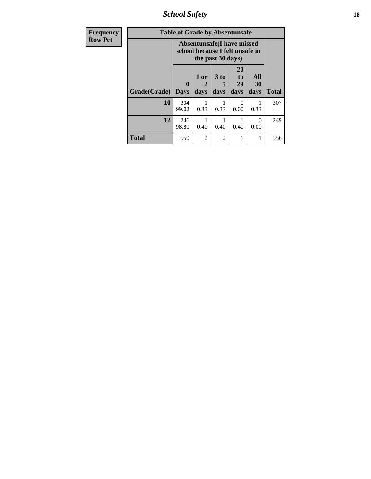*School Safety* **18**

| <b>Frequency</b> | <b>Table of Grade by Absentunsafe</b> |                                                                      |                   |              |                        |                   |              |  |  |  |  |  |
|------------------|---------------------------------------|----------------------------------------------------------------------|-------------------|--------------|------------------------|-------------------|--------------|--|--|--|--|--|
| <b>Row Pct</b>   |                                       | <b>Absentunsafe(I have missed</b><br>school because I felt unsafe in |                   |              |                        |                   |              |  |  |  |  |  |
|                  | Grade(Grade)                          | $\bf{0}$<br><b>Days</b>                                              | 1 or<br>2<br>days | 3 to<br>days | 20<br>to<br>29<br>days | All<br>30<br>days | <b>Total</b> |  |  |  |  |  |
|                  | 10                                    | 304<br>99.02                                                         | 0.33              | 0.33         | 0.00                   | 0.33              | 307          |  |  |  |  |  |
|                  | 12                                    | 246<br>98.80                                                         | 0.40              | 0.40         | 0.40                   | 0<br>0.00         | 249          |  |  |  |  |  |
|                  | <b>Total</b>                          | 550                                                                  | 2                 | 2            | 1                      |                   | 556          |  |  |  |  |  |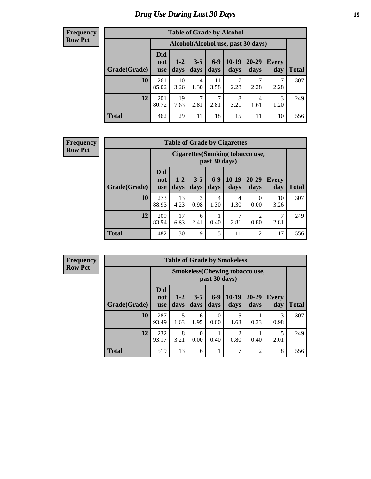# *Drug Use During Last 30 Days* **19**

#### **Frequency Row Pct**

| <b>Table of Grade by Alcohol</b> |                                 |                                    |                 |                 |                 |               |              |       |  |  |  |  |
|----------------------------------|---------------------------------|------------------------------------|-----------------|-----------------|-----------------|---------------|--------------|-------|--|--|--|--|
|                                  |                                 | Alcohol(Alcohol use, past 30 days) |                 |                 |                 |               |              |       |  |  |  |  |
| Grade(Grade)                     | <b>Did</b><br>not<br><b>use</b> | $1 - 2$<br>days                    | $3 - 5$<br>days | $6 - 9$<br>days | $10-19$<br>days | 20-29<br>days | Every<br>day | Total |  |  |  |  |
| 10                               | 261<br>85.02                    | 10<br>3.26                         | 4<br>1.30       | 11<br>3.58      | 7<br>2.28       | 2.28          | 7<br>2.28    | 307   |  |  |  |  |
| 12                               | 201<br>80.72                    | 19<br>7.63                         | 7<br>2.81       | 7<br>2.81       | 8<br>3.21       | 4<br>1.61     | 3<br>1.20    | 249   |  |  |  |  |
| <b>Total</b>                     | 462                             | 29                                 | 11              | 18              | 15              | 11            | 10           | 556   |  |  |  |  |

#### **Frequency Row Pct**

| <b>Table of Grade by Cigarettes</b> |                                 |                                                          |                 |               |                 |                        |                     |              |  |  |  |
|-------------------------------------|---------------------------------|----------------------------------------------------------|-----------------|---------------|-----------------|------------------------|---------------------|--------------|--|--|--|
|                                     |                                 | <b>Cigarettes</b> (Smoking tobacco use,<br>past 30 days) |                 |               |                 |                        |                     |              |  |  |  |
| Grade(Grade)                        | <b>Did</b><br>not<br><b>use</b> | $1 - 2$<br>days                                          | $3 - 5$<br>days | $6-9$<br>days | $10-19$<br>days | $20 - 29$<br>days      | <b>Every</b><br>day | <b>Total</b> |  |  |  |
| 10                                  | 273<br>88.93                    | 13<br>4.23                                               | 3<br>0.98       | 4<br>1.30     | 4<br>1.30       | 0<br>0.00              | 10<br>3.26          | 307          |  |  |  |
| 12                                  | 209<br>83.94                    | 17<br>6.83                                               | 6<br>2.41       | 0.40          | 7<br>2.81       | $\overline{2}$<br>0.80 | 7<br>2.81           | 249          |  |  |  |
| <b>Total</b>                        | 482                             | 30                                                       | 9               | 5             | 11              | $\overline{2}$         | 17                  | 556          |  |  |  |

**Frequency Row Pct**

| <b>Table of Grade by Smokeless</b> |                                 |                                                         |                  |                  |                        |                   |              |              |  |  |  |
|------------------------------------|---------------------------------|---------------------------------------------------------|------------------|------------------|------------------------|-------------------|--------------|--------------|--|--|--|
|                                    |                                 | <b>Smokeless</b> (Chewing tobacco use,<br>past 30 days) |                  |                  |                        |                   |              |              |  |  |  |
| Grade(Grade)                       | <b>Did</b><br>not<br><b>use</b> | $1 - 2$<br>days                                         | $3 - 5$<br>days  | $6 - 9$<br>days  | $10-19$<br>days        | $20 - 29$<br>days | Every<br>day | <b>Total</b> |  |  |  |
| 10                                 | 287<br>93.49                    | 5<br>1.63                                               | 6<br>1.95        | $\Omega$<br>0.00 | 5<br>1.63              | 0.33              | 3<br>0.98    | 307          |  |  |  |
| 12                                 | 232<br>93.17                    | 8<br>3.21                                               | $\Omega$<br>0.00 | 0.40             | $\overline{c}$<br>0.80 | 0.40              | 5<br>2.01    | 249          |  |  |  |
| <b>Total</b>                       | 519                             | 13                                                      | 6                | 1                | 7                      | 2                 | 8            | 556          |  |  |  |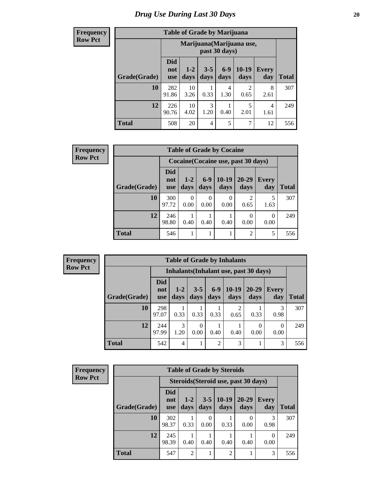#### **Frequency Row Pct**

| <b>Table of Grade by Marijuana</b> |                          |                                            |                 |                 |                        |              |              |  |  |  |  |  |
|------------------------------------|--------------------------|--------------------------------------------|-----------------|-----------------|------------------------|--------------|--------------|--|--|--|--|--|
|                                    |                          | Marijuana (Marijuana use,<br>past 30 days) |                 |                 |                        |              |              |  |  |  |  |  |
| Grade(Grade)                       | <b>Did</b><br>not<br>use | $1 - 2$<br>days                            | $3 - 5$<br>days | $6 - 9$<br>days | 10-19<br>days          | Every<br>day | <b>Total</b> |  |  |  |  |  |
| 10                                 | 282<br>91.86             | 10<br>3.26                                 | 0.33            | 4<br>1.30       | $\mathfrak{D}$<br>0.65 | 8<br>2.61    | 307          |  |  |  |  |  |
| 12                                 | 226<br>90.76             | 10<br>4.02                                 | 3<br>1.20       | 0.40            | 5<br>2.01              | 4<br>1.61    | 249          |  |  |  |  |  |
| <b>Total</b>                       | 508                      | 20                                         | 4               | 5               | 7                      | 12           | 556          |  |  |  |  |  |

| <b>Frequency</b> |  |
|------------------|--|
| <b>Row Pct</b>   |  |

| <b>Table of Grade by Cocaine</b> |                          |                                     |                 |                 |                        |                     |              |  |  |  |  |
|----------------------------------|--------------------------|-------------------------------------|-----------------|-----------------|------------------------|---------------------|--------------|--|--|--|--|
|                                  |                          | Cocaine (Cocaine use, past 30 days) |                 |                 |                        |                     |              |  |  |  |  |
| Grade(Grade)                     | Did<br>not<br><b>use</b> | $1 - 2$<br>days                     | $6 - 9$<br>days | $10-19$<br>days | $20 - 29$<br>days      | <b>Every</b><br>day | <b>Total</b> |  |  |  |  |
| 10                               | 300<br>97.72             | 0.00                                | 0.00            | 0.00            | $\overline{c}$<br>0.65 | 5<br>1.63           | 307          |  |  |  |  |
| 12                               | 246<br>98.80             | 0.40                                | 0.40            | 0.40            | 0.00                   | 0<br>0.00           | 249          |  |  |  |  |
| <b>Total</b>                     | 546                      |                                     |                 |                 | $\overline{2}$         | 5                   | 556          |  |  |  |  |

**Frequency Row Pct**

| <b>Table of Grade by Inhalants</b>     |                          |                 |                  |                |                        |               |                     |       |  |  |
|----------------------------------------|--------------------------|-----------------|------------------|----------------|------------------------|---------------|---------------------|-------|--|--|
| Inhalants (Inhalant use, past 30 days) |                          |                 |                  |                |                        |               |                     |       |  |  |
| Grade(Grade)                           | Did<br>not<br><b>use</b> | $1 - 2$<br>days | $3 - 5$<br>days  | $6-9$<br>days  | $10-19$<br>days        | 20-29<br>days | <b>Every</b><br>day | Total |  |  |
| <b>10</b>                              | 298<br>97.07             | 0.33            | 0.33             | 0.33           | $\overline{2}$<br>0.65 | 0.33          | 3<br>0.98           | 307   |  |  |
| 12                                     | 244<br>97.99             | 3<br>1.20       | $\theta$<br>0.00 | 0.40           | 0.40                   | 0<br>0.00     | 0<br>0.00           | 249   |  |  |
| <b>Total</b>                           | 542                      | 4               |                  | $\overline{c}$ | 3                      |               | 3                   | 556   |  |  |

| <b>Frequency</b> |
|------------------|
| <b>Row Pct</b>   |

| <b>Table of Grade by Steroids</b> |                          |                                      |                 |                 |                   |                     |              |  |  |  |  |
|-----------------------------------|--------------------------|--------------------------------------|-----------------|-----------------|-------------------|---------------------|--------------|--|--|--|--|
|                                   |                          | Steroids (Steroid use, past 30 days) |                 |                 |                   |                     |              |  |  |  |  |
| Grade(Grade)                      | <b>Did</b><br>not<br>use | $1-2$<br>days                        | $3 - 5$<br>days | $10-19$<br>days | $20 - 29$<br>days | <b>Every</b><br>day | <b>Total</b> |  |  |  |  |
| 10                                | 302<br>98.37             | 0.33                                 | 0.00            | 0.33            | 0.00              | 3<br>0.98           | 307          |  |  |  |  |
| 12                                | 245<br>98.39             | 0.40                                 | 0.40            | 0.40            | 0.40              | 0<br>0.00           | 249          |  |  |  |  |
| <b>Total</b>                      | 547                      | $\overline{2}$                       |                 | $\overline{2}$  |                   | 3                   | 556          |  |  |  |  |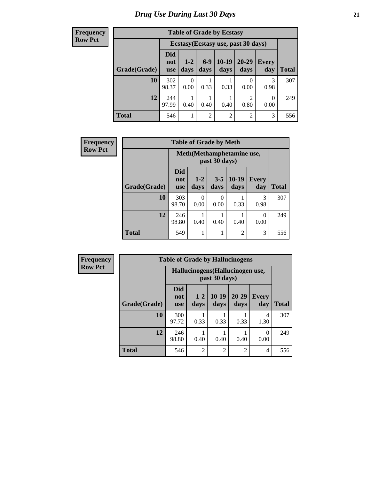**Frequency Row Pct**

| <b>Table of Grade by Ecstasy</b> |                                 |                                     |                |                 |                |                     |              |  |  |  |  |
|----------------------------------|---------------------------------|-------------------------------------|----------------|-----------------|----------------|---------------------|--------------|--|--|--|--|
|                                  |                                 | Ecstasy (Ecstasy use, past 30 days) |                |                 |                |                     |              |  |  |  |  |
| Grade(Grade)                     | <b>Did</b><br>not<br><b>use</b> | $1 - 2$<br>days                     | $6-9$<br>days  | $10-19$<br>days | 20-29<br>days  | <b>Every</b><br>day | <b>Total</b> |  |  |  |  |
| 10                               | 302<br>98.37                    | 0<br>0.00                           | 0.33           | 0.33            | 0.00           | 3<br>0.98           | 307          |  |  |  |  |
| 12                               | 244<br>97.99                    | 0.40                                | 0.40           | 0.40            | 2<br>0.80      | $\Omega$<br>0.00    | 249          |  |  |  |  |
| <b>Total</b>                     | 546                             | 1                                   | $\overline{2}$ | $\overline{c}$  | $\overline{2}$ | 3                   | 556          |  |  |  |  |

| <b>Frequency</b> | <b>Table of Grade by Meth</b> |                                             |                 |                  |                 |                       |       |  |
|------------------|-------------------------------|---------------------------------------------|-----------------|------------------|-----------------|-----------------------|-------|--|
| <b>Row Pct</b>   |                               | Meth (Methamphetamine use,<br>past 30 days) |                 |                  |                 |                       |       |  |
|                  | Grade(Grade)                  | Did<br>not<br><b>use</b>                    | $1 - 2$<br>days | $3 - 5$<br>days  | $10-19$<br>days | Every<br>day          | Total |  |
|                  | 10                            | 303<br>98.70                                | 0<br>0.00       | $\Omega$<br>0.00 | 0.33            | $\mathcal{R}$<br>0.98 | 307   |  |
|                  | 12                            | 246<br>98.80                                | 0.40            | 0.40             | 0.40            | 0<br>0.00             | 249   |  |
|                  | <b>Total</b>                  | 549                                         |                 |                  | 2               | 3                     | 556   |  |

| <b>Frequency</b> | <b>Table of Grade by Hallucinogens</b>           |                                 |                 |                 |                   |                       |              |  |  |  |
|------------------|--------------------------------------------------|---------------------------------|-----------------|-----------------|-------------------|-----------------------|--------------|--|--|--|
| <b>Row Pct</b>   | Hallucinogens(Hallucinogen use,<br>past 30 days) |                                 |                 |                 |                   |                       |              |  |  |  |
|                  | Grade(Grade)                                     | <b>Did</b><br>not<br><b>use</b> | $1 - 2$<br>days | $10-19$<br>days | $20 - 29$<br>days | <b>Every</b><br>day   | <b>Total</b> |  |  |  |
|                  | 10                                               | 300<br>97.72                    | 0.33            | 0.33            | 0.33              | 4<br>1.30             | 307          |  |  |  |
|                  | 12                                               | 246<br>98.80                    | 0.40            | 0.40            | 0.40              | $\mathcal{O}$<br>0.00 | 249          |  |  |  |
|                  | <b>Total</b>                                     | 546                             | $\overline{2}$  | $\overline{c}$  | $\overline{2}$    | $\overline{4}$        | 556          |  |  |  |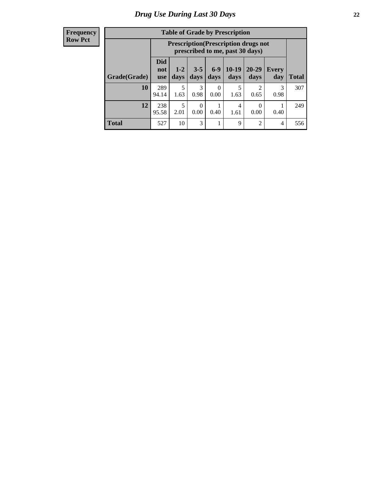| <b>Frequency</b> |
|------------------|
| <b>Row Pct</b>   |

| <b>Table of Grade by Prescription</b> |                          |                                                                                |                  |                 |                 |                       |              |       |  |  |  |
|---------------------------------------|--------------------------|--------------------------------------------------------------------------------|------------------|-----------------|-----------------|-----------------------|--------------|-------|--|--|--|
|                                       |                          | <b>Prescription</b> (Prescription drugs not<br>prescribed to me, past 30 days) |                  |                 |                 |                       |              |       |  |  |  |
| Grade(Grade)                          | Did<br>not<br><b>use</b> | $1 - 2$<br>days                                                                | $3 - 5$<br>days  | $6 - 9$<br>days | $10-19$<br>days | 20-29<br>days         | Every<br>day | Total |  |  |  |
| 10                                    | 289<br>94.14             | 5<br>1.63                                                                      | 3<br>0.98        | 0<br>0.00       | 5<br>1.63       | $\mathcal{D}$<br>0.65 | 3<br>0.98    | 307   |  |  |  |
| 12                                    | 238<br>95.58             | 5<br>2.01                                                                      | $\Omega$<br>0.00 | 0.40            | 4<br>1.61       | $\Omega$<br>0.00      | 0.40         | 249   |  |  |  |
| <b>Total</b>                          | 527                      | 10                                                                             | 3                |                 | 9               | $\overline{2}$        | 4            | 556   |  |  |  |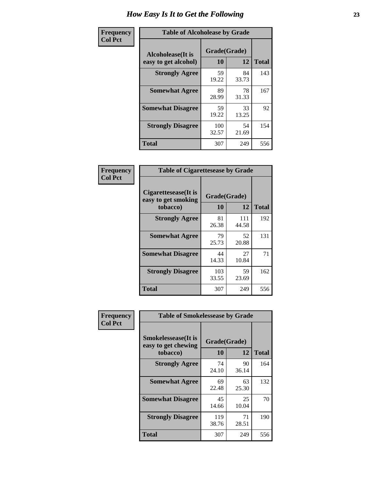| Frequency      | <b>Table of Alcoholease by Grade</b>              |                    |              |     |  |  |  |  |  |  |
|----------------|---------------------------------------------------|--------------------|--------------|-----|--|--|--|--|--|--|
| <b>Col Pct</b> | <b>Alcoholease</b> (It is<br>easy to get alcohol) | Grade(Grade)<br>10 | <b>Total</b> |     |  |  |  |  |  |  |
|                | <b>Strongly Agree</b>                             | 59<br>19.22        | 84<br>33.73  | 143 |  |  |  |  |  |  |
|                | <b>Somewhat Agree</b>                             | 89<br>28.99        | 78<br>31.33  | 167 |  |  |  |  |  |  |
|                | <b>Somewhat Disagree</b>                          | 59<br>19.22        | 33<br>13.25  | 92  |  |  |  |  |  |  |
|                | <b>Strongly Disagree</b>                          | 100<br>32.57       | 54<br>21.69  | 154 |  |  |  |  |  |  |
|                | <b>Total</b>                                      | 307                | 249          | 556 |  |  |  |  |  |  |

| <b>Frequency</b> |  |
|------------------|--|
| <b>Col Pct</b>   |  |

| <b>Table of Cigarettesease by Grade</b>                  |                    |              |              |  |  |  |  |
|----------------------------------------------------------|--------------------|--------------|--------------|--|--|--|--|
| Cigarettesease (It is<br>easy to get smoking<br>tobacco) | Grade(Grade)<br>10 | 12           | <b>Total</b> |  |  |  |  |
| <b>Strongly Agree</b>                                    | 81<br>26.38        | 111<br>44.58 | 192          |  |  |  |  |
| <b>Somewhat Agree</b>                                    | 79<br>25.73        | 52<br>20.88  | 131          |  |  |  |  |
| <b>Somewhat Disagree</b>                                 | 44<br>14.33        | 27<br>10.84  | 71           |  |  |  |  |
| <b>Strongly Disagree</b>                                 | 103<br>33.55       | 59<br>23.69  | 162          |  |  |  |  |
| <b>Total</b>                                             | 307                | 249          | 556          |  |  |  |  |

| Frequency      | <b>Table of Smokelessease by Grade</b>                         |                    |             |              |  |  |  |  |  |
|----------------|----------------------------------------------------------------|--------------------|-------------|--------------|--|--|--|--|--|
| <b>Col Pct</b> | <b>Smokelessease</b> (It is<br>easy to get chewing<br>tobacco) | Grade(Grade)<br>10 | 12          | <b>Total</b> |  |  |  |  |  |
|                | <b>Strongly Agree</b>                                          | 74<br>24.10        | 90<br>36.14 | 164          |  |  |  |  |  |
|                | <b>Somewhat Agree</b>                                          | 69<br>22.48        | 63<br>25.30 | 132          |  |  |  |  |  |
|                | <b>Somewhat Disagree</b>                                       | 45<br>14.66        | 25<br>10.04 | 70           |  |  |  |  |  |
|                | <b>Strongly Disagree</b>                                       | 119<br>38.76       | 71<br>28.51 | 190          |  |  |  |  |  |
|                | <b>Total</b>                                                   | 307                | 249         | 556          |  |  |  |  |  |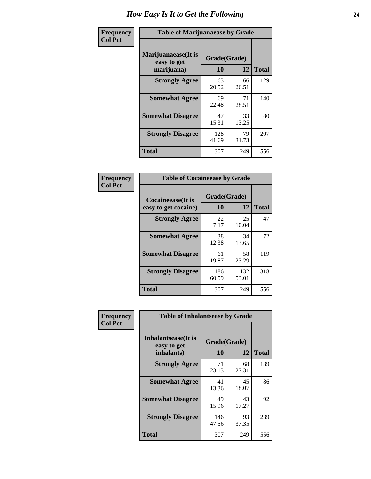| Frequency      | <b>Table of Marijuanaease by Grade</b>           |                    |              |     |  |  |  |  |
|----------------|--------------------------------------------------|--------------------|--------------|-----|--|--|--|--|
| <b>Col Pct</b> | Marijuanaease(It is<br>easy to get<br>marijuana) | Grade(Grade)<br>10 | <b>Total</b> |     |  |  |  |  |
|                | <b>Strongly Agree</b>                            | 63<br>20.52        | 66<br>26.51  | 129 |  |  |  |  |
|                | <b>Somewhat Agree</b>                            | 69<br>22.48        | 71<br>28.51  | 140 |  |  |  |  |
|                | <b>Somewhat Disagree</b>                         | 47<br>15.31        | 33<br>13.25  | 80  |  |  |  |  |
|                | <b>Strongly Disagree</b>                         | 128<br>41.69       | 79<br>31.73  | 207 |  |  |  |  |
|                | <b>Total</b>                                     | 307                | 249          | 556 |  |  |  |  |

| <b>Table of Cocaineease by Grade</b>      |                    |              |     |  |  |  |  |
|-------------------------------------------|--------------------|--------------|-----|--|--|--|--|
| Cocaineease(It is<br>easy to get cocaine) | Grade(Grade)<br>10 | <b>Total</b> |     |  |  |  |  |
| <b>Strongly Agree</b>                     | 22<br>7.17         | 25<br>10.04  | 47  |  |  |  |  |
| <b>Somewhat Agree</b>                     | 38<br>12.38        | 34<br>13.65  | 72  |  |  |  |  |
| <b>Somewhat Disagree</b>                  | 61<br>19.87        | 58<br>23.29  | 119 |  |  |  |  |
| <b>Strongly Disagree</b>                  | 186<br>60.59       | 132<br>53.01 | 318 |  |  |  |  |
| <b>Total</b>                              | 307                | 249          | 556 |  |  |  |  |

| Frequency      | <b>Table of Inhalantsease by Grade</b>           |                    |              |     |
|----------------|--------------------------------------------------|--------------------|--------------|-----|
| <b>Col Pct</b> | Inhalantsease(It is<br>easy to get<br>inhalants) | Grade(Grade)<br>12 | <b>Total</b> |     |
|                | <b>Strongly Agree</b>                            | 10<br>71<br>23.13  | 68<br>27.31  | 139 |
|                | <b>Somewhat Agree</b>                            | 41<br>13.36        | 45<br>18.07  | 86  |
|                | <b>Somewhat Disagree</b>                         | 49<br>15.96        | 43<br>17.27  | 92  |
|                | <b>Strongly Disagree</b>                         | 146<br>47.56       | 93<br>37.35  | 239 |
|                | <b>Total</b>                                     | 307                | 249          | 556 |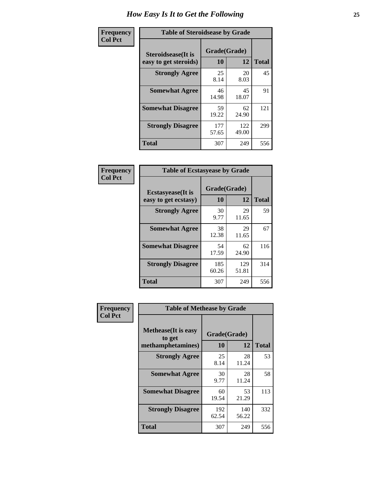| Frequency      | <b>Table of Steroidsease by Grade</b>       |                    |              |     |  |  |  |  |
|----------------|---------------------------------------------|--------------------|--------------|-----|--|--|--|--|
| <b>Col Pct</b> | Steroidsease(It is<br>easy to get steroids) | Grade(Grade)<br>10 | <b>Total</b> |     |  |  |  |  |
|                | <b>Strongly Agree</b>                       | 25<br>8.14         | 20<br>8.03   | 45  |  |  |  |  |
|                | <b>Somewhat Agree</b>                       | 46<br>14.98        | 45<br>18.07  | 91  |  |  |  |  |
|                | <b>Somewhat Disagree</b>                    | 59<br>19.22        | 62<br>24.90  | 121 |  |  |  |  |
|                | <b>Strongly Disagree</b>                    | 177<br>57.65       | 122<br>49.00 | 299 |  |  |  |  |
|                | <b>Total</b>                                | 307                | 249          | 556 |  |  |  |  |

| Frequency      | <b>Table of Ecstasyease by Grade</b>              |                    |                   |     |  |  |  |  |  |
|----------------|---------------------------------------------------|--------------------|-------------------|-----|--|--|--|--|--|
| <b>Col Pct</b> | <b>Ecstasyease</b> (It is<br>easy to get ecstasy) | Grade(Grade)<br>10 | <b>Total</b>      |     |  |  |  |  |  |
|                | <b>Strongly Agree</b>                             | 30<br>9.77         | 12<br>29<br>11.65 | 59  |  |  |  |  |  |
|                | <b>Somewhat Agree</b>                             | 38<br>12.38        | 29<br>11.65       | 67  |  |  |  |  |  |
|                | <b>Somewhat Disagree</b>                          | 54<br>17.59        | 62<br>24.90       | 116 |  |  |  |  |  |
|                | <b>Strongly Disagree</b>                          | 185<br>60.26       | 129<br>51.81      | 314 |  |  |  |  |  |
|                | <b>Total</b>                                      | 307                | 249               | 556 |  |  |  |  |  |

| Frequency      | <b>Table of Methease by Grade</b>     |              |              |              |  |  |  |  |  |
|----------------|---------------------------------------|--------------|--------------|--------------|--|--|--|--|--|
| <b>Col Pct</b> | <b>Methease</b> (It is easy<br>to get | Grade(Grade) |              |              |  |  |  |  |  |
|                | methamphetamines)                     | 10           | 12           | <b>Total</b> |  |  |  |  |  |
|                | <b>Strongly Agree</b>                 | 25<br>8.14   | 28<br>11.24  | 53           |  |  |  |  |  |
|                | <b>Somewhat Agree</b>                 | 30<br>9.77   | 28<br>11.24  | 58           |  |  |  |  |  |
|                | <b>Somewhat Disagree</b>              | 60<br>19.54  | 53<br>21.29  | 113          |  |  |  |  |  |
|                | <b>Strongly Disagree</b>              | 192<br>62.54 | 140<br>56.22 | 332          |  |  |  |  |  |
|                | <b>Total</b>                          | 307          | 249          | 556          |  |  |  |  |  |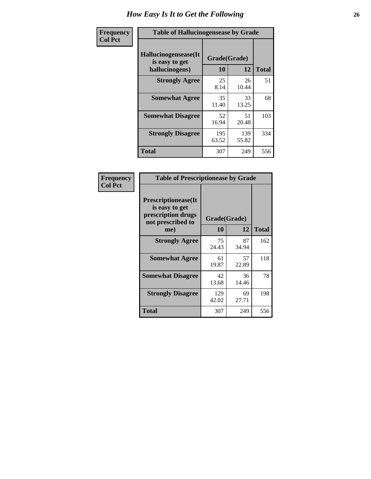| <b>Frequency</b> | <b>Table of Hallucinogensease by Grade</b>               |                    |              |              |  |  |  |  |
|------------------|----------------------------------------------------------|--------------------|--------------|--------------|--|--|--|--|
| <b>Col Pct</b>   | Hallucinogensease(It<br>is easy to get<br>hallucinogens) | Grade(Grade)<br>10 | 12           | <b>Total</b> |  |  |  |  |
|                  | <b>Strongly Agree</b>                                    | 25<br>8.14         | 26<br>10.44  | 51           |  |  |  |  |
|                  | <b>Somewhat Agree</b>                                    | 35<br>11.40        | 33<br>13.25  | 68           |  |  |  |  |
|                  | <b>Somewhat Disagree</b>                                 | 52<br>16.94        | 51<br>20.48  | 103          |  |  |  |  |
|                  | <b>Strongly Disagree</b>                                 | 195<br>63.52       | 139<br>55.82 | 334          |  |  |  |  |
|                  | <b>Total</b>                                             | 307                | 249          | 556          |  |  |  |  |

| Frequency<br>Col Pct |
|----------------------|
|                      |

| <b>Table of Prescriptionease by Grade</b>                                                |              |              |              |  |  |  |
|------------------------------------------------------------------------------------------|--------------|--------------|--------------|--|--|--|
| <b>Prescriptionease</b> (It<br>is easy to get<br>prescription drugs<br>not prescribed to |              | Grade(Grade) |              |  |  |  |
| me)                                                                                      | 10           | 12           | <b>Total</b> |  |  |  |
| <b>Strongly Agree</b>                                                                    | 75<br>24.43  | 87<br>34.94  | 162          |  |  |  |
| <b>Somewhat Agree</b>                                                                    | 61<br>19.87  | 57<br>22.89  | 118          |  |  |  |
| <b>Somewhat Disagree</b>                                                                 | 42<br>13.68  | 36<br>14.46  | 78           |  |  |  |
| <b>Strongly Disagree</b>                                                                 | 129<br>42.02 | 69<br>27.71  | 198          |  |  |  |
| Total                                                                                    | 307          | 249          | 556          |  |  |  |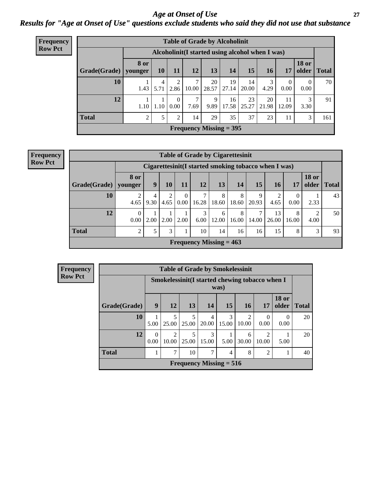*Age at Onset of Use* **27** *Results for "Age at Onset of Use" questions exclude students who said they did not use that substance*

| <b>Frequency</b> | <b>Table of Grade by Alcoholinit</b>             |      |           |                  |            |             |                                |             |             |             |                       |              |
|------------------|--------------------------------------------------|------|-----------|------------------|------------|-------------|--------------------------------|-------------|-------------|-------------|-----------------------|--------------|
| <b>Row Pct</b>   | Alcoholinit (I started using alcohol when I was) |      |           |                  |            |             |                                |             |             |             |                       |              |
|                  | Grade(Grade)   younger                           | 8 or | 10        | 11               | 12         | 13          | 14                             | 15          | <b>16</b>   | 17          | <b>18 or</b><br>older | <b>Total</b> |
|                  | 10                                               | 1.43 | 4<br>5.71 | 2<br>2.86        | 7<br>10.00 | 20<br>28.57 | 19<br>27.14                    | 14<br>20.00 | 3<br>4.29   | 0<br>0.00   | 0<br>0.00             | 70           |
|                  | 12                                               | 1.10 | 1.10      | $\Omega$<br>0.00 | 7<br>7.69  | 9<br>9.89   | 16<br>17.58                    | 23<br>25.27 | 20<br>21.98 | 11<br>12.09 | 3<br>3.30             | 91           |
|                  | <b>Total</b>                                     | ↑    | 5         | 2                | 14         | 29          | 35                             | 37          | 23          | 11          | 3                     | 161          |
|                  |                                                  |      |           |                  |            |             | <b>Frequency Missing = 395</b> |             |             |             |                       |              |

#### **Frequency Row Pct**

|                           | <b>Table of Grade by Cigarettesinit</b> |                                                      |      |                  |            |            |            |            |             |            |                       |              |
|---------------------------|-----------------------------------------|------------------------------------------------------|------|------------------|------------|------------|------------|------------|-------------|------------|-----------------------|--------------|
|                           |                                         | Cigarettesinit(I started smoking tobacco when I was) |      |                  |            |            |            |            |             |            |                       |              |
| Grade(Grade)              | <b>8 or</b><br>younger                  | 9                                                    | 10   | 11               | 12         | 13         | 14         | 15         | 16          | <b>17</b>  | <b>18 or</b><br>older | <b>Total</b> |
| 10                        | 4.65                                    | 4<br>9.30                                            | 4.65 | $\theta$<br>0.00 | ⇁<br>16.28 | 8<br>18.60 | 8<br>18.60 | 9<br>20.93 | 4.65        | 0<br>0.00  | 2.33                  | 43           |
| 12                        | $\Omega$<br>0.00                        | 2.00                                                 | 2.00 | 2.00             | 3<br>6.00  | 6<br>12.00 | 8<br>16.00 | 7<br>14.00 | 13<br>26.00 | 8<br>16.00 | 2<br>4.00             | 50           |
| <b>Total</b>              | $\overline{2}$                          |                                                      | 3    |                  | 10         | 14         | 16         | 16         | 15          | 8          | 3                     | 93           |
| Frequency Missing $= 463$ |                                         |                                                      |      |                  |            |            |            |            |             |            |                       |              |

| <b>Frequency</b> |                                                                            |                        |            |            | <b>Table of Grade by Smokelessinit</b>          |            |                                      |            |                       |              |
|------------------|----------------------------------------------------------------------------|------------------------|------------|------------|-------------------------------------------------|------------|--------------------------------------|------------|-----------------------|--------------|
| <b>Row Pct</b>   |                                                                            |                        |            |            | Smokelessinit (I started chewing tobacco when I | was)       |                                      |            |                       |              |
|                  | Grade(Grade)                                                               | 9                      | <b>12</b>  | 13         | 14                                              | 15         | 16 <sup>1</sup>                      | 17         | <b>18 or</b><br>older | <b>Total</b> |
|                  | 10                                                                         | 5.00                   | 5<br>25.00 | 5<br>25.00 | $\overline{4}$<br>20.00                         | 3<br>15.00 | $\mathcal{D}_{\mathcal{L}}$<br>10.00 | 0.00       | $\theta$<br>0.00      | 20           |
|                  | 12                                                                         | $\overline{0}$<br>0.00 | 2<br>10.00 | 25.00      | 3<br>15.00                                      | 5.00       | 6<br>30.00                           | ∍<br>10.00 | 5.00                  | 20           |
|                  | <b>Total</b><br>7<br>8<br>7<br>10<br>$\mathfrak{D}$<br>$\overline{4}$<br>1 |                        |            |            |                                                 |            |                                      |            |                       |              |
|                  |                                                                            |                        |            |            | Frequency Missing $= 516$                       |            |                                      |            |                       |              |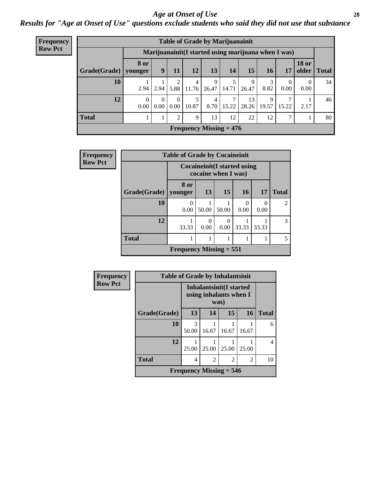#### *Age at Onset of Use* **28**

*Results for "Age at Onset of Use" questions exclude students who said they did not use that substance*

| Frequency      |              | <b>Table of Grade by Marijuanainit</b> |                  |                  |            |            |                           |                                                      |            |           |                       |              |  |
|----------------|--------------|----------------------------------------|------------------|------------------|------------|------------|---------------------------|------------------------------------------------------|------------|-----------|-----------------------|--------------|--|
| <b>Row Pct</b> |              |                                        |                  |                  |            |            |                           | Marijuanainit (I started using marijuana when I was) |            |           |                       |              |  |
|                | Grade(Grade) | <b>8 or</b><br>vounger                 | 9                | 11               | 12         | 13         | 14                        | 15                                                   | <b>16</b>  | 17        | <b>18 or</b><br>older | <b>Total</b> |  |
|                | 10           | 2.94                                   | 2.94             | 2<br>5.88        | 4<br>11.76 | 9<br>26.47 | 14.71                     | 9<br>26.47                                           | 3<br>8.82  | 0<br>0.00 | 0<br>0.00             | 34           |  |
|                | 12           | $\Omega$<br>0.00                       | $\Omega$<br>0.00 | $\Omega$<br>0.00 | 5<br>10.87 | 4<br>8.70  | 15.22                     | 13<br>28.26                                          | 9<br>19.57 | 15.22     | 2.17                  | 46           |  |
|                | <b>Total</b> |                                        |                  | $\mathfrak{D}$   | 9          | 13         | 12                        | 22                                                   | 12         | 7         |                       | 80           |  |
|                |              |                                        |                  |                  |            |            | Frequency Missing $= 476$ |                                                      |            |           |                       |              |  |

| Frequency      |              | <b>Table of Grade by Cocaineinit</b> |                                                            |                  |       |                  |                |  |  |  |
|----------------|--------------|--------------------------------------|------------------------------------------------------------|------------------|-------|------------------|----------------|--|--|--|
| <b>Row Pct</b> |              |                                      | <b>Cocaineinit</b> (I started using<br>cocaine when I was) |                  |       |                  |                |  |  |  |
|                | Grade(Grade) | 8 or<br>younger                      | 13                                                         | 15               | 16    | 17               | <b>Total</b>   |  |  |  |
|                | 10           | 0.00                                 | 50.00                                                      | 50.00            | 0.00  | $\Omega$<br>0.00 | $\mathfrak{D}$ |  |  |  |
|                | 12           | 33.33                                | 0.00                                                       | $\Omega$<br>0.00 | 33.33 | 33.33            | 3              |  |  |  |
|                | <b>Total</b> |                                      |                                                            |                  |       |                  | 5.             |  |  |  |
|                |              | Frequency Missing $= 551$            |                                                            |                  |       |                  |                |  |  |  |

| Frequency      | <b>Table of Grade by Inhalantsinit</b> |            |                                                           |       |       |              |  |  |  |
|----------------|----------------------------------------|------------|-----------------------------------------------------------|-------|-------|--------------|--|--|--|
| <b>Row Pct</b> |                                        |            | Inhalantsinit(I started<br>using inhalants when I<br>was) |       |       |              |  |  |  |
|                | Grade(Grade)                           | 13         | 14                                                        | 15    | 16    | <b>Total</b> |  |  |  |
|                | 10                                     | 3<br>50.00 | 16.67                                                     | 16.67 | 16.67 | 6            |  |  |  |
|                | 12                                     | 25.00      | 25.00                                                     | 25.00 | 25.00 | 4            |  |  |  |
|                | <b>Total</b>                           | 4          | 2<br>2<br>2                                               |       |       |              |  |  |  |
|                |                                        |            | <b>Frequency Missing = <math>546</math></b>               |       |       |              |  |  |  |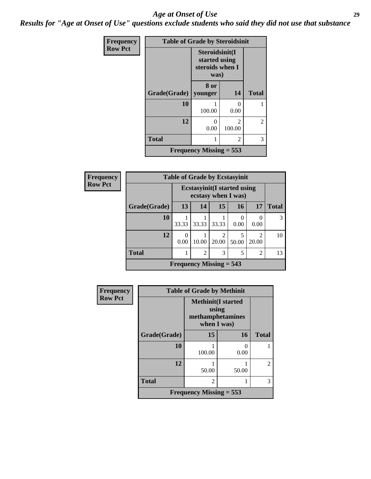#### *Age at Onset of Use* **29**

*Results for "Age at Onset of Use" questions exclude students who said they did not use that substance*

| Frequency      | <b>Table of Grade by Steroidsinit</b> |                                                            |                                       |              |
|----------------|---------------------------------------|------------------------------------------------------------|---------------------------------------|--------------|
| <b>Row Pct</b> |                                       | Steroidsinit(I<br>started using<br>steroids when I<br>was) |                                       |              |
|                | Grade(Grade)                          | 8 or<br>younger                                            | 14                                    | <b>Total</b> |
|                | 10                                    | 100.00                                                     | ∩<br>0.00                             |              |
|                | 12                                    | 0<br>0.00                                                  | $\mathcal{D}_{\mathcal{L}}$<br>100.00 | 2            |
|                | <b>Total</b>                          | 1                                                          | 2                                     | 3            |
|                |                                       | <b>Frequency Missing = 553</b>                             |                                       |              |

| <b>Frequency</b> |                                                            |                           |       |                         | <b>Table of Grade by Ecstasyinit</b>                       |                         |              |
|------------------|------------------------------------------------------------|---------------------------|-------|-------------------------|------------------------------------------------------------|-------------------------|--------------|
| <b>Row Pct</b>   |                                                            |                           |       |                         | <b>Ecstasyinit</b> (I started using<br>ecstasy when I was) |                         |              |
|                  | Grade(Grade)                                               | 13                        | 14    | 15                      | 16                                                         | 17                      | <b>Total</b> |
|                  | 10                                                         | 33.33                     | 33.33 | 33.33                   | 0.00                                                       | 0.00                    | 3            |
|                  | 12                                                         | 0<br>0.00                 | 10.00 | $\mathfrak{D}$<br>20.00 | 5<br>50.00                                                 | $\mathfrak{D}$<br>20.00 | 10           |
|                  | <b>Total</b><br>$\overline{c}$<br>3<br>5<br>$\mathfrak{D}$ |                           |       |                         |                                                            |                         |              |
|                  |                                                            | Frequency Missing $= 543$ |       |                         |                                                            |                         |              |

| <b>Frequency</b> |              | <b>Table of Grade by Methinit</b>                                     |       |                |  |  |  |  |  |  |
|------------------|--------------|-----------------------------------------------------------------------|-------|----------------|--|--|--|--|--|--|
| <b>Row Pct</b>   |              | <b>Methinit(I started</b><br>using<br>methamphetamines<br>when I was) |       |                |  |  |  |  |  |  |
|                  | Grade(Grade) | 15                                                                    | 16    | <b>Total</b>   |  |  |  |  |  |  |
|                  | 10           | 100.00                                                                | 0.00  |                |  |  |  |  |  |  |
|                  | 12           | 50.00                                                                 | 50.00 | $\overline{c}$ |  |  |  |  |  |  |
|                  | <b>Total</b> | $\overline{c}$                                                        |       | 3              |  |  |  |  |  |  |
|                  |              | <b>Frequency Missing = 553</b>                                        |       |                |  |  |  |  |  |  |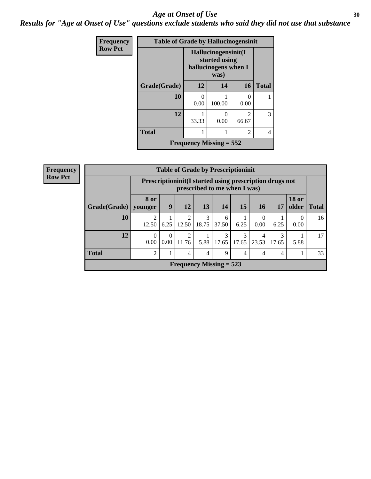#### Age at Onset of Use **30**

*Results for "Age at Onset of Use" questions exclude students who said they did not use that substance*

| Frequency      | <b>Table of Grade by Hallucinogensinit</b> |                           |                                                                      |                           |              |  |  |  |  |
|----------------|--------------------------------------------|---------------------------|----------------------------------------------------------------------|---------------------------|--------------|--|--|--|--|
| <b>Row Pct</b> |                                            |                           | Hallucinogensinit(I<br>started using<br>hallucinogens when I<br>was) |                           |              |  |  |  |  |
|                | Grade(Grade)                               | 12                        | 14                                                                   | 16                        | <b>Total</b> |  |  |  |  |
|                | 10                                         | 0.00                      | 100.00                                                               | $\mathbf{\Omega}$<br>0.00 |              |  |  |  |  |
|                | 12                                         | 33.33                     | $\mathbf{\Omega}$<br>0.00                                            | $\mathfrak{D}$<br>66.67   | 3            |  |  |  |  |
|                | <b>Total</b><br>2                          |                           |                                                                      |                           |              |  |  |  |  |
|                |                                            | Frequency Missing $= 552$ |                                                                      |                           |              |  |  |  |  |

| <b>Frequency</b> |                        |                  |                                                                                         | <b>Table of Grade by Prescriptioninit</b> |            |            |            |                 |            |                               |    |  |
|------------------|------------------------|------------------|-----------------------------------------------------------------------------------------|-------------------------------------------|------------|------------|------------|-----------------|------------|-------------------------------|----|--|
| <b>Row Pct</b>   |                        |                  | Prescriptioninit(I started using prescription drugs not<br>prescribed to me when I was) |                                           |            |            |            |                 |            |                               |    |  |
|                  | Grade(Grade)   younger | <b>8 or</b>      | 9                                                                                       | 12                                        | 13         | 14         | 15         | 16 <sup>1</sup> | 17         | <b>18 or</b><br>older   Total |    |  |
|                  | 10                     | 12.50            | 6.25                                                                                    | $\mathfrak{D}$<br>12.50                   | 3<br>18.75 | 6<br>37.50 | 6.25       | 0.00            | 6.25       | $\Omega$<br>0.00              | 16 |  |
|                  | 12                     | $\Omega$<br>0.00 | 0<br>0.00                                                                               | 2<br>11.76                                | 5.88       | 3<br>17.65 | 3<br>17.65 | 23.53           | 3<br>17.65 | 5.88                          | 17 |  |
|                  | <b>Total</b>           | 2                | 33<br>4<br>9<br>$\overline{4}$<br>4<br>4<br>4                                           |                                           |            |            |            |                 |            |                               |    |  |
|                  |                        |                  |                                                                                         | Frequency Missing $= 523$                 |            |            |            |                 |            |                               |    |  |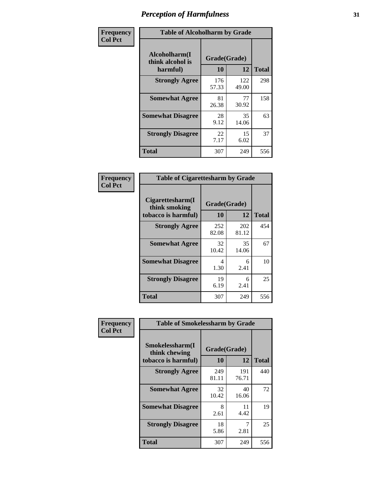| Frequency      | <b>Table of Alcoholharm by Grade</b>          |                    |              |              |  |  |  |  |
|----------------|-----------------------------------------------|--------------------|--------------|--------------|--|--|--|--|
| <b>Col Pct</b> | Alcoholharm(I<br>think alcohol is<br>harmful) | Grade(Grade)<br>10 | 12           | <b>Total</b> |  |  |  |  |
|                | <b>Strongly Agree</b>                         | 176<br>57.33       | 122<br>49.00 | 298          |  |  |  |  |
|                | <b>Somewhat Agree</b>                         | 81<br>26.38        | 77<br>30.92  | 158          |  |  |  |  |
|                | <b>Somewhat Disagree</b>                      | 28<br>9.12         | 35<br>14.06  | 63           |  |  |  |  |
|                | <b>Strongly Disagree</b>                      | 22<br>7.17         | 15<br>6.02   | 37           |  |  |  |  |
|                | <b>Total</b>                                  | 307                | 249          | 556          |  |  |  |  |

| <b>Table of Cigarettesharm by Grade</b>                  |                    |              |              |  |  |  |  |  |  |
|----------------------------------------------------------|--------------------|--------------|--------------|--|--|--|--|--|--|
| Cigarettesharm(I<br>think smoking<br>tobacco is harmful) | Grade(Grade)<br>10 | 12           | <b>Total</b> |  |  |  |  |  |  |
| <b>Strongly Agree</b>                                    | 252<br>82.08       | 202<br>81.12 | 454          |  |  |  |  |  |  |
| <b>Somewhat Agree</b>                                    | 32<br>10.42        | 35<br>14.06  | 67           |  |  |  |  |  |  |
| <b>Somewhat Disagree</b>                                 | 4<br>1.30          | 6<br>2.41    | 10           |  |  |  |  |  |  |
| <b>Strongly Disagree</b>                                 | 19<br>6.19         | 6<br>2.41    | 25           |  |  |  |  |  |  |
| <b>Total</b>                                             | 307                | 249          | 556          |  |  |  |  |  |  |

| Frequency      | <b>Table of Smokelessharm by Grade</b>                  |                    |              |              |
|----------------|---------------------------------------------------------|--------------------|--------------|--------------|
| <b>Col Pct</b> | Smokelessharm(I<br>think chewing<br>tobacco is harmful) | Grade(Grade)<br>10 | 12           | <b>Total</b> |
|                | <b>Strongly Agree</b>                                   | 249<br>81.11       | 191<br>76.71 | 440          |
|                | <b>Somewhat Agree</b>                                   | 32<br>10.42        | 40<br>16.06  | 72           |
|                | <b>Somewhat Disagree</b>                                | 8<br>2.61          | 11<br>4.42   | 19           |
|                | <b>Strongly Disagree</b>                                | 18<br>5.86         | 7<br>2.81    | 25           |
|                | <b>Total</b>                                            | 307                | 249          | 556          |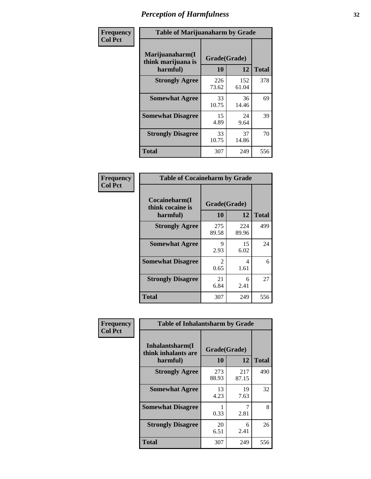| Frequency      | <b>Table of Marijuanaharm by Grade</b>            |                    |              |              |
|----------------|---------------------------------------------------|--------------------|--------------|--------------|
| <b>Col Pct</b> | Marijuanaharm(I<br>think marijuana is<br>harmful) | Grade(Grade)<br>10 | 12           | <b>Total</b> |
|                | <b>Strongly Agree</b>                             | 226<br>73.62       | 152<br>61.04 | 378          |
|                | <b>Somewhat Agree</b>                             | 33<br>10.75        | 36<br>14.46  | 69           |
|                | <b>Somewhat Disagree</b>                          | 15<br>4.89         | 24<br>9.64   | 39           |
|                | <b>Strongly Disagree</b>                          | 33<br>10.75        | 37<br>14.86  | 70           |
|                | <b>Total</b>                                      | 307                | 249          | 556          |

| <b>Table of Cocaineharm by Grade</b>          |                        |              |              |  |  |  |
|-----------------------------------------------|------------------------|--------------|--------------|--|--|--|
| Cocaineharm(I<br>think cocaine is<br>harmful) | Grade(Grade)<br>10     | 12           | <b>Total</b> |  |  |  |
| <b>Strongly Agree</b>                         | 275<br>89.58           | 224<br>89.96 | 499          |  |  |  |
| <b>Somewhat Agree</b>                         | 9<br>2.93              | 15<br>6.02   | 24           |  |  |  |
| <b>Somewhat Disagree</b>                      | $\mathfrak{D}$<br>0.65 | 4<br>1.61    | 6            |  |  |  |
| <b>Strongly Disagree</b>                      | 21<br>6.84             | 6<br>2.41    | 27           |  |  |  |
| <b>Total</b>                                  | 307                    | 249          | 556          |  |  |  |

| Frequency      | <b>Table of Inhalantsharm by Grade</b>  |              |              |              |  |
|----------------|-----------------------------------------|--------------|--------------|--------------|--|
| <b>Col Pct</b> | Inhalantsharm(I)<br>think inhalants are | Grade(Grade) |              |              |  |
|                | harmful)                                | <b>10</b>    | 12           | <b>Total</b> |  |
|                | <b>Strongly Agree</b>                   | 273<br>88.93 | 217<br>87.15 | 490          |  |
|                | <b>Somewhat Agree</b>                   | 13<br>4.23   | 19<br>7.63   | 32           |  |
|                | <b>Somewhat Disagree</b>                | 0.33         | 2.81         | 8            |  |
|                | <b>Strongly Disagree</b>                | 20<br>6.51   | 6<br>2.41    | 26           |  |
|                | <b>Total</b>                            | 307          | 249          | 556          |  |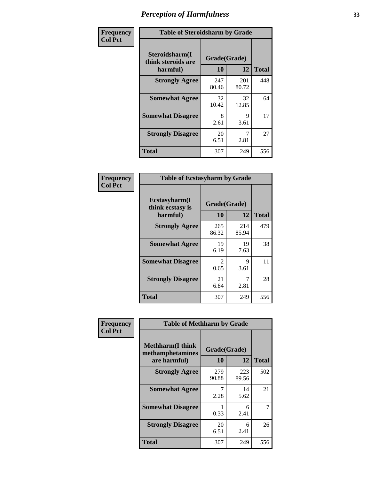| Frequency      | <b>Table of Steroidsharm by Grade</b>            |                    |                     |              |
|----------------|--------------------------------------------------|--------------------|---------------------|--------------|
| <b>Col Pct</b> | Steroidsharm(I<br>think steroids are<br>harmful) | Grade(Grade)<br>10 | 12                  | <b>Total</b> |
|                | <b>Strongly Agree</b>                            | 247<br>80.46       | 201<br>80.72        | 448          |
|                | <b>Somewhat Agree</b>                            | 32<br>10.42        | 32<br>12.85         | 64           |
|                | <b>Somewhat Disagree</b>                         | 8<br>2.61          | $\mathbf Q$<br>3.61 | 17           |
|                | <b>Strongly Disagree</b>                         | 20<br>6.51         | 7<br>2.81           | 27           |
|                | <b>Total</b>                                     | 307                | 249                 | 556          |

| <b>Table of Ecstasyharm by Grade</b>          |                    |              |              |  |  |  |
|-----------------------------------------------|--------------------|--------------|--------------|--|--|--|
| Ecstasyharm(I<br>think ecstasy is<br>harmful) | Grade(Grade)<br>10 | 12           | <b>Total</b> |  |  |  |
| <b>Strongly Agree</b>                         | 265<br>86.32       | 214<br>85.94 | 479          |  |  |  |
| <b>Somewhat Agree</b>                         | 19<br>6.19         | 19<br>7.63   | 38           |  |  |  |
| <b>Somewhat Disagree</b>                      | 2<br>0.65          | 9<br>3.61    | 11           |  |  |  |
| <b>Strongly Disagree</b>                      | 21<br>6.84         | 7<br>2.81    | 28           |  |  |  |
| Total                                         | 307                | 249          | 556          |  |  |  |

| Frequency      | <b>Table of Methharm by Grade</b>                            |                    |              |              |
|----------------|--------------------------------------------------------------|--------------------|--------------|--------------|
| <b>Col Pct</b> | <b>Methharm</b> (I think<br>methamphetamines<br>are harmful) | Grade(Grade)<br>10 | 12           | <b>Total</b> |
|                | <b>Strongly Agree</b>                                        | 279<br>90.88       | 223<br>89.56 | 502          |
|                | <b>Somewhat Agree</b>                                        | 7<br>2.28          | 14<br>5.62   | 21           |
|                | <b>Somewhat Disagree</b>                                     | 0.33               | 6<br>2.41    | 7            |
|                | <b>Strongly Disagree</b>                                     | 20<br>6.51         | 6<br>2.41    | 26           |
|                | <b>Total</b>                                                 | 307                | 249          | 556          |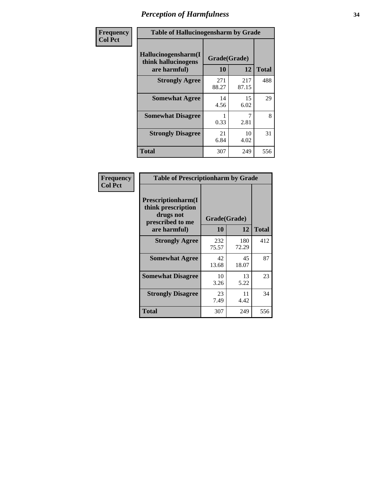| Frequency      | <b>Table of Hallucinogensharm by Grade</b>                 |                    |              |              |
|----------------|------------------------------------------------------------|--------------------|--------------|--------------|
| <b>Col Pct</b> | Hallucinogensharm(I<br>think hallucinogens<br>are harmful) | Grade(Grade)<br>10 | 12           | <b>Total</b> |
|                | <b>Strongly Agree</b>                                      | 271<br>88.27       | 217<br>87.15 | 488          |
|                | <b>Somewhat Agree</b>                                      | 14<br>4.56         | 15<br>6.02   | 29           |
|                | <b>Somewhat Disagree</b>                                   | 0.33               | 7<br>2.81    | 8            |
|                | <b>Strongly Disagree</b>                                   | 21<br>6.84         | 10<br>4.02   | 31           |
|                | <b>Total</b>                                               | 307                | 249          | 556          |

| <b>Table of Prescriptionharm by Grade</b>                                 |              |              |              |  |  |
|---------------------------------------------------------------------------|--------------|--------------|--------------|--|--|
| Prescriptionharm(I<br>think prescription<br>drugs not<br>prescribed to me | Grade(Grade) |              |              |  |  |
| are harmful)                                                              | 10           | 12           | <b>Total</b> |  |  |
| <b>Strongly Agree</b>                                                     | 232<br>75.57 | 180<br>72.29 | 412          |  |  |
| <b>Somewhat Agree</b>                                                     | 42<br>13.68  | 45<br>18.07  | 87           |  |  |
| <b>Somewhat Disagree</b>                                                  | 10<br>3.26   | 13<br>5.22   | 23           |  |  |
| <b>Strongly Disagree</b>                                                  | 23<br>7.49   | 11<br>4.42   | 34           |  |  |
| <b>Total</b>                                                              | 307          | 249          | 556          |  |  |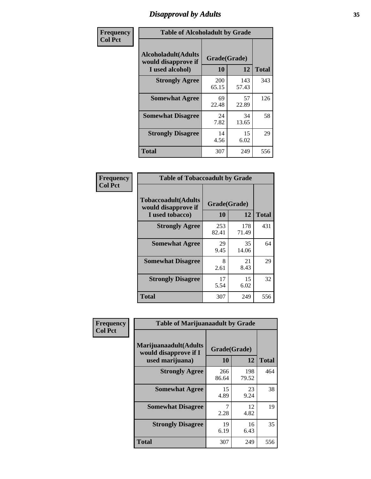# *Disapproval by Adults* **35**

| Frequency      | <b>Table of Alcoholadult by Grade</b>                                 |                    |              |              |
|----------------|-----------------------------------------------------------------------|--------------------|--------------|--------------|
| <b>Col Pct</b> | <b>Alcoholadult</b> (Adults<br>would disapprove if<br>I used alcohol) | Grade(Grade)<br>10 | 12           | <b>Total</b> |
|                | <b>Strongly Agree</b>                                                 | 200<br>65.15       | 143<br>57.43 | 343          |
|                | <b>Somewhat Agree</b>                                                 | 69<br>22.48        | 57<br>22.89  | 126          |
|                | <b>Somewhat Disagree</b>                                              | 24<br>7.82         | 34<br>13.65  | 58           |
|                | <b>Strongly Disagree</b>                                              | 14<br>4.56         | 15<br>6.02   | 29           |
|                | <b>Total</b>                                                          | 307                | 249          | 556          |

| <b>Table of Tobaccoadult by Grade</b>                                 |                    |              |       |  |  |
|-----------------------------------------------------------------------|--------------------|--------------|-------|--|--|
| <b>Tobaccoadult</b> (Adults<br>would disapprove if<br>I used tobacco) | Grade(Grade)<br>10 | 12           | Total |  |  |
| <b>Strongly Agree</b>                                                 | 253<br>82.41       | 178<br>71.49 | 431   |  |  |
| <b>Somewhat Agree</b>                                                 | 29<br>9.45         | 35<br>14.06  | 64    |  |  |
| <b>Somewhat Disagree</b>                                              | 8<br>2.61          | 21<br>8.43   | 29    |  |  |
| <b>Strongly Disagree</b>                                              | 17<br>5.54         | 15<br>6.02   | 32    |  |  |
| <b>Total</b>                                                          | 307                | 249          | 556   |  |  |

| Frequency      | <b>Table of Marijuanaadult by Grade</b>                           |                    |              |              |
|----------------|-------------------------------------------------------------------|--------------------|--------------|--------------|
| <b>Col Pct</b> | Marijuanaadult(Adults<br>would disapprove if I<br>used marijuana) | Grade(Grade)<br>10 | 12           | <b>Total</b> |
|                | <b>Strongly Agree</b>                                             | 266<br>86.64       | 198<br>79.52 | 464          |
|                | <b>Somewhat Agree</b>                                             | 15<br>4.89         | 23<br>9.24   | 38           |
|                | <b>Somewhat Disagree</b>                                          | 2.28               | 12<br>4.82   | 19           |
|                | <b>Strongly Disagree</b>                                          | 19<br>6.19         | 16<br>6.43   | 35           |
|                | <b>Total</b>                                                      | 307                | 249          | 556          |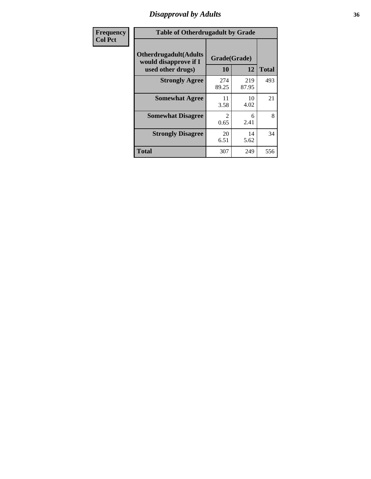# *Disapproval by Adults* **36**

| Frequency      | <b>Table of Otherdrugadult by Grade</b>                                     |                    |              |              |
|----------------|-----------------------------------------------------------------------------|--------------------|--------------|--------------|
| <b>Col Pct</b> | <b>Otherdrugadult</b> (Adults<br>would disapprove if I<br>used other drugs) | Grade(Grade)<br>10 | 12           | <b>Total</b> |
|                | <b>Strongly Agree</b>                                                       | 274<br>89.25       | 219<br>87.95 | 493          |
|                | <b>Somewhat Agree</b>                                                       | 11<br>3.58         | 10<br>4.02   | 21           |
|                | <b>Somewhat Disagree</b>                                                    | 2<br>0.65          | 6<br>2.41    | 8            |
|                | <b>Strongly Disagree</b>                                                    | 20<br>6.51         | 14<br>5.62   | 34           |
|                | <b>Total</b>                                                                | 307                | 249          | 556          |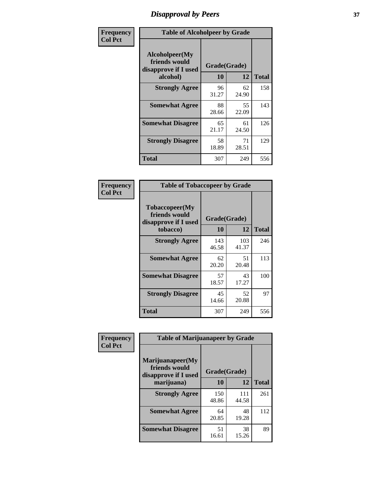## *Disapproval by Peers* **37**

| Frequency      | <b>Table of Alcoholpeer by Grade</b>                    |              |             |              |  |
|----------------|---------------------------------------------------------|--------------|-------------|--------------|--|
| <b>Col Pct</b> | Alcoholpeer(My<br>friends would<br>disapprove if I used | Grade(Grade) |             |              |  |
|                | alcohol)                                                | 10           | 12          | <b>Total</b> |  |
|                | <b>Strongly Agree</b>                                   | 96<br>31.27  | 62<br>24.90 | 158          |  |
|                | <b>Somewhat Agree</b>                                   | 88<br>28.66  | 55<br>22.09 | 143          |  |
|                | <b>Somewhat Disagree</b>                                | 65<br>21.17  | 61<br>24.50 | 126          |  |
|                | <b>Strongly Disagree</b>                                | 58<br>18.89  | 71<br>28.51 | 129          |  |
|                | Total                                                   | 307          | 249         | 556          |  |

| Frequency      | <b>Table of Tobaccopeer by Grade</b>                                |                    |             |              |  |
|----------------|---------------------------------------------------------------------|--------------------|-------------|--------------|--|
| <b>Col Pct</b> | Tobaccopeer(My<br>friends would<br>disapprove if I used<br>tobacco) | Grade(Grade)<br>10 | 12          | <b>Total</b> |  |
|                | <b>Strongly Agree</b>                                               | 143                | 103         | 246          |  |
|                |                                                                     | 46.58              | 41.37       |              |  |
|                | <b>Somewhat Agree</b>                                               | 62<br>20.20        | 51<br>20.48 | 113          |  |
|                | <b>Somewhat Disagree</b>                                            | 57<br>18.57        | 43<br>17.27 | 100          |  |
|                | <b>Strongly Disagree</b>                                            | 45<br>14.66        | 52<br>20.88 | 97           |  |
|                | Total                                                               | 307                | 249         | 556          |  |

| Frequency      | <b>Table of Marijuanapeer by Grade</b>                    |              |              |              |
|----------------|-----------------------------------------------------------|--------------|--------------|--------------|
| <b>Col Pct</b> | Marijuanapeer(My<br>friends would<br>disapprove if I used | Grade(Grade) |              |              |
|                | marijuana)                                                | 10           | 12           | <b>Total</b> |
|                | <b>Strongly Agree</b>                                     | 150<br>48.86 | 111<br>44.58 | 261          |
|                | <b>Somewhat Agree</b>                                     | 64<br>20.85  | 48<br>19.28  | 112          |
|                | <b>Somewhat Disagree</b>                                  | 51<br>16.61  | 38<br>15.26  | 89           |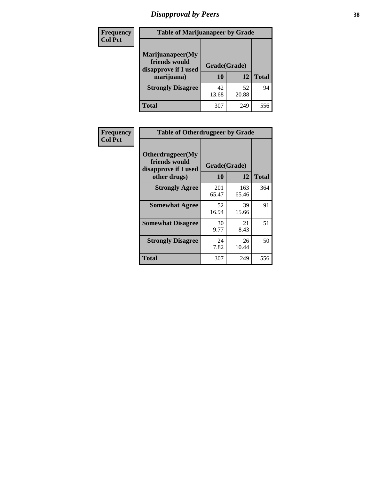# *Disapproval by Peers* **38**

| Frequency<br><b>Col Pct</b> | <b>Table of Marijuanapeer by Grade</b>                                  |                    |             |              |
|-----------------------------|-------------------------------------------------------------------------|--------------------|-------------|--------------|
|                             | Marijuanapeer(My<br>friends would<br>disapprove if I used<br>marijuana) | Grade(Grade)<br>10 | 12          | <b>Total</b> |
|                             | <b>Strongly Disagree</b>                                                | 42<br>13.68        | 52<br>20.88 | 94           |
|                             | Total                                                                   | 307                | 249         | 556          |

| <b>Frequency</b> | <b>Table of Otherdrugpeer by Grade</b>                                    |                           |              |              |
|------------------|---------------------------------------------------------------------------|---------------------------|--------------|--------------|
| <b>Col Pct</b>   | Otherdrugpeer(My<br>friends would<br>disapprove if I used<br>other drugs) | Grade(Grade)<br><b>10</b> | 12           | <b>Total</b> |
|                  | <b>Strongly Agree</b>                                                     | 201<br>65.47              | 163<br>65.46 | 364          |
|                  | <b>Somewhat Agree</b>                                                     | 52<br>16.94               | 39<br>15.66  | 91           |
|                  | <b>Somewhat Disagree</b>                                                  | 30<br>9.77                | 21<br>8.43   | 51           |
|                  | <b>Strongly Disagree</b>                                                  | 24<br>7.82                | 26<br>10.44  | 50           |
|                  | Total                                                                     | 307                       | 249          | 556          |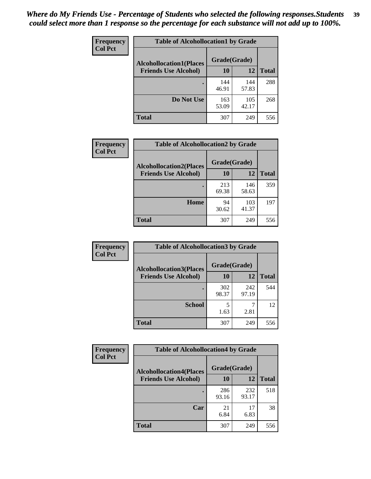| Frequency      | <b>Table of Alcohollocation1 by Grade</b> |              |              |              |
|----------------|-------------------------------------------|--------------|--------------|--------------|
| <b>Col Pct</b> | <b>Alcohollocation1(Places</b>            | Grade(Grade) |              |              |
|                | <b>Friends Use Alcohol)</b>               | 10           | 12           | <b>Total</b> |
|                |                                           | 144<br>46.91 | 144<br>57.83 | 288          |
|                | Do Not Use                                | 163<br>53.09 | 105<br>42.17 | 268          |
|                | <b>Total</b>                              | 307          | 249          | 556          |

| <b>Frequency</b> | <b>Table of Alcohollocation2 by Grade</b> |              |              |              |
|------------------|-------------------------------------------|--------------|--------------|--------------|
| <b>Col Pct</b>   | <b>Alcohollocation2(Places</b>            | Grade(Grade) |              |              |
|                  | <b>Friends Use Alcohol)</b>               | 10           | 12           | <b>Total</b> |
|                  |                                           | 213<br>69.38 | 146<br>58.63 | 359          |
|                  | Home                                      | 94<br>30.62  | 103<br>41.37 | 197          |
|                  | <b>Total</b>                              | 307          | 249          | 556          |

| Frequency<br><b>Col Pct</b> | <b>Table of Alcohollocation3 by Grade</b> |                    |              |              |
|-----------------------------|-------------------------------------------|--------------------|--------------|--------------|
| <b>Friends Use Alcohol)</b> | <b>Alcohollocation3(Places</b>            | Grade(Grade)<br>10 | 12           | <b>Total</b> |
|                             |                                           |                    |              |              |
|                             |                                           | 302<br>98.37       | 242<br>97.19 | 544          |
|                             | <b>School</b>                             | 1.63               | 2.81         | 12           |
|                             | Total                                     | 307                | 249          | 556          |

| Frequency      | <b>Table of Alcohollocation4 by Grade</b> |              |              |              |  |
|----------------|-------------------------------------------|--------------|--------------|--------------|--|
| <b>Col Pct</b> | <b>Alcohollocation4(Places</b>            | Grade(Grade) |              |              |  |
|                | <b>Friends Use Alcohol)</b>               | 10           | 12           | <b>Total</b> |  |
|                |                                           | 286<br>93.16 | 232<br>93.17 | 518          |  |
|                | Car                                       | 21<br>6.84   | 17<br>6.83   | 38           |  |
|                | <b>Total</b>                              | 307          | 249          | 556          |  |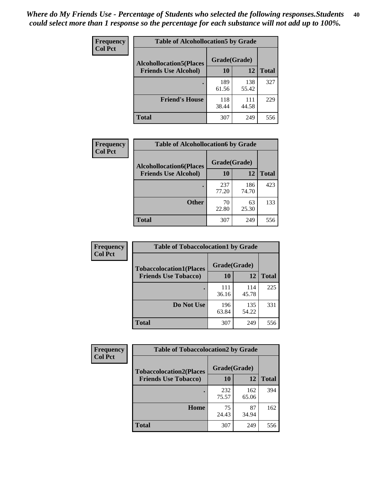| <b>Frequency</b><br><b>Col Pct</b> | <b>Table of Alcohollocation5 by Grade</b> |              |              |              |  |
|------------------------------------|-------------------------------------------|--------------|--------------|--------------|--|
|                                    | <b>Alcohollocation5(Places</b>            | Grade(Grade) |              |              |  |
|                                    | <b>Friends Use Alcohol)</b>               | 10           | 12           | <b>Total</b> |  |
|                                    |                                           | 189<br>61.56 | 138<br>55.42 | 327          |  |
|                                    | <b>Friend's House</b>                     | 118<br>38.44 | 111<br>44.58 | 229          |  |
|                                    | Total                                     | 307          | 249          | 556          |  |

| <b>Frequency</b> | <b>Table of Alcohollocation6 by Grade</b> |              |              |              |
|------------------|-------------------------------------------|--------------|--------------|--------------|
| <b>Col Pct</b>   | <b>Alcohollocation6(Places</b>            | Grade(Grade) |              |              |
|                  | <b>Friends Use Alcohol)</b>               | 10           | 12           | <b>Total</b> |
|                  |                                           | 237<br>77.20 | 186<br>74.70 | 423          |
|                  | <b>Other</b>                              | 70<br>22.80  | 63<br>25.30  | 133          |
|                  | <b>Total</b>                              | 307          | 249          | 556          |

| Frequency<br><b>Col Pct</b> | <b>Table of Tobaccolocation1 by Grade</b> |              |              |              |
|-----------------------------|-------------------------------------------|--------------|--------------|--------------|
|                             | <b>Tobaccolocation1(Places</b>            | Grade(Grade) |              |              |
|                             | <b>Friends Use Tobacco)</b>               | 10           | 12           | <b>Total</b> |
|                             |                                           | 111<br>36.16 | 114<br>45.78 | 225          |
|                             | Do Not Use                                | 196<br>63.84 | 135<br>54.22 | 331          |
|                             | <b>Total</b>                              | 307          | 249          | 556          |

| Frequency      | <b>Table of Tobaccolocation2 by Grade</b> |              |              |              |  |
|----------------|-------------------------------------------|--------------|--------------|--------------|--|
| <b>Col Pct</b> | <b>Tobaccolocation2(Places</b>            | Grade(Grade) |              |              |  |
|                | <b>Friends Use Tobacco)</b>               | <b>10</b>    | 12           | <b>Total</b> |  |
|                |                                           | 232<br>75.57 | 162<br>65.06 | 394          |  |
|                | Home                                      | 75<br>24.43  | 87<br>34.94  | 162          |  |
|                | <b>Total</b>                              | 307          | 249          | 556          |  |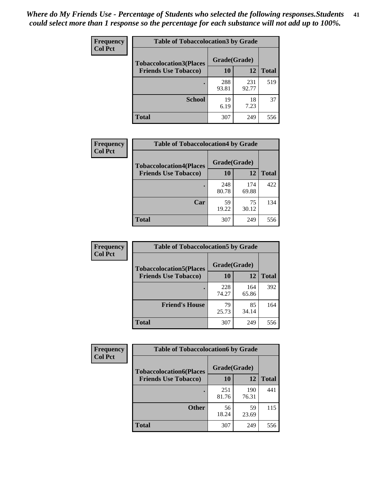| Frequency      | <b>Table of Tobaccolocation 3 by Grade</b> |              |              |              |  |
|----------------|--------------------------------------------|--------------|--------------|--------------|--|
| <b>Col Pct</b> | <b>Tobaccolocation3(Places</b>             | Grade(Grade) |              |              |  |
|                | <b>Friends Use Tobacco)</b>                | 10           | 12           | <b>Total</b> |  |
|                |                                            | 288<br>93.81 | 231<br>92.77 | 519          |  |
|                | <b>School</b>                              | 19<br>6.19   | 18<br>7.23   | 37           |  |
|                | <b>Total</b>                               | 307          | 249          | 556          |  |

| Frequency<br><b>Col Pct</b> | <b>Table of Tobaccolocation4 by Grade</b> |              |              |              |
|-----------------------------|-------------------------------------------|--------------|--------------|--------------|
|                             | <b>Tobaccolocation4(Places</b>            | Grade(Grade) |              |              |
|                             | <b>Friends Use Tobacco)</b>               | 10           | 12           | <b>Total</b> |
|                             |                                           | 248<br>80.78 | 174<br>69.88 | 422          |
|                             | Car                                       | 59<br>19.22  | 75<br>30.12  | 134          |
|                             | <b>Total</b>                              | 307          | 249          | 556          |

 $\overline{\phantom{a}}$ 

| Frequency      | <b>Table of Tobaccolocation5 by Grade</b> |              |              |              |
|----------------|-------------------------------------------|--------------|--------------|--------------|
| <b>Col Pct</b> | <b>Tobaccolocation5(Places</b>            | Grade(Grade) |              |              |
|                | <b>Friends Use Tobacco)</b>               | 10           | 12           | <b>Total</b> |
|                |                                           | 228<br>74.27 | 164<br>65.86 | 392          |
|                | <b>Friend's House</b>                     | 79<br>25.73  | 85<br>34.14  | 164          |
|                | <b>Total</b>                              | 307          | 249          | 556          |

| <b>Frequency</b> | <b>Table of Tobaccolocation6 by Grade</b> |              |              |              |  |
|------------------|-------------------------------------------|--------------|--------------|--------------|--|
| <b>Col Pct</b>   | <b>Tobaccolocation6(Places</b>            | Grade(Grade) |              |              |  |
|                  | <b>Friends Use Tobacco)</b>               | 10           | 12           | <b>Total</b> |  |
|                  |                                           | 251<br>81.76 | 190<br>76.31 | 441          |  |
|                  | <b>Other</b>                              | 56<br>18.24  | 59<br>23.69  | 115          |  |
|                  | <b>Total</b>                              | 307          | 249          | 556          |  |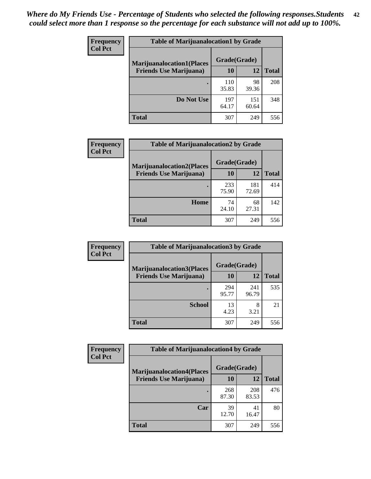| <b>Frequency</b> | <b>Table of Marijuanalocation1 by Grade</b> |              |              |              |
|------------------|---------------------------------------------|--------------|--------------|--------------|
| <b>Col Pct</b>   | <b>Marijuanalocation1(Places</b>            | Grade(Grade) |              |              |
|                  | <b>Friends Use Marijuana</b> )              | 10           | 12           | <b>Total</b> |
|                  |                                             | 110<br>35.83 | 98<br>39.36  | 208          |
|                  | Do Not Use                                  | 197<br>64.17 | 151<br>60.64 | 348          |
|                  | <b>Total</b>                                | 307          | 249          | 556          |

| <b>Frequency</b> | <b>Table of Marijuanalocation2 by Grade</b>                        |                    |              |              |
|------------------|--------------------------------------------------------------------|--------------------|--------------|--------------|
| <b>Col Pct</b>   | <b>Marijuanalocation2(Places</b><br><b>Friends Use Marijuana</b> ) | Grade(Grade)<br>10 | 12           | <b>Total</b> |
|                  |                                                                    | 233<br>75.90       | 181<br>72.69 | 414          |
|                  | Home                                                               | 74<br>24.10        | 68<br>27.31  | 142          |
|                  | <b>Total</b>                                                       | 307                | 249          | 556          |

| Frequency      | <b>Table of Marijuanalocation3 by Grade</b> |              |              |       |
|----------------|---------------------------------------------|--------------|--------------|-------|
| <b>Col Pct</b> | <b>Marijuanalocation3</b> (Places           | Grade(Grade) |              |       |
|                | <b>Friends Use Marijuana</b> )              | 10           | 12           | Total |
|                |                                             | 294<br>95.77 | 241<br>96.79 | 535   |
|                | <b>School</b>                               | 13<br>4.23   | 8<br>3.21    | 21    |
|                | <b>Total</b>                                | 307          | 249          | 556   |

| <b>Frequency</b> | <b>Table of Marijuanalocation4 by Grade</b> |              |              |              |
|------------------|---------------------------------------------|--------------|--------------|--------------|
| <b>Col Pct</b>   | <b>Marijuanalocation4(Places</b>            | Grade(Grade) |              |              |
|                  | <b>Friends Use Marijuana</b> )              | <b>10</b>    | 12           | <b>Total</b> |
|                  |                                             | 268<br>87.30 | 208<br>83.53 | 476          |
|                  | Car                                         | 39<br>12.70  | 41<br>16.47  | 80           |
|                  | <b>Total</b>                                | 307          | 249          | 556          |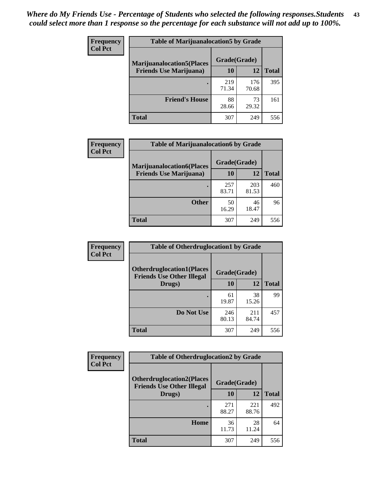| <b>Frequency</b> | <b>Table of Marijuanalocation5 by Grade</b> |              |              |              |
|------------------|---------------------------------------------|--------------|--------------|--------------|
| <b>Col Pct</b>   | <b>Marijuanalocation5</b> (Places           | Grade(Grade) |              |              |
|                  | <b>Friends Use Marijuana</b> )              | 10           | 12           | <b>Total</b> |
|                  |                                             | 219<br>71.34 | 176<br>70.68 | 395          |
|                  | <b>Friend's House</b>                       | 88<br>28.66  | 73<br>29.32  | 161          |
|                  | <b>Total</b>                                | 307          | 249          | 556          |

| <b>Frequency</b> | <b>Table of Marijuanalocation6 by Grade</b>                        |                    |              |              |
|------------------|--------------------------------------------------------------------|--------------------|--------------|--------------|
| <b>Col Pct</b>   | <b>Marijuanalocation6(Places</b><br><b>Friends Use Marijuana</b> ) | Grade(Grade)<br>10 | 12           | <b>Total</b> |
|                  |                                                                    | 257<br>83.71       | 203<br>81.53 | 460          |
|                  | <b>Other</b>                                                       | 50<br>16.29        | 46<br>18.47  | 96           |
|                  | <b>Total</b>                                                       | 307                | 249          | 556          |

| <b>Frequency</b> | <b>Table of Otherdruglocation1 by Grade</b>                          |              |              |              |
|------------------|----------------------------------------------------------------------|--------------|--------------|--------------|
| <b>Col Pct</b>   | <b>Otherdruglocation1(Places</b><br><b>Friends Use Other Illegal</b> | Grade(Grade) |              |              |
|                  | Drugs)                                                               | 10           | 12           | <b>Total</b> |
|                  |                                                                      | 61<br>19.87  | 38<br>15.26  | 99           |
|                  | Do Not Use                                                           | 246<br>80.13 | 211<br>84.74 | 457          |
|                  | <b>Total</b>                                                         | 307          | 249          | 556          |

| <b>Frequency</b> | <b>Table of Otherdruglocation2 by Grade</b>                          |              |              |              |
|------------------|----------------------------------------------------------------------|--------------|--------------|--------------|
| <b>Col Pct</b>   | <b>Otherdruglocation2(Places</b><br><b>Friends Use Other Illegal</b> |              | Grade(Grade) |              |
|                  | Drugs)                                                               | 10           | 12           | <b>Total</b> |
|                  |                                                                      | 271<br>88.27 | 221<br>88.76 | 492          |
|                  | Home                                                                 | 36<br>11.73  | 28<br>11.24  | 64           |
|                  | Total                                                                | 307          | 249          | 556          |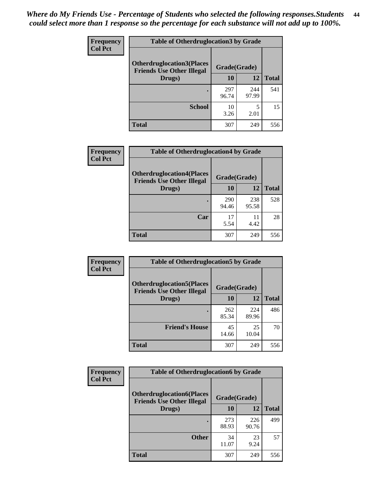| <b>Frequency</b> | <b>Table of Otherdruglocation 3 by Grade</b>                         |              |              |              |
|------------------|----------------------------------------------------------------------|--------------|--------------|--------------|
| <b>Col Pct</b>   | <b>Otherdruglocation3(Places</b><br><b>Friends Use Other Illegal</b> | Grade(Grade) |              |              |
|                  | Drugs)                                                               | 10           | 12           | <b>Total</b> |
|                  |                                                                      | 297<br>96.74 | 244<br>97.99 | 541          |
|                  | <b>School</b>                                                        | 10<br>3.26   | 5<br>2.01    | 15           |
|                  | <b>Total</b>                                                         | 307          | 249          | 556          |

 $\overline{\phantom{a}}$ 

| Frequency      | <b>Table of Otherdruglocation4 by Grade</b>                          |              |              |              |  |
|----------------|----------------------------------------------------------------------|--------------|--------------|--------------|--|
| <b>Col Pct</b> | <b>Otherdruglocation4(Places</b><br><b>Friends Use Other Illegal</b> | Grade(Grade) |              |              |  |
|                | Drugs)                                                               | 10           | 12           | <b>Total</b> |  |
|                |                                                                      | 290<br>94.46 | 238<br>95.58 | 528          |  |
|                | Car                                                                  | 17<br>5.54   | 11<br>4.42   | 28           |  |
|                | <b>Total</b>                                                         | 307          | 249          | 556          |  |

| Frequency      | <b>Table of Otherdruglocation5 by Grade</b>                          |              |              |              |
|----------------|----------------------------------------------------------------------|--------------|--------------|--------------|
| <b>Col Pct</b> | <b>Otherdruglocation5(Places</b><br><b>Friends Use Other Illegal</b> | Grade(Grade) |              |              |
|                | Drugs)                                                               | 10           | 12           | <b>Total</b> |
|                |                                                                      | 262<br>85.34 | 224<br>89.96 | 486          |
|                | <b>Friend's House</b>                                                | 45<br>14.66  | 25<br>10.04  | 70           |
|                | <b>Total</b>                                                         | 307          | 249          | 556          |

| Frequency      | <b>Table of Otherdruglocation6 by Grade</b>                           |              |              |              |
|----------------|-----------------------------------------------------------------------|--------------|--------------|--------------|
| <b>Col Pct</b> | <b>Otherdruglocation6(Places)</b><br><b>Friends Use Other Illegal</b> | Grade(Grade) |              |              |
|                | Drugs)                                                                | 10           | 12           | <b>Total</b> |
|                |                                                                       | 273<br>88.93 | 226<br>90.76 | 499          |
|                | <b>Other</b>                                                          | 34<br>11.07  | 23<br>9.24   | 57           |
|                | Total                                                                 | 307          | 249          | 556          |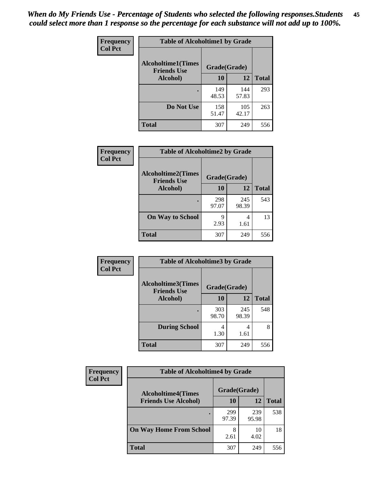| Frequency      | <b>Table of Alcoholtime1 by Grade</b>           |              |              |              |
|----------------|-------------------------------------------------|--------------|--------------|--------------|
| <b>Col Pct</b> | <b>Alcoholtime1(Times</b><br><b>Friends Use</b> | Grade(Grade) |              |              |
|                | Alcohol)                                        | 10           | 12           | <b>Total</b> |
|                |                                                 | 149<br>48.53 | 144<br>57.83 | 293          |
|                | Do Not Use                                      | 158<br>51.47 | 105<br>42.17 | 263          |
|                | <b>Total</b>                                    | 307          | 249          | 556          |

| Frequency      | <b>Table of Alcoholtime2 by Grade</b>           |              |              |              |
|----------------|-------------------------------------------------|--------------|--------------|--------------|
| <b>Col Pct</b> | <b>Alcoholtime2(Times</b><br><b>Friends Use</b> | Grade(Grade) |              |              |
|                | Alcohol)                                        | 10           | 12           | <b>Total</b> |
|                |                                                 | 298<br>97.07 | 245<br>98.39 | 543          |
|                | <b>On Way to School</b>                         | q<br>2.93    | 4<br>1.61    | 13           |
|                | <b>Total</b>                                    | 307          | 249          | 556          |

| Frequency<br><b>Col Pct</b> | <b>Table of Alcoholtime3 by Grade</b>                    |              |              |              |
|-----------------------------|----------------------------------------------------------|--------------|--------------|--------------|
|                             | Alcoholtime3(Times<br>Grade(Grade)<br><b>Friends Use</b> |              |              |              |
|                             | Alcohol)                                                 | 10           | 12           | <b>Total</b> |
|                             |                                                          | 303<br>98.70 | 245<br>98.39 | 548          |
|                             | <b>During School</b>                                     | 4<br>1.30    | 4<br>1.61    | 8            |
|                             | <b>Total</b>                                             | 307          | 249          | 556          |

| <b>Frequency</b> | <b>Table of Alcoholtime4 by Grade</b> |              |              |              |  |
|------------------|---------------------------------------|--------------|--------------|--------------|--|
| <b>Col Pct</b>   | <b>Alcoholtime4(Times</b>             | Grade(Grade) |              |              |  |
|                  | <b>Friends Use Alcohol)</b>           | 10           | 12           | <b>Total</b> |  |
|                  |                                       | 299<br>97.39 | 239<br>95.98 | 538          |  |
|                  | <b>On Way Home From School</b>        | 8<br>2.61    | 10<br>4.02   | 18           |  |
|                  | <b>Total</b>                          | 307          | 249          | 556          |  |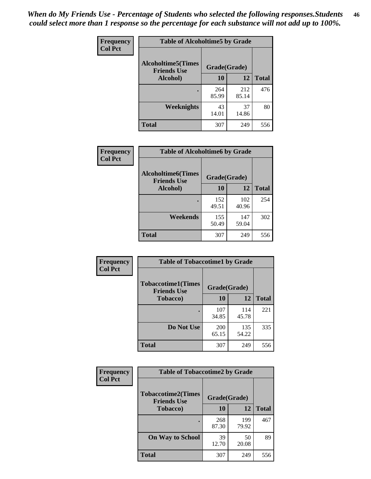*When do My Friends Use - Percentage of Students who selected the following responses.Students could select more than 1 response so the percentage for each substance will not add up to 100%.* **46**

| Frequency      | <b>Table of Alcoholtime5 by Grade</b>           |              |              |              |
|----------------|-------------------------------------------------|--------------|--------------|--------------|
| <b>Col Pct</b> | <b>Alcoholtime5(Times</b><br><b>Friends Use</b> | Grade(Grade) |              |              |
|                | Alcohol)                                        | 10           | 12           | <b>Total</b> |
|                |                                                 | 264<br>85.99 | 212<br>85.14 | 476          |
|                | Weeknights                                      | 43<br>14.01  | 37<br>14.86  | 80           |
|                | <b>Total</b>                                    | 307          | 249          | 556          |

| Frequency      | <b>Table of Alcoholtime6 by Grade</b>           |              |              |              |
|----------------|-------------------------------------------------|--------------|--------------|--------------|
| <b>Col Pct</b> | <b>Alcoholtime6(Times</b><br><b>Friends Use</b> | Grade(Grade) |              |              |
|                | Alcohol)                                        | 10           | 12           | <b>Total</b> |
|                |                                                 | 152<br>49.51 | 102<br>40.96 | 254          |
|                | Weekends                                        | 155<br>50.49 | 147<br>59.04 | 302          |
|                | <b>Total</b>                                    | 307          | 249          | 556          |

| Frequency      | <b>Table of Tobaccotime1 by Grade</b>           |              |              |              |
|----------------|-------------------------------------------------|--------------|--------------|--------------|
| <b>Col Pct</b> | <b>Tobaccotime1(Times</b><br><b>Friends Use</b> | Grade(Grade) |              |              |
|                | <b>Tobacco</b> )                                | 10           | 12           | <b>Total</b> |
|                | ٠                                               | 107<br>34.85 | 114<br>45.78 | 221          |
|                | Do Not Use                                      | 200<br>65.15 | 135<br>54.22 | 335          |
|                | <b>Total</b>                                    | 307          | 249          | 556          |

| <b>Frequency</b> | <b>Table of Tobaccotime2 by Grade</b>           |              |              |              |
|------------------|-------------------------------------------------|--------------|--------------|--------------|
| <b>Col Pct</b>   | <b>Tobaccotime2(Times</b><br><b>Friends Use</b> | Grade(Grade) |              |              |
|                  | <b>Tobacco</b> )                                | 10           | 12           | <b>Total</b> |
|                  |                                                 | 268<br>87.30 | 199<br>79.92 | 467          |
|                  | <b>On Way to School</b>                         | 39<br>12.70  | 50<br>20.08  | 89           |
|                  | <b>Total</b>                                    | 307          | 249          | 556          |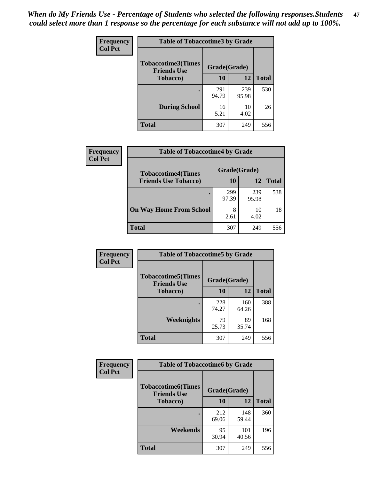*When do My Friends Use - Percentage of Students who selected the following responses.Students could select more than 1 response so the percentage for each substance will not add up to 100%.* **47**

| <b>Frequency</b> | <b>Table of Tobaccotime3 by Grade</b>           |              |              |              |  |
|------------------|-------------------------------------------------|--------------|--------------|--------------|--|
| <b>Col Pct</b>   | <b>Tobaccotime3(Times</b><br><b>Friends Use</b> |              | Grade(Grade) |              |  |
|                  | <b>Tobacco</b> )                                | 10           | 12           | <b>Total</b> |  |
|                  |                                                 | 291<br>94.79 | 239<br>95.98 | 530          |  |
|                  | <b>During School</b>                            | 16<br>5.21   | 10<br>4.02   | 26           |  |
|                  | <b>Total</b>                                    | 307          | 249          | 556          |  |

| <b>Frequency</b> | <b>Table of Tobaccotime4 by Grade</b> |              |              |              |
|------------------|---------------------------------------|--------------|--------------|--------------|
| <b>Col Pct</b>   | <b>Tobaccotime4(Times</b>             | Grade(Grade) |              |              |
|                  | <b>Friends Use Tobacco)</b>           | 10           | 12           | <b>Total</b> |
|                  |                                       | 299<br>97.39 | 239<br>95.98 | 538          |
|                  | <b>On Way Home From School</b>        | 8<br>2.61    | 10<br>4.02   | 18           |
|                  | <b>Total</b>                          | 307          | 249          | 556          |

| Frequency      | <b>Table of Tobaccotime5 by Grade</b>           |              |              |              |
|----------------|-------------------------------------------------|--------------|--------------|--------------|
| <b>Col Pct</b> | <b>Tobaccotime5(Times</b><br><b>Friends Use</b> | Grade(Grade) |              |              |
|                | <b>Tobacco</b> )                                | 10           | 12           | <b>Total</b> |
|                |                                                 | 228<br>74.27 | 160<br>64.26 | 388          |
|                | Weeknights                                      | 79<br>25.73  | 89<br>35.74  | 168          |
|                | <b>Total</b>                                    | 307          | 249          | 556          |

| Frequency<br><b>Col Pct</b> | <b>Table of Tobaccotime6 by Grade</b>                           |              |              |              |  |
|-----------------------------|-----------------------------------------------------------------|--------------|--------------|--------------|--|
|                             | <b>Tobaccotime6(Times</b><br>Grade(Grade)<br><b>Friends Use</b> |              |              |              |  |
|                             | <b>Tobacco</b> )                                                | 10           | 12           | <b>Total</b> |  |
|                             |                                                                 | 212<br>69.06 | 148<br>59.44 | 360          |  |
|                             | Weekends                                                        | 95<br>30.94  | 101<br>40.56 | 196          |  |
|                             | <b>Total</b>                                                    | 307          | 249          | 556          |  |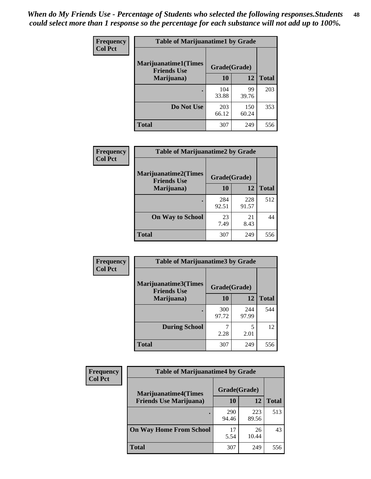| Frequency      | <b>Table of Marijuanatime1 by Grade</b>           |              |              |              |  |
|----------------|---------------------------------------------------|--------------|--------------|--------------|--|
| <b>Col Pct</b> | <b>Marijuanatime1(Times</b><br><b>Friends Use</b> | Grade(Grade) |              |              |  |
|                | Marijuana)                                        | 10           | 12           | <b>Total</b> |  |
|                |                                                   | 104<br>33.88 | 99<br>39.76  | 203          |  |
|                | Do Not Use                                        | 203<br>66.12 | 150<br>60.24 | 353          |  |
|                | <b>Total</b>                                      | 307          | 249          | 556          |  |

| Frequency      | <b>Table of Marijuanatime2 by Grade</b>    |              |              |              |
|----------------|--------------------------------------------|--------------|--------------|--------------|
| <b>Col Pct</b> | Marijuanatime2(Times<br><b>Friends Use</b> | Grade(Grade) |              |              |
|                | Marijuana)                                 | 10           | 12           | <b>Total</b> |
|                | ٠                                          | 284<br>92.51 | 228<br>91.57 | 512          |
|                | <b>On Way to School</b>                    | 23<br>7.49   | 21<br>8.43   | 44           |
|                | <b>Total</b>                               | 307          | 249          | 556          |

| Frequency<br><b>Col Pct</b> | <b>Table of Marijuanatime3 by Grade</b>    |              |              |              |  |
|-----------------------------|--------------------------------------------|--------------|--------------|--------------|--|
|                             | Marijuanatime3(Times<br><b>Friends Use</b> | Grade(Grade) |              |              |  |
|                             | Marijuana)                                 | 10           | 12           | <b>Total</b> |  |
|                             |                                            | 300<br>97.72 | 244<br>97.99 | 544          |  |
|                             | <b>During School</b>                       | 2.28         | 5<br>2.01    | 12           |  |
|                             | Total                                      | 307          | 249          | 556          |  |

| <b>Frequency</b><br><b>Col Pct</b> | <b>Table of Marijuanatime4 by Grade</b> |              |              |              |
|------------------------------------|-----------------------------------------|--------------|--------------|--------------|
|                                    | <b>Marijuanatime4(Times</b>             | Grade(Grade) |              |              |
|                                    | <b>Friends Use Marijuana</b> )          | 10           | 12           | <b>Total</b> |
|                                    |                                         | 290<br>94.46 | 223<br>89.56 | 513          |
|                                    | <b>On Way Home From School</b>          | 17<br>5.54   | 26<br>10.44  | 43           |
|                                    | <b>Total</b>                            | 307          | 249          | 556          |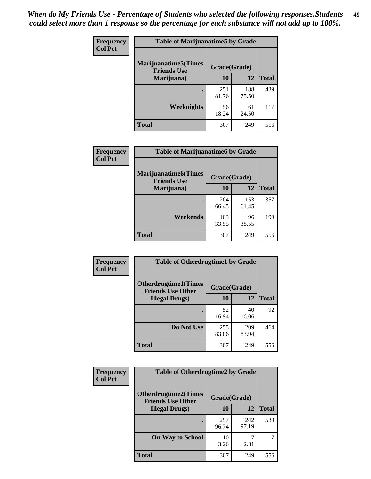| Frequency      | <b>Table of Marijuanatime5 by Grade</b>            |              |              |              |
|----------------|----------------------------------------------------|--------------|--------------|--------------|
| <b>Col Pct</b> | <b>Marijuanatime5</b> (Times<br><b>Friends Use</b> | Grade(Grade) |              |              |
|                | Marijuana)                                         | 10           | 12           | <b>Total</b> |
|                |                                                    | 251<br>81.76 | 188<br>75.50 | 439          |
|                | Weeknights                                         | 56<br>18.24  | 61<br>24.50  | 117          |
|                | <b>Total</b>                                       | 307          | 249          | 556          |

| Frequency      | <b>Table of Marijuanatime6 by Grade</b>    |              |              |              |
|----------------|--------------------------------------------|--------------|--------------|--------------|
| <b>Col Pct</b> | Marijuanatime6(Times<br><b>Friends Use</b> | Grade(Grade) |              |              |
|                | Marijuana)                                 | 10           | 12           | <b>Total</b> |
|                |                                            | 204<br>66.45 | 153<br>61.45 | 357          |
|                | Weekends                                   | 103<br>33.55 | 96<br>38.55  | 199          |
|                | <b>Total</b>                               | 307          | 249          | 556          |

| <b>Frequency</b> | <b>Table of Otherdrugtime1 by Grade</b>                 |              |              |              |  |
|------------------|---------------------------------------------------------|--------------|--------------|--------------|--|
| <b>Col Pct</b>   | <b>Otherdrugtime1(Times</b><br><b>Friends Use Other</b> | Grade(Grade) |              |              |  |
|                  | <b>Illegal Drugs</b> )                                  | 10           | 12           | <b>Total</b> |  |
|                  |                                                         | 52<br>16.94  | 40<br>16.06  | 92           |  |
|                  | Do Not Use                                              | 255<br>83.06 | 209<br>83.94 | 464          |  |
|                  | <b>Total</b>                                            | 307          | 249          | 556          |  |

| Frequency      | <b>Table of Otherdrugtime2 by Grade</b>                 |              |              |              |  |  |  |
|----------------|---------------------------------------------------------|--------------|--------------|--------------|--|--|--|
| <b>Col Pct</b> | <b>Otherdrugtime2(Times</b><br><b>Friends Use Other</b> | Grade(Grade) |              |              |  |  |  |
|                | <b>Illegal Drugs</b> )                                  | 10           | 12           | <b>Total</b> |  |  |  |
|                |                                                         | 297<br>96.74 | 242<br>97.19 | 539          |  |  |  |
|                | <b>On Way to School</b>                                 | 10<br>3.26   | 7<br>2.81    | 17           |  |  |  |
|                | <b>Total</b>                                            | 307          | 249          | 556          |  |  |  |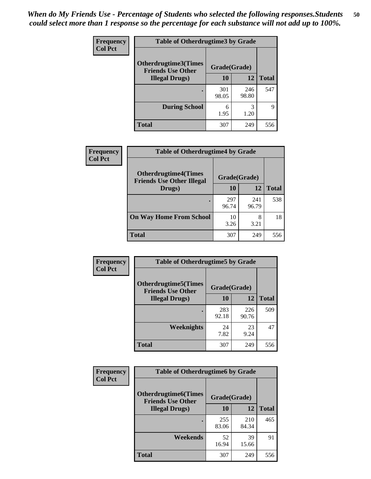| <b>Frequency</b><br><b>Col Pct</b> | <b>Table of Otherdrugtime3 by Grade</b>          |              |              |              |  |  |  |
|------------------------------------|--------------------------------------------------|--------------|--------------|--------------|--|--|--|
|                                    | Otherdrugtime3(Times<br><b>Friends Use Other</b> | Grade(Grade) |              |              |  |  |  |
|                                    | <b>Illegal Drugs</b> )                           | 10           | 12           | <b>Total</b> |  |  |  |
|                                    |                                                  | 301<br>98.05 | 246<br>98.80 | 547          |  |  |  |
|                                    | <b>During School</b>                             | 6<br>1.95    | 3<br>1.20    | 9            |  |  |  |
|                                    | Total                                            | 307          | 249          | 556          |  |  |  |

| Frequency      | <b>Table of Otherdrugtime4 by Grade</b>                         |              |              |              |  |  |  |
|----------------|-----------------------------------------------------------------|--------------|--------------|--------------|--|--|--|
| <b>Col Pct</b> | <b>Otherdrugtime4(Times</b><br><b>Friends Use Other Illegal</b> | Grade(Grade) |              |              |  |  |  |
|                | Drugs)                                                          | 10           | 12           | <b>Total</b> |  |  |  |
|                | ٠                                                               | 297<br>96.74 | 241<br>96.79 | 538          |  |  |  |
|                | <b>On Way Home From School</b>                                  | 10<br>3.26   | 8<br>3.21    | 18           |  |  |  |
|                | Total                                                           | 307          | 249          | 556          |  |  |  |

| <b>Frequency</b> | <b>Table of Otherdrugtime5 by Grade</b>                  |              |              |              |  |  |  |
|------------------|----------------------------------------------------------|--------------|--------------|--------------|--|--|--|
| <b>Col Pct</b>   | <b>Otherdrugtime5</b> (Times<br><b>Friends Use Other</b> | Grade(Grade) |              |              |  |  |  |
|                  | <b>Illegal Drugs</b> )                                   | 10           | 12           | <b>Total</b> |  |  |  |
|                  |                                                          | 283<br>92.18 | 226<br>90.76 | 509          |  |  |  |
|                  | Weeknights                                               | 24<br>7.82   | 23<br>9.24   | 47           |  |  |  |
|                  | Total                                                    | 307          | 249          | 556          |  |  |  |

| <b>Frequency</b> | <b>Table of Otherdrugtime6 by Grade</b>                 |              |              |              |  |  |
|------------------|---------------------------------------------------------|--------------|--------------|--------------|--|--|
| <b>Col Pct</b>   | <b>Otherdrugtime6(Times</b><br><b>Friends Use Other</b> | Grade(Grade) |              |              |  |  |
|                  | <b>Illegal Drugs</b> )                                  | 10           | 12           | <b>Total</b> |  |  |
|                  |                                                         | 255<br>83.06 | 210<br>84.34 | 465          |  |  |
|                  | Weekends                                                | 52<br>16.94  | 39<br>15.66  | 91           |  |  |
|                  | <b>Total</b>                                            | 307          | 249          | 556          |  |  |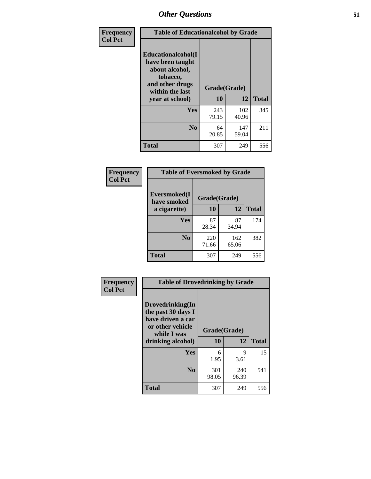| Frequency      | <b>Table of Educationalcohol by Grade</b>                                                                  |              |              |              |  |  |
|----------------|------------------------------------------------------------------------------------------------------------|--------------|--------------|--------------|--|--|
| <b>Col Pct</b> | Educationalcohol(I<br>have been taught<br>about alcohol,<br>tobacco,<br>and other drugs<br>within the last | Grade(Grade) |              |              |  |  |
|                | vear at school)                                                                                            | 10           | 12           | <b>Total</b> |  |  |
|                | Yes                                                                                                        | 243<br>79.15 | 102<br>40.96 | 345          |  |  |
|                | N <sub>0</sub>                                                                                             | 64<br>20.85  | 147<br>59.04 | 211          |  |  |
|                | <b>Total</b>                                                                                               | 307          | 249          | 556          |  |  |

| Frequency      | <b>Table of Eversmoked by Grade</b> |              |              |              |  |  |  |
|----------------|-------------------------------------|--------------|--------------|--------------|--|--|--|
| <b>Col Pct</b> | Eversmoked(I<br>have smoked         | Grade(Grade) |              |              |  |  |  |
|                | a cigarette)                        | 10           | 12           | <b>Total</b> |  |  |  |
|                | Yes                                 | 87<br>28.34  | 87<br>34.94  | 174          |  |  |  |
|                | N <sub>0</sub>                      | 220<br>71.66 | 162<br>65.06 | 382          |  |  |  |
|                | <b>Total</b>                        | 307          | 249          | 556          |  |  |  |

| Frequency      | <b>Table of Drovedrinking by Grade</b>                                                                              |                    |              |     |
|----------------|---------------------------------------------------------------------------------------------------------------------|--------------------|--------------|-----|
| <b>Col Pct</b> | Drovedrinking(In<br>the past 30 days I<br>have driven a car<br>or other vehicle<br>while I was<br>drinking alcohol) | Grade(Grade)<br>10 | <b>Total</b> |     |
|                | <b>Yes</b>                                                                                                          | 6<br>1.95          | 9<br>3.61    | 15  |
|                | N <sub>0</sub>                                                                                                      | 301<br>98.05       | 240<br>96.39 | 541 |
|                | <b>Total</b>                                                                                                        | 307                | 249          | 556 |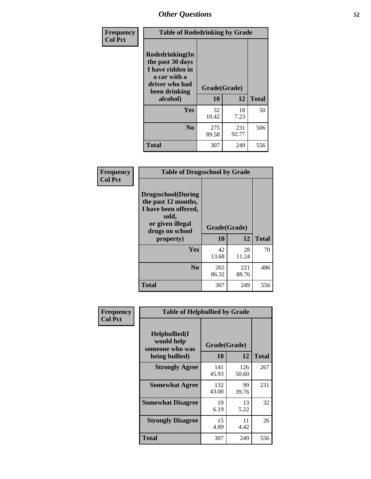| Frequency<br><b>Col Pct</b> | <b>Table of Rodedrinking by Grade</b>                                                                      |              |              |              |
|-----------------------------|------------------------------------------------------------------------------------------------------------|--------------|--------------|--------------|
|                             | Rodedrinking(In<br>the past 30 days<br>I have ridden in<br>a car with a<br>driver who had<br>been drinking | Grade(Grade) |              |              |
|                             | alcohol)                                                                                                   | 10           | 12           | <b>Total</b> |
|                             | <b>Yes</b>                                                                                                 | 32<br>10.42  | 18<br>7.23   | 50           |
|                             | N <sub>0</sub>                                                                                             | 275<br>89.58 | 231<br>92.77 | 506          |
|                             | <b>Total</b>                                                                                               | 307          | 249          | 556          |

#### **Frequency Col Pct**

| <b>Table of Drugsschool by Grade</b>                                                                                      |              |              |              |  |  |  |
|---------------------------------------------------------------------------------------------------------------------------|--------------|--------------|--------------|--|--|--|
| <b>Drugsschool</b> (During<br>the past 12 months,<br>I have been offered,<br>sold,<br>or given illegal<br>drugs on school | Grade(Grade) |              |              |  |  |  |
| property)                                                                                                                 | 10           | 12           | <b>Total</b> |  |  |  |
| Yes                                                                                                                       | 42<br>13.68  | 28<br>11.24  | 70           |  |  |  |
| N <sub>0</sub>                                                                                                            | 265<br>86.32 | 221<br>88.76 | 486          |  |  |  |
| Total                                                                                                                     | 307          | 249          | 556          |  |  |  |

| Frequency      | <b>Table of Helpbullied by Grade</b>            |              |              |              |  |  |  |  |
|----------------|-------------------------------------------------|--------------|--------------|--------------|--|--|--|--|
| <b>Col Pct</b> | Helpbullied(I)<br>would help<br>someone who was | Grade(Grade) |              |              |  |  |  |  |
|                | being bullied)                                  | <b>10</b>    | 12           | <b>Total</b> |  |  |  |  |
|                | <b>Strongly Agree</b>                           | 141<br>45.93 | 126<br>50.60 | 267          |  |  |  |  |
|                | <b>Somewhat Agree</b>                           | 132<br>43.00 | 99<br>39.76  | 231          |  |  |  |  |
|                | <b>Somewhat Disagree</b>                        | 19<br>6.19   | 13<br>5.22   | 32           |  |  |  |  |
|                | <b>Strongly Disagree</b>                        | 15<br>4.89   | 11<br>4.42   | 26           |  |  |  |  |
|                | <b>Total</b>                                    | 307          | 249          | 556          |  |  |  |  |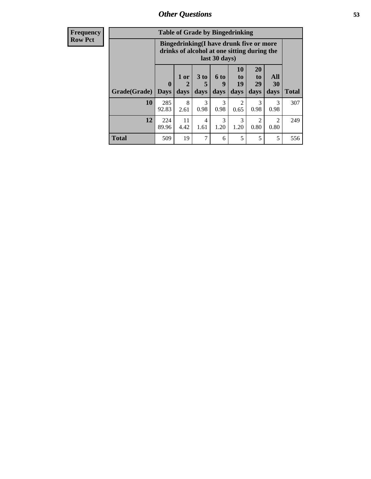| <b>Frequency</b> | <b>Table of Grade by Bingedrinking</b> |                                                                                                         |                   |                              |                          |                        |                        |                        |              |
|------------------|----------------------------------------|---------------------------------------------------------------------------------------------------------|-------------------|------------------------------|--------------------------|------------------------|------------------------|------------------------|--------------|
| <b>Row Pct</b>   |                                        | Bingedrinking(I have drunk five or more<br>drinks of alcohol at one sitting during the<br>last 30 days) |                   |                              |                          |                        |                        |                        |              |
|                  | Grade(Grade)                           | $\mathbf{0}$<br><b>Days</b>                                                                             | 1 or<br>2<br>days | 3 <sub>to</sub><br>5<br>days | <b>6 to</b><br>9<br>days | 10<br>to<br>19<br>days | 20<br>to<br>29<br>days | All<br>30<br>days      | <b>Total</b> |
|                  | 10                                     | 285<br>92.83                                                                                            | 8<br>2.61         | 3<br>0.98                    | 3<br>0.98                | 2<br>0.65              | 3<br>0.98              | 3<br>0.98              | 307          |
|                  | 12                                     | 224<br>89.96                                                                                            | 11<br>4.42        | 4<br>1.61                    | 3<br>1.20                | 3<br>1.20              | $\mathfrak{D}$<br>0.80 | $\overline{2}$<br>0.80 | 249          |
|                  | <b>Total</b>                           | 509                                                                                                     | 19                | 7                            | 6                        | 5                      | 5                      | 5                      | 556          |
|                  |                                        |                                                                                                         |                   |                              |                          |                        |                        |                        |              |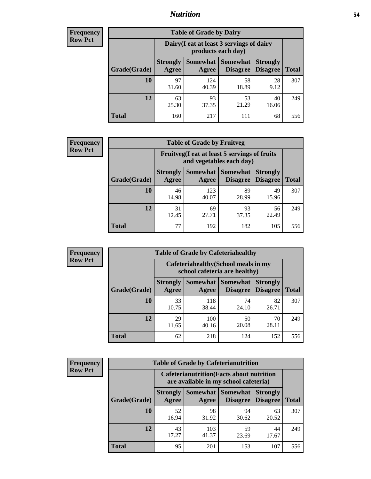### *Nutrition* **54**

| <b>Frequency</b><br>Row Pct |
|-----------------------------|
|                             |

| <b>Table of Grade by Dairy</b> |                          |                                                                 |                                    |                                    |              |
|--------------------------------|--------------------------|-----------------------------------------------------------------|------------------------------------|------------------------------------|--------------|
|                                |                          | Dairy (I eat at least 3 servings of dairy<br>products each day) |                                    |                                    |              |
| Grade(Grade)                   | <b>Strongly</b><br>Agree | <b>Somewhat</b><br>Agree                                        | <b>Somewhat</b><br><b>Disagree</b> | <b>Strongly</b><br><b>Disagree</b> | <b>Total</b> |
| 10                             | 97<br>31.60              | 124<br>40.39                                                    | 58<br>18.89                        | 28<br>9.12                         | 307          |
| 12                             | 63<br>25.30              | 93<br>37.35                                                     | 53<br>21.29                        | 40<br>16.06                        | 249          |
| <b>Total</b>                   | 160                      | 217                                                             | 111                                | 68                                 | 556          |

| <b>Frequency</b> |  |
|------------------|--|
| <b>Row Pct</b>   |  |

| <b>Table of Grade by Fruitveg</b>                                        |                          |              |                               |                                    |              |
|--------------------------------------------------------------------------|--------------------------|--------------|-------------------------------|------------------------------------|--------------|
| Fruitveg(I eat at least 5 servings of fruits<br>and vegetables each day) |                          |              |                               |                                    |              |
| Grade(Grade)                                                             | <b>Strongly</b><br>Agree | Agree        | Somewhat Somewhat<br>Disagree | <b>Strongly</b><br><b>Disagree</b> | <b>Total</b> |
| 10                                                                       | 46<br>14.98              | 123<br>40.07 | 89<br>28.99                   | 49<br>15.96                        | 307          |
| 12                                                                       | 31<br>12.45              | 69<br>27.71  | 93<br>37.35                   | 56<br>22.49                        | 249          |
| <b>Total</b>                                                             | 77                       | 192          | 182                           | 105                                | 556          |

| <b>Frequency</b> | <b>Table of Grade by Cafeteriahealthy</b> |                          |                                                                       |                 |                                    |              |
|------------------|-------------------------------------------|--------------------------|-----------------------------------------------------------------------|-----------------|------------------------------------|--------------|
| <b>Row Pct</b>   |                                           |                          | Cafeteriahealthy (School meals in my<br>school cafeteria are healthy) |                 |                                    |              |
|                  | Grade(Grade)                              | <b>Strongly</b><br>Agree | Somewhat Somewhat<br>Agree                                            | <b>Disagree</b> | <b>Strongly</b><br><b>Disagree</b> | <b>Total</b> |
|                  | 10                                        | 33<br>10.75              | 118<br>38.44                                                          | 74<br>24.10     | 82<br>26.71                        | 307          |
|                  | 12                                        | 29<br>11.65              | 100<br>40.16                                                          | 50<br>20.08     | 70<br>28.11                        | 249          |
|                  | Total                                     | 62                       | 218                                                                   | 124             | 152                                | 556          |

| <b>Frequency</b> |
|------------------|
| <b>Row Pct</b>   |

| <b>Table of Grade by Cafeterianutrition</b>                                               |                          |                          |                                    |                                    |              |
|-------------------------------------------------------------------------------------------|--------------------------|--------------------------|------------------------------------|------------------------------------|--------------|
| <b>Cafeterianutrition</b> (Facts about nutrition<br>are available in my school cafeteria) |                          |                          |                                    |                                    |              |
| Grade(Grade)                                                                              | <b>Strongly</b><br>Agree | <b>Somewhat</b><br>Agree | <b>Somewhat</b><br><b>Disagree</b> | <b>Strongly</b><br><b>Disagree</b> | <b>Total</b> |
| 10                                                                                        | 52<br>16.94              | 98<br>31.92              | 94<br>30.62                        | 63<br>20.52                        | 307          |
| 12                                                                                        | 43<br>17.27              | 103<br>41.37             | 59<br>23.69                        | 44<br>17.67                        | 249          |
| <b>Total</b>                                                                              | 95                       | 201                      | 153                                | 107                                | 556          |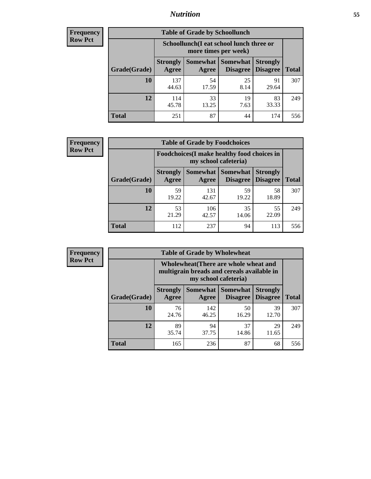### *Nutrition* **55**

| Frequency |
|-----------|
| Row Pct   |

| <b>Table of Grade by Schoollunch</b> |                          |                                                                 |                                    |                                    |              |
|--------------------------------------|--------------------------|-----------------------------------------------------------------|------------------------------------|------------------------------------|--------------|
|                                      |                          | Schoollunch(I eat school lunch three or<br>more times per week) |                                    |                                    |              |
| Grade(Grade)                         | <b>Strongly</b><br>Agree | <b>Somewhat</b><br>Agree                                        | <b>Somewhat</b><br><b>Disagree</b> | <b>Strongly</b><br><b>Disagree</b> | <b>Total</b> |
| 10                                   | 137<br>44.63             | 54<br>17.59                                                     | 25<br>8.14                         | 91<br>29.64                        | 307          |
| 12                                   | 114<br>45.78             | 33<br>13.25                                                     | 19<br>7.63                         | 83<br>33.33                        | 249          |
| <b>Total</b>                         | 251                      | 87                                                              | 44                                 | 174                                | 556          |

| <b>Frequency</b> |  |
|------------------|--|
| <b>Row Pct</b>   |  |

|                                                                     |                          | <b>Table of Grade by Foodchoices</b> |                                        |                                    |              |
|---------------------------------------------------------------------|--------------------------|--------------------------------------|----------------------------------------|------------------------------------|--------------|
| Foodchoices (I make healthy food choices in<br>my school cafeteria) |                          |                                      |                                        |                                    |              |
| Grade(Grade)                                                        | <b>Strongly</b><br>Agree | Agree                                | <b>Somewhat   Somewhat</b><br>Disagree | <b>Strongly</b><br><b>Disagree</b> | <b>Total</b> |
| 10                                                                  | 59<br>19.22              | 131<br>42.67                         | 59<br>19.22                            | 58<br>18.89                        | 307          |
| 12                                                                  | 53<br>21.29              | 106<br>42.57                         | 35<br>14.06                            | 55<br>22.09                        | 249          |
| <b>Total</b>                                                        | 112                      | 237                                  | 94                                     | 113                                | 556          |

| <b>Frequency</b> |
|------------------|
| Row Pct          |

| <b>Table of Grade by Wholewheat</b> |                          |                                                                                                                    |                                   |                                    |              |  |
|-------------------------------------|--------------------------|--------------------------------------------------------------------------------------------------------------------|-----------------------------------|------------------------------------|--------------|--|
|                                     |                          | <b>Wholewheat</b> (There are whole wheat and<br>multigrain breads and cereals available in<br>my school cafeteria) |                                   |                                    |              |  |
| Grade(Grade)                        | <b>Strongly</b><br>Agree | Agree                                                                                                              | Somewhat   Somewhat  <br>Disagree | <b>Strongly</b><br><b>Disagree</b> | <b>Total</b> |  |
| 10                                  | 76<br>24.76              | 142<br>46.25                                                                                                       | 50<br>16.29                       | 39<br>12.70                        | 307          |  |
| 12                                  | 89<br>35.74              | 94<br>37.75                                                                                                        | 37<br>14.86                       | 29<br>11.65                        | 249          |  |
| <b>Total</b>                        | 165                      | 236                                                                                                                | 87                                | 68                                 | 556          |  |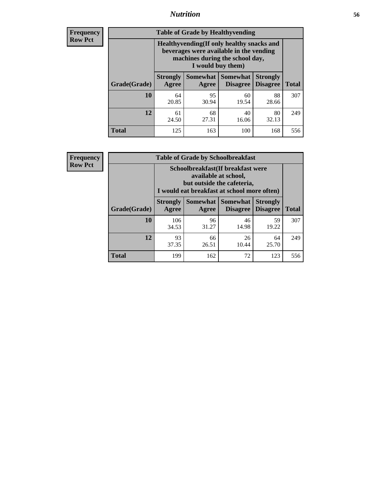### *Nutrition* **56**

**Frequency Row Pct**

| <b>Table of Grade by Healthyvending</b> |                                                                                                                                               |                          |                                    |                                    |              |  |  |
|-----------------------------------------|-----------------------------------------------------------------------------------------------------------------------------------------------|--------------------------|------------------------------------|------------------------------------|--------------|--|--|
|                                         | Healthyvending (If only healthy snacks and<br>beverages were available in the vending<br>machines during the school day,<br>I would buy them) |                          |                                    |                                    |              |  |  |
| Grade(Grade)                            | <b>Strongly</b><br>Agree                                                                                                                      | <b>Somewhat</b><br>Agree | <b>Somewhat</b><br><b>Disagree</b> | <b>Strongly</b><br><b>Disagree</b> | <b>Total</b> |  |  |
| 10                                      | 64<br>20.85                                                                                                                                   | 95<br>30.94              | 60<br>19.54                        | 88<br>28.66                        | 307          |  |  |
| 12                                      | 61<br>24.50                                                                                                                                   | 68<br>27.31              | 40<br>16.06                        | 80<br>32.13                        | 249          |  |  |
| Total                                   | 125                                                                                                                                           | 163                      | 100                                | 168                                | 556          |  |  |

**Frequency Row Pct**

| <b>Table of Grade by Schoolbreakfast</b> |                                                                                                                                         |             |                                        |                                    |              |  |  |
|------------------------------------------|-----------------------------------------------------------------------------------------------------------------------------------------|-------------|----------------------------------------|------------------------------------|--------------|--|--|
|                                          | Schoolbreakfast (If breakfast were<br>available at school,<br>but outside the cafeteria,<br>I would eat breakfast at school more often) |             |                                        |                                    |              |  |  |
| Grade(Grade)                             | <b>Strongly</b><br>Agree                                                                                                                | Agree       | Somewhat   Somewhat<br><b>Disagree</b> | <b>Strongly</b><br><b>Disagree</b> | <b>Total</b> |  |  |
| 10                                       | 106<br>34.53                                                                                                                            | 96<br>31.27 | 46<br>14.98                            | 59<br>19.22                        | 307          |  |  |
| 12                                       | 93<br>37.35                                                                                                                             | 66<br>26.51 | 26<br>10.44                            | 64<br>25.70                        | 249          |  |  |
| <b>Total</b>                             | 199                                                                                                                                     | 162         | 72                                     | 123                                | 556          |  |  |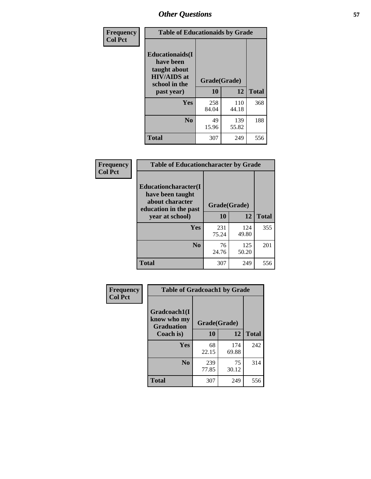| Frequency<br><b>Col Pct</b> | <b>Table of Educationaids by Grade</b>                                                                    |                    |              |              |  |
|-----------------------------|-----------------------------------------------------------------------------------------------------------|--------------------|--------------|--------------|--|
|                             | <b>Educationaids</b> (I<br>have been<br>taught about<br><b>HIV/AIDS</b> at<br>school in the<br>past year) | Grade(Grade)<br>10 | 12           | <b>Total</b> |  |
|                             | Yes                                                                                                       | 258<br>84.04       | 110<br>44.18 | 368          |  |
|                             | N <sub>0</sub>                                                                                            | 49<br>15.96        | 139<br>55.82 | 188          |  |
|                             | <b>Total</b>                                                                                              | 307                | 249          | 556          |  |

| Frequency      | <b>Table of Educationcharacter by Grade</b>                         |              |              |              |  |  |
|----------------|---------------------------------------------------------------------|--------------|--------------|--------------|--|--|
| <b>Col Pct</b> | <b>Educationcharacter(I)</b><br>have been taught<br>about character |              |              |              |  |  |
|                | education in the past                                               | Grade(Grade) |              |              |  |  |
|                | year at school)                                                     | 10           | 12           | <b>Total</b> |  |  |
|                | Yes                                                                 | 231<br>75.24 | 124<br>49.80 | 355          |  |  |
|                | N <sub>0</sub>                                                      | 76<br>24.76  | 125<br>50.20 | 201          |  |  |
|                | <b>Total</b>                                                        | 307          | 249          | 556          |  |  |

| Frequency      | <b>Table of Gradcoach1 by Grade</b>              |              |              |              |  |
|----------------|--------------------------------------------------|--------------|--------------|--------------|--|
| <b>Col Pct</b> | Gradcoach1(I<br>know who my<br><b>Graduation</b> | Grade(Grade) |              |              |  |
|                | Coach is)                                        | 10           | 12           | <b>Total</b> |  |
|                | Yes                                              | 68<br>22.15  | 174<br>69.88 | 242          |  |
|                | N <sub>0</sub>                                   | 239<br>77.85 | 75<br>30.12  | 314          |  |
|                | <b>Total</b>                                     | 307          | 249          | 556          |  |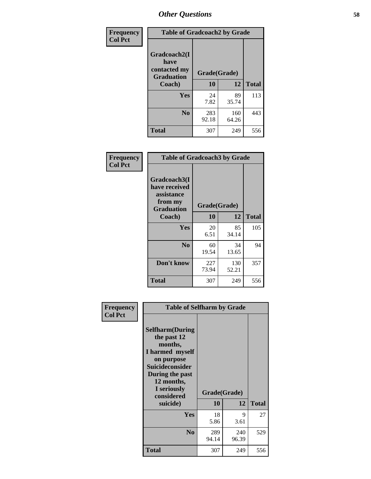| Frequency      | <b>Table of Gradcoach2 by Grade</b> |              |              |              |  |
|----------------|-------------------------------------|--------------|--------------|--------------|--|
| <b>Col Pct</b> | Gradcoach2(I<br>have                |              |              |              |  |
|                | contacted my<br><b>Graduation</b>   | Grade(Grade) |              |              |  |
|                | Coach)                              | 10           | 12           | <b>Total</b> |  |
|                | Yes                                 | 24<br>7.82   | 89<br>35.74  | 113          |  |
|                | N <sub>0</sub>                      | 283<br>92.18 | 160<br>64.26 | 443          |  |
|                | <b>Total</b>                        | 307          | 249          | 556          |  |

| Frequency<br><b>Col Pct</b> | <b>Table of Gradcoach3 by Grade</b>                                         |              |              |              |
|-----------------------------|-----------------------------------------------------------------------------|--------------|--------------|--------------|
|                             | Gradcoach3(I<br>have received<br>assistance<br>from my<br><b>Graduation</b> | Grade(Grade) |              |              |
|                             | Coach)                                                                      | 10           | 12           | <b>Total</b> |
|                             | Yes                                                                         | 20           | 85           | 105          |
|                             |                                                                             | 6.51         | 34.14        |              |
|                             | N <sub>0</sub>                                                              | 60           | 34           | 94           |
|                             |                                                                             | 19.54        | 13.65        |              |
|                             | Don't know                                                                  | 227<br>73.94 | 130<br>52.21 | 357          |
|                             | <b>Total</b>                                                                | 307          | 249          | 556          |

| Frequency<br><b>Col Pct</b> | <b>Table of Selfharm by Grade</b>                                                                                                                                                      |                    |              |              |
|-----------------------------|----------------------------------------------------------------------------------------------------------------------------------------------------------------------------------------|--------------------|--------------|--------------|
|                             | <b>Selfharm</b> (During<br>the past 12<br>months,<br>I harmed myself<br>on purpose<br><b>Suicideconsider</b><br>During the past<br>12 months,<br>I seriously<br>considered<br>suicide) | Grade(Grade)<br>10 | 12           | <b>Total</b> |
|                             | Yes                                                                                                                                                                                    | 18<br>5.86         | 9<br>3.61    | 27           |
|                             | N <sub>0</sub>                                                                                                                                                                         | 289<br>94.14       | 240<br>96.39 | 529          |
|                             | <b>Total</b>                                                                                                                                                                           | 307                | 249          | 556          |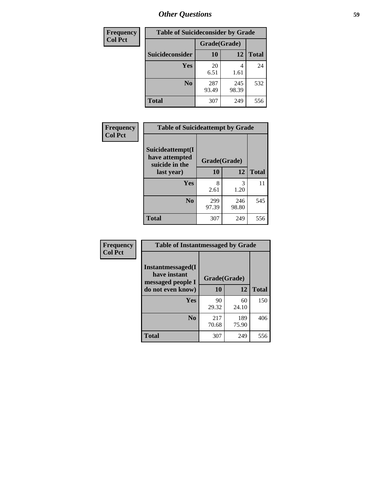| <b>Frequency</b> |                 |              | <b>Table of Suicideconsider by Grade</b> |              |  |
|------------------|-----------------|--------------|------------------------------------------|--------------|--|
| <b>Col Pct</b>   |                 | Grade(Grade) |                                          |              |  |
|                  | Suicideconsider | <b>10</b>    | 12                                       | <b>Total</b> |  |
|                  | Yes             | 20<br>6.51   | 4<br>1.61                                | 24           |  |
|                  | N <sub>0</sub>  | 287<br>93.49 | 245<br>98.39                             | 532          |  |
|                  | Total           | 307          | 249                                      | 556          |  |

| Frequency      | <b>Table of Suicideattempt by Grade</b>                            |              |              |              |
|----------------|--------------------------------------------------------------------|--------------|--------------|--------------|
| <b>Col Pct</b> | Suicideattempt(I<br>have attempted<br>suicide in the<br>last year) | Grade(Grade) |              |              |
|                |                                                                    | 10           | 12           | <b>Total</b> |
|                | Yes                                                                | 8<br>2.61    | 3<br>1.20    | 11           |
|                | N <sub>0</sub>                                                     | 299<br>97.39 | 246<br>98.80 | 545          |
|                | <b>Total</b>                                                       | 307          | 249          | 556          |

| Frequency      | <b>Table of Instantmessaged by Grade</b>               |              |              |              |
|----------------|--------------------------------------------------------|--------------|--------------|--------------|
| <b>Col Pct</b> | Instantmessaged(I<br>have instant<br>messaged people I | Grade(Grade) |              |              |
|                | do not even know)                                      | 10           | 12           | <b>Total</b> |
|                | Yes                                                    | 90<br>29.32  | 60<br>24.10  | 150          |
|                | N <sub>0</sub>                                         | 217<br>70.68 | 189<br>75.90 | 406          |
|                | <b>Total</b>                                           | 307          | 249          | 556          |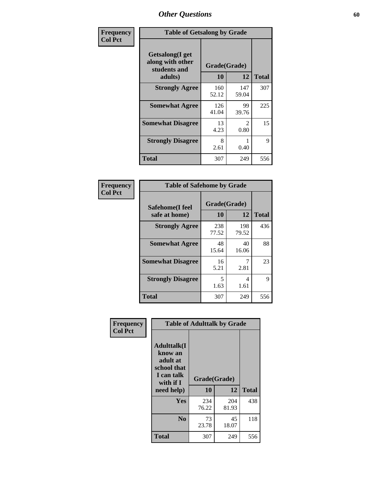| Frequency      | <b>Table of Getsalong by Grade</b>                          |              |                       |              |  |  |  |
|----------------|-------------------------------------------------------------|--------------|-----------------------|--------------|--|--|--|
| <b>Col Pct</b> | <b>Getsalong</b> (I get<br>along with other<br>students and | Grade(Grade) |                       |              |  |  |  |
|                | adults)                                                     | 10           | 12                    | <b>Total</b> |  |  |  |
|                | <b>Strongly Agree</b>                                       | 160<br>52.12 | 147<br>59.04          | 307          |  |  |  |
|                | <b>Somewhat Agree</b>                                       | 126<br>41.04 | 99<br>39.76           | 225          |  |  |  |
|                | <b>Somewhat Disagree</b>                                    | 13<br>4.23   | $\mathcal{L}$<br>0.80 | 15           |  |  |  |
|                | <b>Strongly Disagree</b>                                    | 8<br>2.61    | 0.40                  | 9            |  |  |  |
|                | <b>Total</b>                                                | 307          | 249                   | 556          |  |  |  |

| Frequency      | <b>Table of Safehome by Grade</b> |                    |              |              |  |  |  |  |
|----------------|-----------------------------------|--------------------|--------------|--------------|--|--|--|--|
| <b>Col Pct</b> | Safehome(I feel<br>safe at home)  | Grade(Grade)<br>10 | 12           | <b>Total</b> |  |  |  |  |
|                | <b>Strongly Agree</b>             | 238<br>77.52       | 198<br>79.52 | 436          |  |  |  |  |
|                | <b>Somewhat Agree</b>             | 48<br>15.64        | 40<br>16.06  | 88           |  |  |  |  |
|                | <b>Somewhat Disagree</b>          | 16<br>5.21         | 2.81         | 23           |  |  |  |  |
|                | <b>Strongly Disagree</b>          | 5<br>1.63          | 4<br>1.61    | 9            |  |  |  |  |
|                | <b>Total</b>                      | 307                | 249          | 556          |  |  |  |  |

| Frequency      |                                                                                     | <b>Table of Adulttalk by Grade</b> |              |              |
|----------------|-------------------------------------------------------------------------------------|------------------------------------|--------------|--------------|
| <b>Col Pct</b> | <b>Adulttalk(I</b><br>know an<br>adult at<br>school that<br>I can talk<br>with if I | Grade(Grade)<br>10                 | 12           | <b>Total</b> |
|                | need help)                                                                          |                                    |              |              |
|                | <b>Yes</b>                                                                          | 234<br>76.22                       | 204<br>81.93 | 438          |
|                | N <sub>0</sub>                                                                      | 73<br>23.78                        | 45<br>18.07  | 118          |
|                | <b>Total</b>                                                                        | 307                                | 249          | 556          |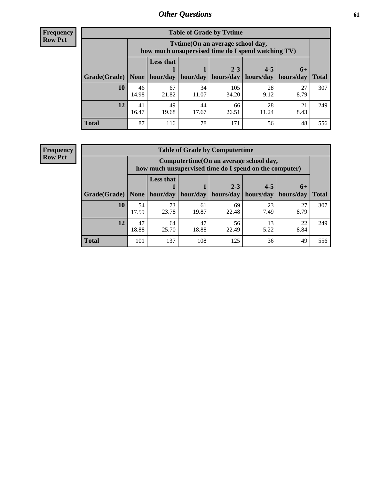**Frequency Row Pct**

| <b>Table of Grade by Tytime</b> |             |                                                                                                                              |             |              |             |            |     |  |  |
|---------------------------------|-------------|------------------------------------------------------------------------------------------------------------------------------|-------------|--------------|-------------|------------|-----|--|--|
|                                 |             | Tvtime(On an average school day,<br>how much unsupervised time do I spend watching TV)                                       |             |              |             |            |     |  |  |
| Grade(Grade)   None             |             | <b>Less that</b><br>$2 - 3$<br>$4 - 5$<br>$6+$<br>hour/day   hour/day   hours/day<br>  hours/day   hours/day<br><b>Total</b> |             |              |             |            |     |  |  |
| 10                              | 46<br>14.98 | 67<br>21.82                                                                                                                  | 34<br>11.07 | 105<br>34.20 | 28<br>9.12  | 27<br>8.79 | 307 |  |  |
| 12                              | 41<br>16.47 | 49<br>19.68                                                                                                                  | 44<br>17.67 | 66<br>26.51  | 28<br>11.24 | 21<br>8.43 | 249 |  |  |
| <b>Total</b>                    | 87          | 116                                                                                                                          | 78          | 171          | 56          | 48         | 556 |  |  |

**Frequency Row Pct**

| <b>Table of Grade by Computertime</b> |             |                                                                                                   |             |                      |                      |                     |              |  |  |  |
|---------------------------------------|-------------|---------------------------------------------------------------------------------------------------|-------------|----------------------|----------------------|---------------------|--------------|--|--|--|
|                                       |             | Computertime (On an average school day,<br>how much unsupervised time do I spend on the computer) |             |                      |                      |                     |              |  |  |  |
| Grade(Grade)                          | None $ $    | <b>Less that</b><br>hour/day                                                                      | hour/day    | $2 - 3$<br>hours/day | $4 - 5$<br>hours/day | $6+$<br>  hours/day | <b>Total</b> |  |  |  |
| 10                                    | 54<br>17.59 | 73<br>23.78                                                                                       | 61<br>19.87 | 69<br>22.48          | 23<br>7.49           | 27<br>8.79          | 307          |  |  |  |
| 12                                    | 47<br>18.88 | 47<br>22<br>64<br>56<br>13<br>18.88<br>22.49<br>8.84<br>25.70<br>5.22                             |             |                      |                      |                     |              |  |  |  |
| <b>Total</b>                          | 101         | 137                                                                                               | 108         | 125                  | 36                   | 49                  | 556          |  |  |  |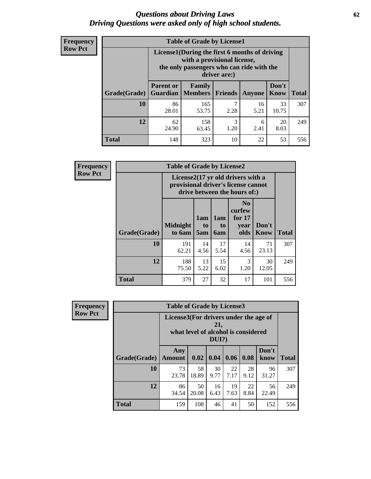#### *Questions about Driving Laws* **62** *Driving Questions were asked only of high school students.*

| <b>Frequency</b> |
|------------------|
| <b>Row Pct</b>   |

| <b>Table of Grade by License1</b> |                                                                     |                                                                                                                                           |                |            |               |              |  |  |  |
|-----------------------------------|---------------------------------------------------------------------|-------------------------------------------------------------------------------------------------------------------------------------------|----------------|------------|---------------|--------------|--|--|--|
|                                   |                                                                     | License1(During the first 6 months of driving<br>with a provisional license,<br>the only passengers who can ride with the<br>driver are:) |                |            |               |              |  |  |  |
| Grade(Grade)                      | <b>Parent or</b><br><b>Guardian</b>                                 | Family<br><b>Members</b>                                                                                                                  | <b>Friends</b> | Anyone     | Don't<br>Know | <b>Total</b> |  |  |  |
| 10                                | 86<br>28.01                                                         | 165<br>53.75                                                                                                                              | 7<br>2.28      | 16<br>5.21 | 33<br>10.75   | 307          |  |  |  |
| 12                                | 158<br>3<br>20<br>62<br>6<br>24.90<br>2.41<br>8.03<br>1.20<br>63.45 |                                                                                                                                           |                |            |               |              |  |  |  |
| <b>Total</b>                      | 148                                                                 | 323                                                                                                                                       | 10             | 22         | 53            | 556          |  |  |  |

| <b>Frequency</b> | <b>Table of Grade by License2</b> |                                                                                                          |                  |                                     |                                                      |                      |              |
|------------------|-----------------------------------|----------------------------------------------------------------------------------------------------------|------------------|-------------------------------------|------------------------------------------------------|----------------------|--------------|
| <b>Row Pct</b>   |                                   | License2(17 yr old drivers with a<br>provisional driver's license cannot<br>drive between the hours of:) |                  |                                     |                                                      |                      |              |
|                  | Grade(Grade)                      | <b>Midnight</b><br>to 6am                                                                                | 1am<br>to<br>5am | 1am<br>t <sub>0</sub><br><b>6am</b> | N <sub>0</sub><br>curfew<br>for $17$<br>vear<br>olds | Don't<br><b>Know</b> | <b>Total</b> |
|                  | 10                                | 191<br>62.21                                                                                             | 14<br>4.56       | 17<br>5.54                          | 14<br>4.56                                           | 71<br>23.13          | 307          |
|                  | 12                                | 188<br>75.50                                                                                             | 249              |                                     |                                                      |                      |              |
|                  | <b>Total</b>                      | 379                                                                                                      | 27               | 32                                  | 17                                                   | 101                  | 556          |

| Frequency      |              | <b>Table of Grade by License3</b>     |                                     |              |            |            |               |              |  |  |
|----------------|--------------|---------------------------------------|-------------------------------------|--------------|------------|------------|---------------|--------------|--|--|
| <b>Row Pct</b> |              | License3(For drivers under the age of | what level of alcohol is considered | 21,<br>DUI?) |            |            |               |              |  |  |
|                | Grade(Grade) | Any<br><b>Amount</b>                  | 0.02                                | 0.04         | 0.06       | 0.08       | Don't<br>know | <b>Total</b> |  |  |
|                | 10           | 73<br>23.78                           | 58<br>18.89                         | 30<br>9.77   | 22<br>7.17 | 28<br>9.12 | 96<br>31.27   | 307          |  |  |
|                | 12           | 86<br>34.54                           | 50<br>20.08                         | 16<br>6.43   | 19<br>7.63 | 22<br>8.84 | 56<br>22.49   | 249          |  |  |
|                | <b>Total</b> | 159                                   | 108                                 | 46           | 41         | 50         | 152           | 556          |  |  |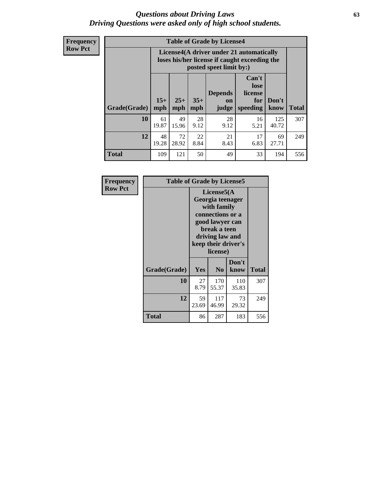#### *Questions about Driving Laws* **63** *Driving Questions were asked only of high school students.*

**Frequency Row Pct**

| <b>Table of Grade by License4</b> |             |                                                                                                                                                                                                                                                                                       |            |            |            |              |     |  |  |
|-----------------------------------|-------------|---------------------------------------------------------------------------------------------------------------------------------------------------------------------------------------------------------------------------------------------------------------------------------------|------------|------------|------------|--------------|-----|--|--|
|                                   |             | License4(A driver under 21 automatically<br>loses his/her license if caught exceeding the<br>posted speet limit by:)<br>Can't<br>lose<br><b>Depends</b><br>license<br>$15+$<br>$25+$<br>$35+$<br>Don't<br>for<br><b>on</b><br><b>Total</b><br>mph<br>speeding<br>mph<br>judge<br>know |            |            |            |              |     |  |  |
| Grade(Grade)                      | mph         |                                                                                                                                                                                                                                                                                       |            |            |            |              |     |  |  |
| 10                                | 61<br>19.87 | 49<br>15.96                                                                                                                                                                                                                                                                           | 28<br>9.12 | 28<br>9.12 | 16<br>5.21 | 125<br>40.72 | 307 |  |  |
| 12                                | 48<br>19.28 | 22<br>21<br>72<br>17<br>69<br>28.92<br>8.84<br>6.83<br>8.43<br>27.71                                                                                                                                                                                                                  |            |            |            |              |     |  |  |
| <b>Total</b>                      | 109         | 121                                                                                                                                                                                                                                                                                   | 50         | 49         | 33         | 194          | 556 |  |  |

| Frequency      | <b>Table of Grade by License5</b> |             |                                                                                                                                      |                     |       |
|----------------|-----------------------------------|-------------|--------------------------------------------------------------------------------------------------------------------------------------|---------------------|-------|
| <b>Row Pct</b> |                                   |             | License5(A)<br>Georgia teenager<br>with family<br>connections or a<br>good lawyer can<br>break a teen<br>driving law and<br>license) | keep their driver's |       |
|                | Grade(Grade)                      | <b>Yes</b>  | N <sub>0</sub>                                                                                                                       | Don't<br>know       | Total |
|                | <b>10</b>                         | 27<br>8.79  | 170<br>55.37                                                                                                                         | 110<br>35.83        | 307   |
|                | 12                                | 59<br>23.69 | 117<br>46.99                                                                                                                         | 73<br>29.32         | 249   |
|                | <b>Total</b>                      | 86          | 287                                                                                                                                  | 183                 | 556   |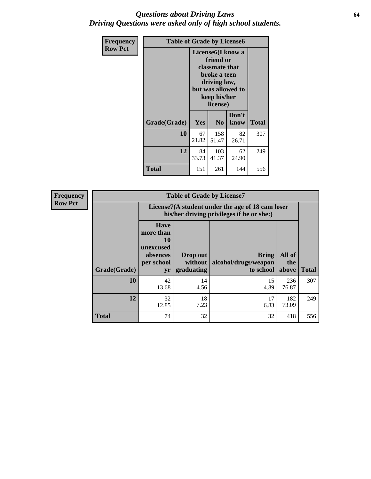#### *Questions about Driving Laws* **64** *Driving Questions were asked only of high school students.*

| <b>Frequency</b> | <b>Table of Grade by License6</b> |                                                                                                                                                 |                |               |       |  |
|------------------|-----------------------------------|-------------------------------------------------------------------------------------------------------------------------------------------------|----------------|---------------|-------|--|
| <b>Row Pct</b>   |                                   | License <sub>6</sub> (I know a<br>friend or<br>classmate that<br>broke a teen<br>driving law,<br>but was allowed to<br>keep his/her<br>license) |                |               |       |  |
|                  | Grade(Grade)                      | Yes                                                                                                                                             | N <sub>0</sub> | Don't<br>know | Total |  |
|                  | 10                                | 67<br>21.82                                                                                                                                     | 158<br>51.47   | 82<br>26.71   | 307   |  |
|                  | 12                                | 84<br>33.73                                                                                                                                     | 249            |               |       |  |
|                  | <b>Total</b>                      | 151                                                                                                                                             | 261            | 144           | 556   |  |

| <b>Frequency</b> | <b>Table of Grade by License7</b> |                                                                                               |                                   |                                            |                        |              |
|------------------|-----------------------------------|-----------------------------------------------------------------------------------------------|-----------------------------------|--------------------------------------------|------------------------|--------------|
| <b>Row Pct</b>   |                                   | License7(A student under the age of 18 cam loser<br>his/her driving privileges if he or she:) |                                   |                                            |                        |              |
|                  | Grade(Grade)                      | <b>Have</b><br>more than<br>10<br>unexcused<br>absences<br>per school<br>yr                   | Drop out<br>without<br>graduating | Bring<br>alcohol/drugs/weapon<br>to school | All of<br>the<br>above | <b>Total</b> |
|                  | 10                                | 42<br>13.68                                                                                   | 14<br>4.56                        | 15<br>4.89                                 | 236<br>76.87           | 307          |
|                  | 12                                | 32<br>12.85                                                                                   | 18<br>7.23                        | 17<br>6.83                                 | 182<br>73.09           | 249          |
|                  | <b>Total</b>                      | 74                                                                                            | 32                                | 32                                         | 418                    | 556          |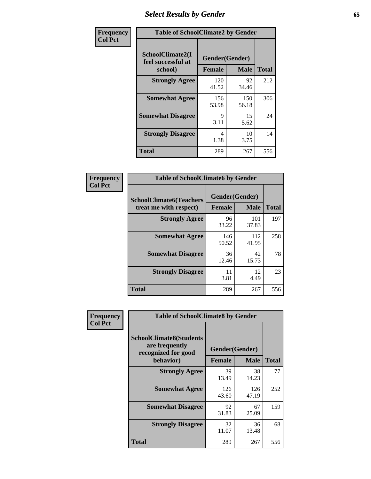# *Select Results by Gender* **65**

| Frequency      | <b>Table of SchoolClimate2 by Gender</b>          |                                 |              |              |
|----------------|---------------------------------------------------|---------------------------------|--------------|--------------|
| <b>Col Pct</b> | SchoolClimate2(I<br>feel successful at<br>school) | Gender(Gender)<br><b>Female</b> | <b>Male</b>  | <b>Total</b> |
|                | <b>Strongly Agree</b>                             | 120<br>41.52                    | 92<br>34.46  | 212          |
|                | <b>Somewhat Agree</b>                             | 156<br>53.98                    | 150<br>56.18 | 306          |
|                | <b>Somewhat Disagree</b>                          | 9<br>3.11                       | 15<br>5.62   | 24           |
|                | <b>Strongly Disagree</b>                          | 4<br>1.38                       | 10<br>3.75   | 14           |
|                | <b>Total</b>                                      | 289                             | 267          | 556          |

| <b>Frequency</b> | <b>Table of SchoolClimate6 by Gender</b>                 |                                 |              |              |  |
|------------------|----------------------------------------------------------|---------------------------------|--------------|--------------|--|
| <b>Col Pct</b>   | <b>SchoolClimate6(Teachers</b><br>treat me with respect) | Gender(Gender)<br><b>Female</b> | <b>Male</b>  | <b>Total</b> |  |
|                  | <b>Strongly Agree</b>                                    | 96<br>33.22                     | 101<br>37.83 | 197          |  |
|                  | <b>Somewhat Agree</b>                                    | 146<br>50.52                    | 112<br>41.95 | 258          |  |
|                  | <b>Somewhat Disagree</b>                                 | 36<br>12.46                     | 42<br>15.73  | 78           |  |
|                  | <b>Strongly Disagree</b>                                 | 11<br>3.81                      | 12<br>4.49   | 23           |  |
|                  | <b>Total</b>                                             | 289                             | 267          | 556          |  |

| Frequency      | <b>Table of SchoolClimate8 by Gender</b>                                             |                                 |              |              |
|----------------|--------------------------------------------------------------------------------------|---------------------------------|--------------|--------------|
| <b>Col Pct</b> | <b>SchoolClimate8(Students</b><br>are frequently<br>recognized for good<br>behavior) | Gender(Gender)<br><b>Female</b> | <b>Male</b>  | <b>Total</b> |
|                | <b>Strongly Agree</b>                                                                | 39<br>13.49                     | 38<br>14.23  | 77           |
|                | <b>Somewhat Agree</b>                                                                | 126<br>43.60                    | 126<br>47.19 | 252          |
|                | <b>Somewhat Disagree</b>                                                             | 92<br>31.83                     | 67<br>25.09  | 159          |
|                | <b>Strongly Disagree</b>                                                             | 32<br>11.07                     | 36<br>13.48  | 68           |
|                | Total                                                                                | 289                             | 267          | 556          |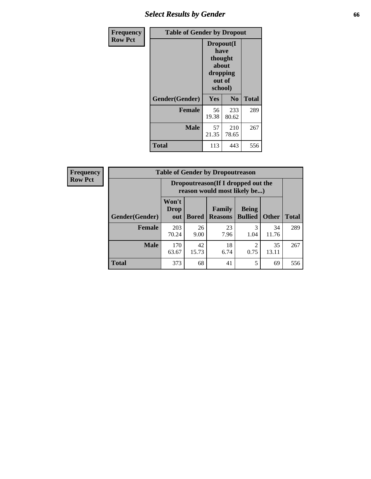## *Select Results by Gender* **66**

| Frequency      | <b>Table of Gender by Dropout</b> |                                                                        |                |              |
|----------------|-----------------------------------|------------------------------------------------------------------------|----------------|--------------|
| <b>Row Pct</b> |                                   | Dropout(I<br>have<br>thought<br>about<br>dropping<br>out of<br>school) |                |              |
|                | Gender(Gender)                    | Yes                                                                    | N <sub>0</sub> | <b>Total</b> |
|                | <b>Female</b>                     | 56<br>19.38                                                            | 233<br>80.62   | 289          |
|                | <b>Male</b>                       | 57<br>21.35                                                            | 210<br>78.65   | 267          |
|                | <b>Total</b>                      | 113                                                                    | 443            | 556          |

| <b>Frequency</b> | <b>Table of Gender by Dropoutreason</b> |                                                                    |              |                                 |                                |              |              |
|------------------|-----------------------------------------|--------------------------------------------------------------------|--------------|---------------------------------|--------------------------------|--------------|--------------|
| <b>Row Pct</b>   |                                         | Dropoutreason(If I dropped out the<br>reason would most likely be) |              |                                 |                                |              |              |
|                  | Gender(Gender)                          | Won't<br><b>Drop</b><br>out                                        | <b>Bored</b> | <b>Family</b><br><b>Reasons</b> | <b>Being</b><br><b>Bullied</b> | <b>Other</b> | <b>Total</b> |
|                  | Female                                  | 203<br>70.24                                                       | 26<br>9.00   | 23<br>7.96                      | 3<br>1.04                      | 34<br>11.76  | 289          |
|                  | <b>Male</b>                             | 170<br>63.67                                                       | 42<br>15.73  | 18<br>6.74                      | 0.75                           | 35<br>13.11  | 267          |
|                  | <b>Total</b>                            | 373                                                                | 68           | 41                              | 5                              | 69           | 556          |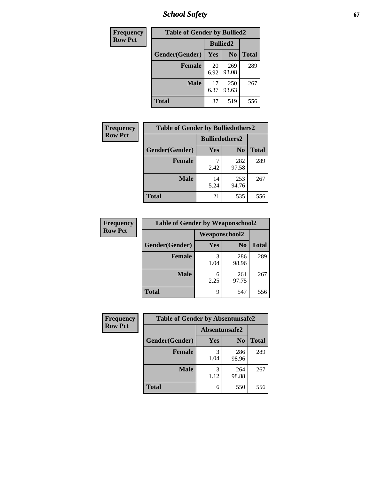*School Safety* **67**

| Frequency      | <b>Table of Gender by Bullied2</b> |                 |                |              |
|----------------|------------------------------------|-----------------|----------------|--------------|
| <b>Row Pct</b> |                                    | <b>Bullied2</b> |                |              |
|                | Gender(Gender)                     | Yes             | N <sub>0</sub> | <b>Total</b> |
|                | <b>Female</b>                      | 20<br>6.92      | 269<br>93.08   | 289          |
|                | <b>Male</b>                        | 17<br>6.37      | 250<br>93.63   | 267          |
|                | <b>Total</b>                       | 37              | 519            | 556          |

| <b>Frequency</b> | <b>Table of Gender by Bulliedothers2</b> |                       |                |              |  |
|------------------|------------------------------------------|-----------------------|----------------|--------------|--|
| <b>Row Pct</b>   |                                          | <b>Bulliedothers2</b> |                |              |  |
|                  | Gender(Gender)                           | Yes                   | N <sub>0</sub> | <b>Total</b> |  |
|                  | <b>Female</b>                            | 2.42                  | 282<br>97.58   | 289          |  |
|                  | <b>Male</b>                              | 14<br>5.24            | 253<br>94.76   | 267          |  |
|                  | <b>Total</b>                             | 21                    | 535            | 556          |  |

| Frequency      | <b>Table of Gender by Weaponschool2</b> |                      |                |              |
|----------------|-----------------------------------------|----------------------|----------------|--------------|
| <b>Row Pct</b> |                                         | <b>Weaponschool2</b> |                |              |
|                | Gender(Gender)                          | Yes                  | N <sub>0</sub> | <b>Total</b> |
|                | <b>Female</b>                           | 3<br>1.04            | 286<br>98.96   | 289          |
|                | <b>Male</b>                             | 6<br>2.25            | 261<br>97.75   | 267          |
|                | <b>Total</b>                            | 9                    | 547            | 556          |

| Frequency      | <b>Table of Gender by Absentunsafe2</b> |               |                |              |
|----------------|-----------------------------------------|---------------|----------------|--------------|
| <b>Row Pct</b> |                                         | Absentunsafe2 |                |              |
|                | Gender(Gender)                          | Yes           | N <sub>0</sub> | <b>Total</b> |
|                | <b>Female</b>                           | 1.04          | 286<br>98.96   | 289          |
|                | <b>Male</b>                             | 1.12          | 264<br>98.88   | 267          |
|                | <b>Total</b>                            | 6             | 550            | 556          |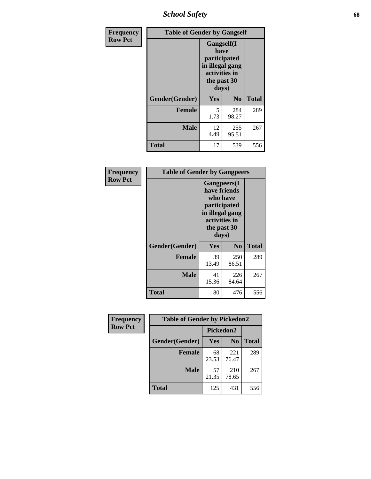*School Safety* **68**

| Frequency      | <b>Table of Gender by Gangself</b> |                                                                                                |              |              |
|----------------|------------------------------------|------------------------------------------------------------------------------------------------|--------------|--------------|
| <b>Row Pct</b> |                                    | Gangself(I<br>have<br>participated<br>in illegal gang<br>activities in<br>the past 30<br>days) |              |              |
|                | Gender(Gender)                     | Yes                                                                                            | No           | <b>Total</b> |
|                | <b>Female</b>                      | 5<br>1.73                                                                                      | 284<br>98.27 | 289          |
|                | <b>Male</b>                        | 12<br>4.49                                                                                     | 255<br>95.51 | 267          |
|                | <b>Total</b>                       | 17                                                                                             | 539          | 556          |

| Frequency      | <b>Table of Gender by Gangpeers</b> |                                                                                                                             |                |              |
|----------------|-------------------------------------|-----------------------------------------------------------------------------------------------------------------------------|----------------|--------------|
| <b>Row Pct</b> |                                     | <b>Gangpeers</b> (I<br>have friends<br>who have<br>participated<br>in illegal gang<br>activities in<br>the past 30<br>days) |                |              |
|                | Gender(Gender)                      | Yes                                                                                                                         | N <sub>0</sub> | <b>Total</b> |
|                | <b>Female</b>                       | 39<br>13.49                                                                                                                 | 250<br>86.51   | 289          |
|                | <b>Male</b>                         | 41<br>15.36                                                                                                                 | 226<br>84.64   | 267          |
|                | <b>Total</b>                        | 80                                                                                                                          | 476            | 556          |

| <b>Frequency</b> | <b>Table of Gender by Pickedon2</b> |             |                |              |
|------------------|-------------------------------------|-------------|----------------|--------------|
| <b>Row Pct</b>   |                                     | Pickedon2   |                |              |
|                  | Gender(Gender)                      | Yes         | N <sub>0</sub> | <b>Total</b> |
|                  | <b>Female</b>                       | 68<br>23.53 | 221<br>76.47   | 289          |
|                  | <b>Male</b>                         | 57<br>21.35 | 210<br>78.65   | 267          |
|                  | <b>Total</b>                        | 125<br>431  |                | 556          |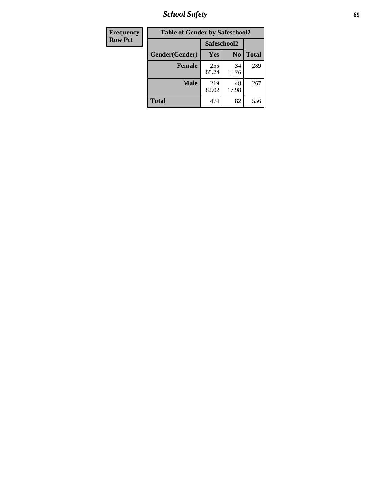*School Safety* **69**

| Frequency      | <b>Table of Gender by Safeschool2</b> |              |                |              |
|----------------|---------------------------------------|--------------|----------------|--------------|
| <b>Row Pct</b> |                                       | Safeschool2  |                |              |
|                | Gender(Gender)                        | <b>Yes</b>   | N <sub>0</sub> | <b>Total</b> |
|                | <b>Female</b>                         | 255<br>88.24 | 34<br>11.76    | 289          |
|                | Male                                  | 219<br>82.02 | 48<br>17.98    | 267          |
|                | <b>Total</b>                          | 474          | 82             | 556          |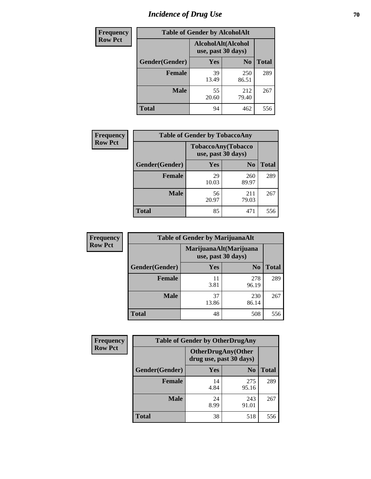# *Incidence of Drug Use* **70**

| <b>Frequency</b> | <b>Table of Gender by AlcoholAlt</b> |                                          |                |              |  |
|------------------|--------------------------------------|------------------------------------------|----------------|--------------|--|
| <b>Row Pct</b>   |                                      | AlcoholAlt(Alcohol<br>use, past 30 days) |                |              |  |
|                  | Gender(Gender)                       | <b>Yes</b>                               | N <sub>0</sub> | <b>Total</b> |  |
|                  | <b>Female</b>                        | 39<br>13.49                              | 250<br>86.51   | 289          |  |
|                  | <b>Male</b>                          | 55<br>20.60                              | 212<br>79.40   | 267          |  |
|                  | <b>Total</b>                         | 94                                       | 462            | 556          |  |

| Frequency      | <b>Table of Gender by TobaccoAny</b> |                    |                            |              |  |
|----------------|--------------------------------------|--------------------|----------------------------|--------------|--|
| <b>Row Pct</b> |                                      | use, past 30 days) | <b>TobaccoAny</b> (Tobacco |              |  |
|                | Gender(Gender)                       | Yes                | N <sub>0</sub>             | <b>Total</b> |  |
|                | <b>Female</b>                        | 29<br>10.03        | 260<br>89.97               | 289          |  |
|                | <b>Male</b>                          | 56<br>20.97        | 211<br>79.03               | 267          |  |
|                | <b>Total</b>                         | 85                 | 471                        | 556          |  |

| <b>Frequency</b> |                | <b>Table of Gender by MarijuanaAlt</b> |                                              |              |
|------------------|----------------|----------------------------------------|----------------------------------------------|--------------|
| <b>Row Pct</b>   |                |                                        | MarijuanaAlt(Marijuana<br>use, past 30 days) |              |
|                  | Gender(Gender) | <b>Yes</b>                             | N <sub>0</sub>                               | <b>Total</b> |
|                  | <b>Female</b>  | 11<br>3.81                             | 278<br>96.19                                 | 289          |
|                  | <b>Male</b>    | 37<br>13.86                            | 230<br>86.14                                 | 267          |
|                  | <b>Total</b>   | 48                                     | 508                                          | 556          |

| <b>Frequency</b> | <b>Table of Gender by OtherDrugAny</b> |                         |                            |              |  |
|------------------|----------------------------------------|-------------------------|----------------------------|--------------|--|
| <b>Row Pct</b>   |                                        | drug use, past 30 days) | <b>OtherDrugAny</b> (Other |              |  |
|                  | Gender(Gender)                         | <b>Yes</b>              | N <sub>0</sub>             | <b>Total</b> |  |
|                  | <b>Female</b>                          | 14<br>4.84              | 275<br>95.16               | 289          |  |
|                  | <b>Male</b>                            | 24<br>8.99              | 243<br>91.01               | 267          |  |
|                  | <b>Total</b>                           | 38                      | 518                        | 556          |  |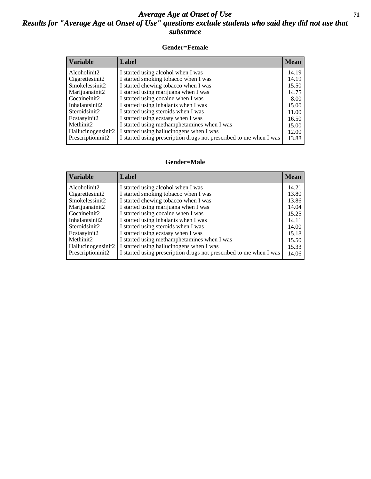#### *Average Age at Onset of Use* **71** *Results for "Average Age at Onset of Use" questions exclude students who said they did not use that substance*

#### **Gender=Female**

| <b>Variable</b>    | <b>Label</b>                                                       | <b>Mean</b> |
|--------------------|--------------------------------------------------------------------|-------------|
| Alcoholinit2       | I started using alcohol when I was                                 | 14.19       |
| Cigarettesinit2    | I started smoking tobacco when I was                               | 14.19       |
| Smokelessinit2     | I started chewing tobacco when I was                               | 15.50       |
| Marijuanainit2     | I started using marijuana when I was                               | 14.75       |
| Cocaineinit2       | I started using cocaine when I was                                 | 8.00        |
| Inhalantsinit2     | I started using inhalants when I was                               | 15.00       |
| Steroidsinit2      | I started using steroids when I was                                | 11.00       |
| Ecstasyinit2       | I started using ecstasy when I was                                 | 16.50       |
| Methinit2          | I started using methamphetamines when I was                        | 15.00       |
| Hallucinogensinit2 | I started using hallucinogens when I was                           | 12.00       |
| Prescription in t2 | I started using prescription drugs not prescribed to me when I was | 13.88       |
|                    |                                                                    |             |

#### **Gender=Male**

| <b>Variable</b>       | Label                                                              | <b>Mean</b> |
|-----------------------|--------------------------------------------------------------------|-------------|
| Alcoholinit2          | I started using alcohol when I was                                 | 14.21       |
| Cigarettesinit2       | I started smoking tobacco when I was                               | 13.80       |
| Smokelessinit2        | I started chewing tobacco when I was                               | 13.86       |
| Marijuanainit2        | I started using marijuana when I was                               | 14.04       |
| Cocaineinit2          | I started using cocaine when I was                                 | 15.25       |
| Inhalantsinit2        | I started using inhalants when I was                               | 14.11       |
| Steroidsinit2         | I started using steroids when I was                                | 14.00       |
| Ecstasyinit2          | I started using ecstasy when I was                                 | 15.18       |
| Methinit <sub>2</sub> | I started using methamphetamines when I was                        | 15.50       |
| Hallucinogensinit2    | I started using hallucinogens when I was                           | 15.33       |
| Prescriptioninit2     | I started using prescription drugs not prescribed to me when I was | 14.06       |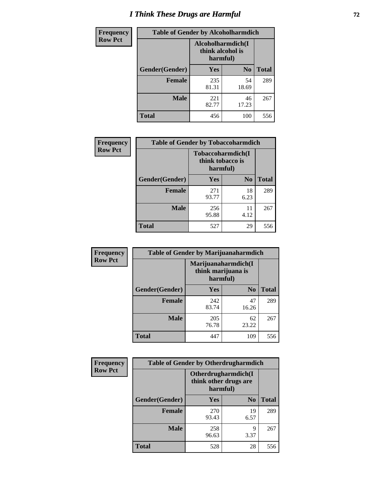# *I Think These Drugs are Harmful* **72**

| <b>Frequency</b> | <b>Table of Gender by Alcoholharmdich</b> |                                                   |                |              |
|------------------|-------------------------------------------|---------------------------------------------------|----------------|--------------|
| <b>Row Pct</b>   |                                           | Alcoholharmdich(I<br>think alcohol is<br>harmful) |                |              |
|                  | Gender(Gender)                            | <b>Yes</b>                                        | N <sub>0</sub> | <b>Total</b> |
|                  | Female                                    | 235<br>81.31                                      | 54<br>18.69    | 289          |
|                  | <b>Male</b>                               | 221<br>82.77                                      | 46<br>17.23    | 267          |
|                  | <b>Total</b>                              | 456                                               | 100            | 556          |

| Frequency      | <b>Table of Gender by Tobaccoharmdich</b> |                              |                   |              |
|----------------|-------------------------------------------|------------------------------|-------------------|--------------|
| <b>Row Pct</b> |                                           | think tobacco is<br>harmful) | Tobaccoharmdich(I |              |
|                | Gender(Gender)                            | Yes                          | N <sub>0</sub>    | <b>Total</b> |
|                | <b>Female</b>                             | 271<br>93.77                 | 18<br>6.23        | 289          |
|                | <b>Male</b>                               | 256<br>95.88                 | 11<br>4.12        | 267          |
|                | <b>Total</b>                              | 527                          | 29                | 556          |

| <b>Frequency</b> | <b>Table of Gender by Marijuanaharmdich</b> |                                                       |                |              |  |
|------------------|---------------------------------------------|-------------------------------------------------------|----------------|--------------|--|
| <b>Row Pct</b>   |                                             | Marijuanaharmdich(I<br>think marijuana is<br>harmful) |                |              |  |
|                  | Gender(Gender)                              | <b>Yes</b>                                            | N <sub>0</sub> | <b>Total</b> |  |
|                  | <b>Female</b>                               | 242<br>83.74                                          | 47<br>16.26    | 289          |  |
|                  | <b>Male</b>                                 | 205<br>76.78                                          | 62<br>23.22    | 267          |  |
|                  | <b>Total</b>                                | 447                                                   | 109            | 556          |  |

| Frequency      | <b>Table of Gender by Otherdrugharmdich</b> |                                                          |                |              |  |
|----------------|---------------------------------------------|----------------------------------------------------------|----------------|--------------|--|
| <b>Row Pct</b> |                                             | Otherdrugharmdich(I<br>think other drugs are<br>harmful) |                |              |  |
|                | Gender(Gender)                              | Yes                                                      | N <sub>0</sub> | <b>Total</b> |  |
|                | <b>Female</b>                               | 270<br>93.43                                             | 19<br>6.57     | 289          |  |
|                | <b>Male</b>                                 | 258<br>96.63                                             | 9<br>3.37      | 267          |  |
|                | <b>Total</b>                                | 528                                                      | 28             | 556          |  |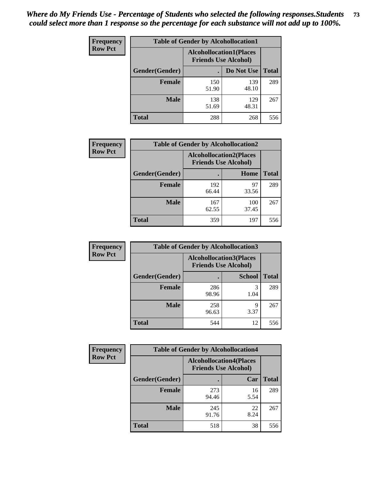| <b>Frequency</b> | <b>Table of Gender by Alcohollocation1</b> |                                                               |              |              |
|------------------|--------------------------------------------|---------------------------------------------------------------|--------------|--------------|
| <b>Row Pct</b>   |                                            | <b>Alcohollocation1(Places</b><br><b>Friends Use Alcohol)</b> |              |              |
|                  | Gender(Gender)                             |                                                               | Do Not Use   | <b>Total</b> |
|                  | <b>Female</b>                              | 150<br>51.90                                                  | 139<br>48.10 | 289          |
|                  | <b>Male</b>                                | 138<br>51.69                                                  | 129<br>48.31 | 267          |
|                  | <b>Total</b>                               | 288                                                           | 268          | 556          |

| <b>Frequency</b> | <b>Table of Gender by Alcohollocation2</b> |              |                                                               |              |
|------------------|--------------------------------------------|--------------|---------------------------------------------------------------|--------------|
| <b>Row Pct</b>   |                                            |              | <b>Alcohollocation2(Places</b><br><b>Friends Use Alcohol)</b> |              |
|                  | Gender(Gender)                             |              | Home                                                          | <b>Total</b> |
|                  | <b>Female</b>                              | 192<br>66.44 | 97<br>33.56                                                   | 289          |
|                  | <b>Male</b>                                | 167<br>62.55 | 100<br>37.45                                                  | 267          |
|                  | <b>Total</b>                               | 359          | 197                                                           | 556          |

| Frequency      | <b>Table of Gender by Alcohollocation3</b> |                                                               |               |              |
|----------------|--------------------------------------------|---------------------------------------------------------------|---------------|--------------|
| <b>Row Pct</b> |                                            | <b>Alcohollocation3(Places</b><br><b>Friends Use Alcohol)</b> |               |              |
|                | Gender(Gender)                             |                                                               | <b>School</b> | <b>Total</b> |
|                | <b>Female</b>                              | 286<br>98.96                                                  | 3<br>1.04     | 289          |
|                | <b>Male</b>                                | 258<br>96.63                                                  | 9<br>3.37     | 267          |
|                | <b>Total</b>                               | 544                                                           | 12            | 556          |

| Frequency      | <b>Table of Gender by Alcohollocation4</b> |                                                               |            |              |
|----------------|--------------------------------------------|---------------------------------------------------------------|------------|--------------|
| <b>Row Pct</b> |                                            | <b>Alcohollocation4(Places</b><br><b>Friends Use Alcohol)</b> |            |              |
|                | Gender(Gender)                             |                                                               | Car        | <b>Total</b> |
|                | <b>Female</b>                              | 273<br>94.46                                                  | 16<br>5.54 | 289          |
|                | <b>Male</b>                                | 245<br>91.76                                                  | 22<br>8.24 | 267          |
|                | <b>Total</b>                               | 518                                                           | 38         | 556          |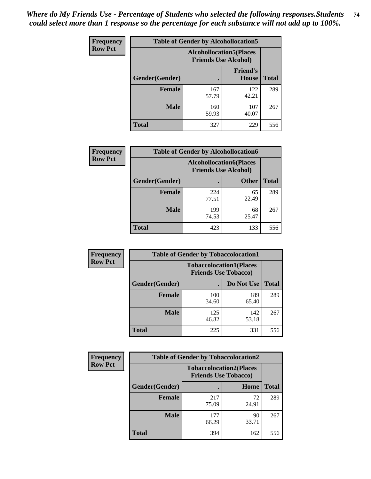| <b>Frequency</b> | <b>Table of Gender by Alcohollocation5</b> |                                                                |                                 |              |
|------------------|--------------------------------------------|----------------------------------------------------------------|---------------------------------|--------------|
| <b>Row Pct</b>   |                                            | <b>Alcohollocation5</b> (Places<br><b>Friends Use Alcohol)</b> |                                 |              |
|                  | Gender(Gender)                             |                                                                | <b>Friend's</b><br><b>House</b> | <b>Total</b> |
|                  | <b>Female</b>                              | 167<br>57.79                                                   | 122<br>42.21                    | 289          |
|                  | <b>Male</b>                                | 160<br>59.93                                                   | 107<br>40.07                    | 267          |
|                  | <b>Total</b>                               | 327                                                            | 229                             | 556          |

| <b>Frequency</b> | <b>Table of Gender by Alcohollocation6</b> |                                                               |              |              |
|------------------|--------------------------------------------|---------------------------------------------------------------|--------------|--------------|
| <b>Row Pct</b>   |                                            | <b>Alcohollocation6(Places</b><br><b>Friends Use Alcohol)</b> |              |              |
|                  | Gender(Gender)                             |                                                               | <b>Other</b> | <b>Total</b> |
|                  | <b>Female</b>                              | 224<br>77.51                                                  | 65<br>22.49  | 289          |
|                  | <b>Male</b>                                | 199<br>74.53                                                  | 68<br>25.47  | 267          |
|                  | <b>Total</b>                               | 423                                                           | 133          | 556          |

| Frequency      | <b>Table of Gender by Tobaccolocation1</b> |                                                               |              |              |  |
|----------------|--------------------------------------------|---------------------------------------------------------------|--------------|--------------|--|
| <b>Row Pct</b> |                                            | <b>Tobaccolocation1(Places</b><br><b>Friends Use Tobacco)</b> |              |              |  |
|                | Gender(Gender)                             |                                                               | Do Not Use   | <b>Total</b> |  |
|                | <b>Female</b>                              | 100<br>34.60                                                  | 189<br>65.40 | 289          |  |
|                | <b>Male</b>                                | 125<br>46.82                                                  | 142<br>53.18 | 267          |  |
|                | <b>Total</b>                               | 225                                                           | 331          | 556          |  |

| <b>Frequency</b> | <b>Table of Gender by Tobaccolocation2</b> |                                                               |             |              |  |
|------------------|--------------------------------------------|---------------------------------------------------------------|-------------|--------------|--|
| <b>Row Pct</b>   |                                            | <b>Tobaccolocation2(Places</b><br><b>Friends Use Tobacco)</b> |             |              |  |
|                  | Gender(Gender)                             |                                                               | Home        | <b>Total</b> |  |
|                  | Female                                     | 217<br>75.09                                                  | 72<br>24.91 | 289          |  |
|                  | <b>Male</b>                                | 177<br>66.29                                                  | 90<br>33.71 | 267          |  |
|                  | <b>Total</b>                               | 394                                                           | 162         | 556          |  |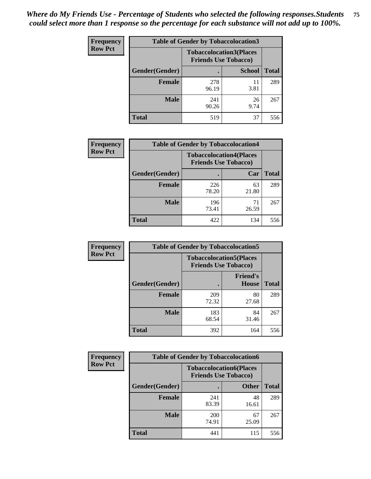| <b>Frequency</b> | <b>Table of Gender by Tobaccolocation3</b> |                                                               |               |              |  |
|------------------|--------------------------------------------|---------------------------------------------------------------|---------------|--------------|--|
| <b>Row Pct</b>   |                                            | <b>Tobaccolocation3(Places</b><br><b>Friends Use Tobacco)</b> |               |              |  |
|                  | Gender(Gender)                             |                                                               | <b>School</b> | <b>Total</b> |  |
|                  | <b>Female</b>                              | 278<br>96.19                                                  | 11<br>3.81    | 289          |  |
|                  | <b>Male</b>                                | 241<br>90.26                                                  | 26<br>9.74    | 267          |  |
|                  | Total                                      | 519                                                           | 37            | 556          |  |

| <b>Frequency</b> | <b>Table of Gender by Tobaccolocation4</b> |                             |                                |              |
|------------------|--------------------------------------------|-----------------------------|--------------------------------|--------------|
| <b>Row Pct</b>   |                                            | <b>Friends Use Tobacco)</b> | <b>Tobaccolocation4(Places</b> |              |
|                  | Gender(Gender)                             |                             | Car                            | <b>Total</b> |
|                  | <b>Female</b>                              | 226<br>78.20                | 63<br>21.80                    | 289          |
|                  | <b>Male</b>                                | 196<br>73.41                | 71<br>26.59                    | 267          |
|                  | <b>Total</b>                               | 422                         | 134                            | 556          |

| <b>Frequency</b> | <b>Table of Gender by Tobaccolocation5</b> |                                                               |                                 |              |
|------------------|--------------------------------------------|---------------------------------------------------------------|---------------------------------|--------------|
| <b>Row Pct</b>   |                                            | <b>Tobaccolocation5(Places</b><br><b>Friends Use Tobacco)</b> |                                 |              |
|                  | Gender(Gender)                             |                                                               | <b>Friend's</b><br><b>House</b> | <b>Total</b> |
|                  | <b>Female</b>                              | 209<br>72.32                                                  | 80<br>27.68                     | 289          |
|                  | <b>Male</b>                                | 183<br>68.54                                                  | 84<br>31.46                     | 267          |
|                  | <b>Total</b>                               | 392                                                           | 164                             | 556          |

| <b>Frequency</b> | <b>Table of Gender by Tobaccolocation6</b> |              |                                                               |              |
|------------------|--------------------------------------------|--------------|---------------------------------------------------------------|--------------|
| <b>Row Pct</b>   |                                            |              | <b>Tobaccolocation6(Places</b><br><b>Friends Use Tobacco)</b> |              |
|                  | Gender(Gender)                             |              | <b>Other</b>                                                  | <b>Total</b> |
|                  | Female                                     | 241<br>83.39 | 48<br>16.61                                                   | 289          |
|                  | <b>Male</b>                                | 200<br>74.91 | 67<br>25.09                                                   | 267          |
|                  | <b>Total</b>                               | 441          | 115                                                           | 556          |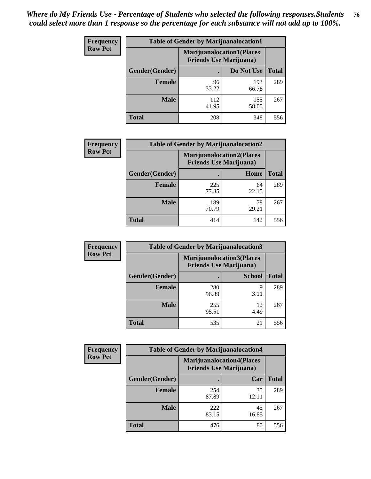| <b>Frequency</b> | <b>Table of Gender by Marijuanalocation1</b> |                                                                    |              |              |
|------------------|----------------------------------------------|--------------------------------------------------------------------|--------------|--------------|
| <b>Row Pct</b>   |                                              | <b>Marijuanalocation1(Places</b><br><b>Friends Use Marijuana</b> ) |              |              |
|                  | Gender(Gender)                               |                                                                    | Do Not Use   | <b>Total</b> |
|                  | <b>Female</b>                                | 96<br>33.22                                                        | 193<br>66.78 | 289          |
|                  | <b>Male</b>                                  | 112<br>41.95                                                       | 155<br>58.05 | 267          |
|                  | <b>Total</b>                                 | 208                                                                | 348          | 556          |

| <b>Frequency</b> | <b>Table of Gender by Marijuanalocation2</b> |                                |                                  |              |
|------------------|----------------------------------------------|--------------------------------|----------------------------------|--------------|
| <b>Row Pct</b>   |                                              | <b>Friends Use Marijuana</b> ) | <b>Marijuanalocation2(Places</b> |              |
|                  | Gender(Gender)                               |                                | Home                             | <b>Total</b> |
|                  | <b>Female</b>                                | 225<br>77.85                   | 64<br>22.15                      | 289          |
|                  | <b>Male</b>                                  | 189<br>70.79                   | 78<br>29.21                      | 267          |
|                  | Total                                        | 414                            | 142                              | 556          |

| Frequency      | <b>Table of Gender by Marijuanalocation3</b> |              |                                                                    |              |  |
|----------------|----------------------------------------------|--------------|--------------------------------------------------------------------|--------------|--|
| <b>Row Pct</b> |                                              |              | <b>Marijuanalocation3(Places</b><br><b>Friends Use Marijuana</b> ) |              |  |
|                | Gender(Gender)                               |              | <b>School</b>                                                      | <b>Total</b> |  |
|                | Female                                       | 280<br>96.89 | Q<br>3.11                                                          | 289          |  |
|                | <b>Male</b>                                  | 255<br>95.51 | 12<br>4.49                                                         | 267          |  |
|                | <b>Total</b>                                 | 535          | 21                                                                 | 556          |  |

| <b>Frequency</b> | <b>Table of Gender by Marijuanalocation4</b> |                                                                    |             |              |  |
|------------------|----------------------------------------------|--------------------------------------------------------------------|-------------|--------------|--|
| <b>Row Pct</b>   |                                              | <b>Marijuanalocation4(Places</b><br><b>Friends Use Marijuana</b> ) |             |              |  |
|                  | Gender(Gender)                               |                                                                    | Car         | <b>Total</b> |  |
|                  | <b>Female</b>                                | 254<br>87.89                                                       | 35<br>12.11 | 289          |  |
|                  | <b>Male</b>                                  | 222<br>83.15                                                       | 45<br>16.85 | 267          |  |
|                  | <b>Total</b>                                 | 476                                                                | 80          | 556          |  |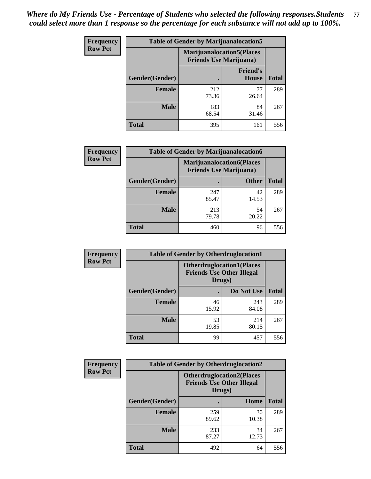| Frequency      | <b>Table of Gender by Marijuanalocation5</b> |                                                                    |                          |              |
|----------------|----------------------------------------------|--------------------------------------------------------------------|--------------------------|--------------|
| <b>Row Pct</b> |                                              | <b>Marijuanalocation5(Places</b><br><b>Friends Use Marijuana</b> ) |                          |              |
|                | Gender(Gender)                               |                                                                    | <b>Friend's</b><br>House | <b>Total</b> |
|                | <b>Female</b>                                | 212<br>73.36                                                       | 77<br>26.64              | 289          |
|                | <b>Male</b>                                  | 183<br>68.54                                                       | 84<br>31.46              | 267          |
|                | <b>Total</b>                                 | 395                                                                | 161                      | 556          |

| <b>Frequency</b> | <b>Table of Gender by Marijuanalocation6</b> |                                |                                   |              |
|------------------|----------------------------------------------|--------------------------------|-----------------------------------|--------------|
| <b>Row Pct</b>   |                                              | <b>Friends Use Marijuana</b> ) | <b>Marijuanalocation6(Places)</b> |              |
|                  | <b>Gender</b> (Gender)                       |                                | <b>Other</b>                      | <b>Total</b> |
|                  | <b>Female</b>                                | 247<br>85.47                   | 42<br>14.53                       | 289          |
|                  | <b>Male</b>                                  | 213<br>79.78                   | 54<br>20.22                       | 267          |
|                  | <b>Total</b>                                 | 460                            | 96                                | 556          |

| <b>Frequency</b> | <b>Table of Gender by Otherdruglocation1</b> |                                                                                |              |              |
|------------------|----------------------------------------------|--------------------------------------------------------------------------------|--------------|--------------|
| <b>Row Pct</b>   |                                              | <b>Otherdruglocation1(Places</b><br><b>Friends Use Other Illegal</b><br>Drugs) |              |              |
|                  | Gender(Gender)                               |                                                                                | Do Not Use   | <b>Total</b> |
|                  | <b>Female</b>                                | 46<br>15.92                                                                    | 243<br>84.08 | 289          |
|                  | <b>Male</b>                                  | 53<br>19.85                                                                    | 214<br>80.15 | 267          |
|                  | <b>Total</b>                                 | 99                                                                             | 457          | 556          |

| <b>Frequency</b> | <b>Table of Gender by Otherdruglocation2</b> |                                                                                |             |              |
|------------------|----------------------------------------------|--------------------------------------------------------------------------------|-------------|--------------|
| <b>Row Pct</b>   |                                              | <b>Otherdruglocation2(Places</b><br><b>Friends Use Other Illegal</b><br>Drugs) |             |              |
|                  | Gender(Gender)                               |                                                                                | Home        | <b>Total</b> |
|                  | Female                                       | 259<br>89.62                                                                   | 30<br>10.38 | 289          |
|                  | <b>Male</b>                                  | 233<br>87.27                                                                   | 34<br>12.73 | 267          |
|                  | <b>Total</b>                                 | 492                                                                            | 64          | 556          |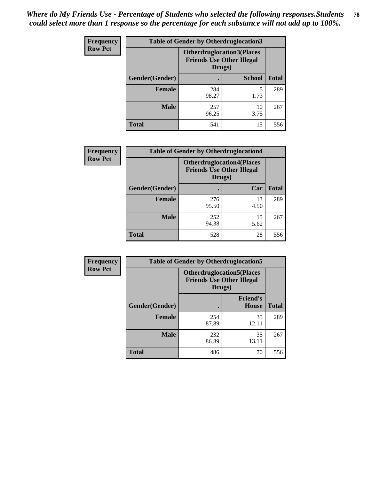| Frequency      | <b>Table of Gender by Otherdruglocation3</b> |                                                                                |               |              |
|----------------|----------------------------------------------|--------------------------------------------------------------------------------|---------------|--------------|
| <b>Row Pct</b> |                                              | <b>Otherdruglocation3(Places</b><br><b>Friends Use Other Illegal</b><br>Drugs) |               |              |
|                | Gender(Gender)                               |                                                                                | <b>School</b> | <b>Total</b> |
|                | <b>Female</b>                                | 284<br>98.27                                                                   | 5<br>1.73     | 289          |
|                | <b>Male</b>                                  | 257<br>96.25                                                                   | 10<br>3.75    | 267          |
|                | <b>Total</b>                                 | 541                                                                            | 15            | 556          |

| Frequency      | <b>Table of Gender by Otherdruglocation4</b> |                                                                                |            |              |
|----------------|----------------------------------------------|--------------------------------------------------------------------------------|------------|--------------|
| <b>Row Pct</b> |                                              | <b>Otherdruglocation4(Places</b><br><b>Friends Use Other Illegal</b><br>Drugs) |            |              |
|                | Gender(Gender)                               |                                                                                | Car        | <b>Total</b> |
|                | <b>Female</b>                                | 276<br>95.50                                                                   | 13<br>4.50 | 289          |
|                | <b>Male</b>                                  | 252<br>94.38                                                                   | 15<br>5.62 | 267          |
|                | <b>Total</b>                                 | 528                                                                            | 28         | 556          |

| Frequency      | <b>Table of Gender by Otherdruglocation5</b> |              |                                                                      |              |
|----------------|----------------------------------------------|--------------|----------------------------------------------------------------------|--------------|
| <b>Row Pct</b> |                                              | Drugs)       | <b>Otherdruglocation5(Places</b><br><b>Friends Use Other Illegal</b> |              |
|                | Gender(Gender)                               |              | <b>Friend's</b><br><b>House</b>                                      | <b>Total</b> |
|                | <b>Female</b>                                | 254<br>87.89 | 35<br>12.11                                                          | 289          |
|                | <b>Male</b>                                  | 232<br>86.89 | 35<br>13.11                                                          | 267          |
|                | <b>Total</b>                                 | 486          | 70                                                                   | 556          |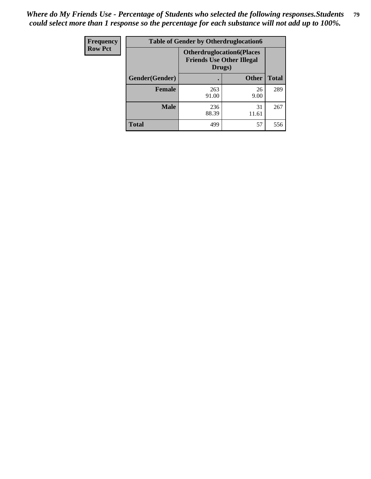| Frequency      | <b>Table of Gender by Otherdruglocation6</b> |                                            |                                  |              |
|----------------|----------------------------------------------|--------------------------------------------|----------------------------------|--------------|
| <b>Row Pct</b> |                                              | <b>Friends Use Other Illegal</b><br>Drugs) | <b>Otherdruglocation6(Places</b> |              |
|                | Gender(Gender)                               |                                            | <b>Other</b>                     | <b>Total</b> |
|                | <b>Female</b>                                | 263<br>91.00                               | 26<br>9.00                       | 289          |
|                | <b>Male</b>                                  | 236<br>88.39                               | 31<br>11.61                      | 267          |
|                | <b>Total</b>                                 | 499                                        | 57                               | 556          |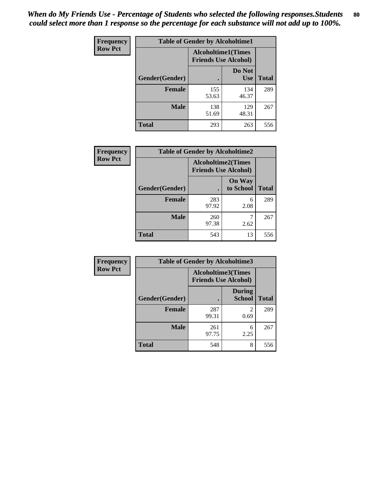| <b>Frequency</b> | <b>Table of Gender by Alcoholtime1</b> |                                                          |                      |              |
|------------------|----------------------------------------|----------------------------------------------------------|----------------------|--------------|
| <b>Row Pct</b>   |                                        | <b>Alcoholtime1(Times</b><br><b>Friends Use Alcohol)</b> |                      |              |
|                  | Gender(Gender)                         |                                                          | Do Not<br><b>Use</b> | <b>Total</b> |
|                  | <b>Female</b>                          | 155<br>53.63                                             | 134<br>46.37         | 289          |
|                  | <b>Male</b>                            | 138<br>51.69                                             | 129<br>48.31         | 267          |
|                  | <b>Total</b>                           | 293                                                      | 263                  | 556          |

| Frequency      | <b>Table of Gender by Alcoholtime2</b> |                                                          |                            |              |
|----------------|----------------------------------------|----------------------------------------------------------|----------------------------|--------------|
| <b>Row Pct</b> |                                        | <b>Alcoholtime2(Times</b><br><b>Friends Use Alcohol)</b> |                            |              |
|                | Gender(Gender)                         |                                                          | <b>On Way</b><br>to School | <b>Total</b> |
|                | <b>Female</b>                          | 283<br>97.92                                             | 6<br>2.08                  | 289          |
|                | <b>Male</b>                            | 260<br>97.38                                             | 2.62                       | 267          |
|                | <b>Total</b>                           | 543                                                      | 13                         | 556          |

| Frequency      | <b>Table of Gender by Alcoholtime3</b> |                                                          |                                  |              |
|----------------|----------------------------------------|----------------------------------------------------------|----------------------------------|--------------|
| <b>Row Pct</b> |                                        | <b>Alcoholtime3(Times</b><br><b>Friends Use Alcohol)</b> |                                  |              |
|                | Gender(Gender)                         |                                                          | <b>During</b><br><b>School</b>   | <b>Total</b> |
|                | <b>Female</b>                          | 287<br>99.31                                             | $\overline{\mathcal{L}}$<br>0.69 | 289          |
|                | <b>Male</b>                            | 261<br>97.75                                             | 6<br>2.25                        | 267          |
|                | <b>Total</b>                           | 548                                                      | 8                                | 556          |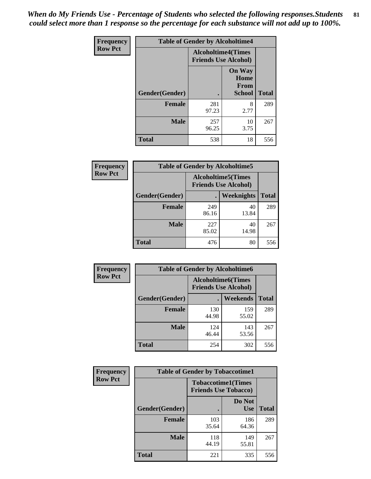*When do My Friends Use - Percentage of Students who selected the following responses.Students could select more than 1 response so the percentage for each substance will not add up to 100%.* **81**

| <b>Frequency</b> | <b>Table of Gender by Alcoholtime4</b> |                           |                                                       |              |
|------------------|----------------------------------------|---------------------------|-------------------------------------------------------|--------------|
| <b>Row Pct</b>   |                                        | <b>Alcoholtime4(Times</b> | <b>Friends Use Alcohol)</b>                           |              |
|                  | Gender(Gender)                         |                           | <b>On Way</b><br>Home<br><b>From</b><br><b>School</b> | <b>Total</b> |
|                  | <b>Female</b>                          | 281<br>97.23              | 8<br>2.77                                             | 289          |
|                  | <b>Male</b>                            | 257<br>96.25              | 10<br>3.75                                            | 267          |
|                  | <b>Total</b>                           | 538                       | 18                                                    | 556          |

| <b>Frequency</b> | <b>Table of Gender by Alcoholtime5</b> |                                                          |             |              |
|------------------|----------------------------------------|----------------------------------------------------------|-------------|--------------|
| <b>Row Pct</b>   |                                        | <b>Alcoholtime5(Times</b><br><b>Friends Use Alcohol)</b> |             |              |
|                  | Gender(Gender)                         |                                                          | Weeknights  | <b>Total</b> |
|                  | <b>Female</b>                          | 249<br>86.16                                             | 40<br>13.84 | 289          |
|                  | <b>Male</b>                            | 227<br>85.02                                             | 40<br>14.98 | 267          |
|                  | <b>Total</b>                           | 476                                                      | 80          | 556          |

| <b>Frequency</b> | <b>Table of Gender by Alcoholtime6</b> |                                                           |              |              |  |
|------------------|----------------------------------------|-----------------------------------------------------------|--------------|--------------|--|
| <b>Row Pct</b>   |                                        | <b>Alcoholtime6</b> (Times<br><b>Friends Use Alcohol)</b> |              |              |  |
|                  | Gender(Gender)                         |                                                           | Weekends     | <b>Total</b> |  |
|                  | <b>Female</b>                          | 130<br>44.98                                              | 159<br>55.02 | 289          |  |
|                  | <b>Male</b>                            | 124<br>46.44                                              | 143<br>53.56 | 267          |  |
|                  | <b>Total</b>                           | 254                                                       | 302          | 556          |  |

| Frequency      | <b>Table of Gender by Tobaccotime1</b> |                                                          |                      |              |
|----------------|----------------------------------------|----------------------------------------------------------|----------------------|--------------|
| <b>Row Pct</b> |                                        | <b>Tobaccotime1(Times</b><br><b>Friends Use Tobacco)</b> |                      |              |
|                | Gender(Gender)                         |                                                          | Do Not<br><b>Use</b> | <b>Total</b> |
|                | Female                                 | 103<br>35.64                                             | 186<br>64.36         | 289          |
|                | <b>Male</b>                            | 118<br>44.19                                             | 149<br>55.81         | 267          |
|                | Total                                  | 221                                                      | 335                  | 556          |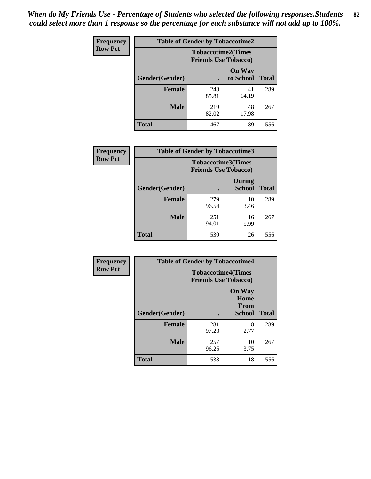*When do My Friends Use - Percentage of Students who selected the following responses.Students could select more than 1 response so the percentage for each substance will not add up to 100%.* **82**

| Frequency      | <b>Table of Gender by Tobaccotime2</b> |                                                          |                            |              |
|----------------|----------------------------------------|----------------------------------------------------------|----------------------------|--------------|
| <b>Row Pct</b> |                                        | <b>Tobaccotime2(Times</b><br><b>Friends Use Tobacco)</b> |                            |              |
|                | Gender(Gender)                         | $\bullet$                                                | <b>On Way</b><br>to School | <b>Total</b> |
|                | <b>Female</b>                          | 248<br>85.81                                             | 41<br>14.19                | 289          |
|                | <b>Male</b>                            | 219<br>82.02                                             | 48<br>17.98                | 267          |
|                | <b>Total</b>                           | 467                                                      | 89                         | 556          |

| Frequency      | <b>Table of Gender by Tobaccotime3</b> |                                                          |                                |              |
|----------------|----------------------------------------|----------------------------------------------------------|--------------------------------|--------------|
| <b>Row Pct</b> |                                        | <b>Tobaccotime3(Times</b><br><b>Friends Use Tobacco)</b> |                                |              |
|                | Gender(Gender)                         |                                                          | <b>During</b><br><b>School</b> | <b>Total</b> |
|                | Female                                 | 279<br>96.54                                             | 10<br>3.46                     | 289          |
|                | <b>Male</b>                            | 251<br>94.01                                             | 16<br>5.99                     | 267          |
|                | <b>Total</b>                           | 530                                                      | 26                             | 556          |

| <b>Frequency</b> | <b>Table of Gender by Tobaccotime4</b> |                                                          |                                                       |              |
|------------------|----------------------------------------|----------------------------------------------------------|-------------------------------------------------------|--------------|
| <b>Row Pct</b>   |                                        | <b>Tobaccotime4(Times</b><br><b>Friends Use Tobacco)</b> |                                                       |              |
|                  | Gender(Gender)                         |                                                          | <b>On Way</b><br>Home<br><b>From</b><br><b>School</b> | <b>Total</b> |
|                  | <b>Female</b>                          | 281<br>97.23                                             | 8<br>2.77                                             | 289          |
|                  | <b>Male</b>                            | 257<br>96.25                                             | 10<br>3.75                                            | 267          |
|                  | <b>Total</b>                           | 538                                                      | 18                                                    | 556          |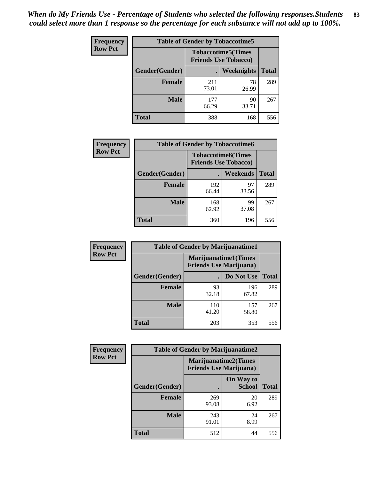| <b>Frequency</b> | <b>Table of Gender by Tobaccotime5</b> |              |                                                          |              |  |
|------------------|----------------------------------------|--------------|----------------------------------------------------------|--------------|--|
| <b>Row Pct</b>   |                                        |              | <b>Tobaccotime5(Times</b><br><b>Friends Use Tobacco)</b> |              |  |
|                  | Gender(Gender)                         |              | Weeknights                                               | <b>Total</b> |  |
|                  | <b>Female</b>                          | 211<br>73.01 | 78<br>26.99                                              | 289          |  |
|                  | <b>Male</b>                            | 177<br>66.29 | 90<br>33.71                                              | 267          |  |
|                  | <b>Total</b>                           | 388          | 168                                                      | 556          |  |

| Frequency      | <b>Table of Gender by Tobaccotime6</b> |                                                          |             |              |
|----------------|----------------------------------------|----------------------------------------------------------|-------------|--------------|
| <b>Row Pct</b> |                                        | <b>Tobaccotime6(Times</b><br><b>Friends Use Tobacco)</b> |             |              |
|                | Gender(Gender)                         |                                                          | Weekends    | <b>Total</b> |
|                | Female                                 | 192<br>66.44                                             | 97<br>33.56 | 289          |
|                | <b>Male</b>                            | 168<br>62.92                                             | 99<br>37.08 | 267          |
|                | <b>Total</b>                           | 360                                                      | 196         | 556          |

| <b>Frequency</b> | <b>Table of Gender by Marijuanatime1</b> |                                |                             |              |
|------------------|------------------------------------------|--------------------------------|-----------------------------|--------------|
| <b>Row Pct</b>   |                                          | <b>Friends Use Marijuana</b> ) | <b>Marijuanatime1(Times</b> |              |
|                  | Gender(Gender)                           |                                | Do Not Use                  | <b>Total</b> |
|                  | <b>Female</b>                            | 93<br>32.18                    | 196<br>67.82                | 289          |
|                  | <b>Male</b>                              | 110<br>41.20                   | 157<br>58.80                | 267          |
|                  | <b>Total</b>                             | 203                            | 353                         | 556          |

| <b>Frequency</b> | <b>Table of Gender by Marijuanatime2</b> |                                                        |                            |              |
|------------------|------------------------------------------|--------------------------------------------------------|----------------------------|--------------|
| <b>Row Pct</b>   |                                          | Marijuanatime2(Times<br><b>Friends Use Marijuana</b> ) |                            |              |
|                  | Gender(Gender)                           |                                                        | On Way to<br><b>School</b> | <b>Total</b> |
|                  | <b>Female</b>                            | 269<br>93.08                                           | 20<br>6.92                 | 289          |
|                  | <b>Male</b>                              | 243<br>91.01                                           | 24<br>8.99                 | 267          |
|                  | <b>Total</b>                             | 512                                                    | 44                         | 556          |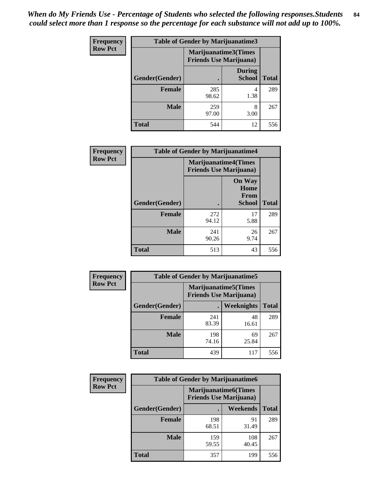| Frequency      | <b>Table of Gender by Marijuanatime3</b> |                                                        |                                |              |
|----------------|------------------------------------------|--------------------------------------------------------|--------------------------------|--------------|
| <b>Row Pct</b> |                                          | Marijuanatime3(Times<br><b>Friends Use Marijuana</b> ) |                                |              |
|                | <b>Gender</b> (Gender)                   |                                                        | <b>During</b><br><b>School</b> | <b>Total</b> |
|                | <b>Female</b>                            | 285<br>98.62                                           | 4<br>1.38                      | 289          |
|                | <b>Male</b>                              | 259<br>97.00                                           | 8<br>3.00                      | 267          |
|                | <b>Total</b>                             | 544                                                    | 12                             | 556          |

| Frequency      | <b>Table of Gender by Marijuanatime4</b> |                                                               |                                                |              |
|----------------|------------------------------------------|---------------------------------------------------------------|------------------------------------------------|--------------|
| <b>Row Pct</b> |                                          | <b>Marijuanatime4(Times</b><br><b>Friends Use Marijuana</b> ) |                                                |              |
|                | Gender(Gender)                           |                                                               | <b>On Way</b><br>Home<br>From<br><b>School</b> | <b>Total</b> |
|                | <b>Female</b>                            | 272<br>94.12                                                  | 17<br>5.88                                     | 289          |
|                | <b>Male</b>                              | 241<br>90.26                                                  | 26<br>9.74                                     | 267          |
|                | <b>Total</b>                             | 513                                                           | 43                                             | 556          |

| Frequency      | <b>Table of Gender by Marijuanatime5</b> |                                                                |                   |              |  |
|----------------|------------------------------------------|----------------------------------------------------------------|-------------------|--------------|--|
| <b>Row Pct</b> |                                          | <b>Marijuanatime5</b> (Times<br><b>Friends Use Marijuana</b> ) |                   |              |  |
|                | Gender(Gender)                           |                                                                | <b>Weeknights</b> | <b>Total</b> |  |
|                | <b>Female</b>                            | 241<br>83.39                                                   | 48<br>16.61       | 289          |  |
|                | <b>Male</b>                              | 198<br>74.16                                                   | 69<br>25.84       | 267          |  |
|                | <b>Total</b>                             | 439                                                            | 117               | 556          |  |

| Frequency      | <b>Table of Gender by Marijuanatime6</b> |                                                               |                 |              |
|----------------|------------------------------------------|---------------------------------------------------------------|-----------------|--------------|
| <b>Row Pct</b> |                                          | <b>Marijuanatime6(Times</b><br><b>Friends Use Marijuana</b> ) |                 |              |
|                | Gender(Gender)                           |                                                               | <b>Weekends</b> | <b>Total</b> |
|                | <b>Female</b>                            | 198<br>68.51                                                  | 91<br>31.49     | 289          |
|                | <b>Male</b>                              | 159<br>59.55                                                  | 108<br>40.45    | 267          |
|                | <b>Total</b>                             | 357                                                           | 199             | 556          |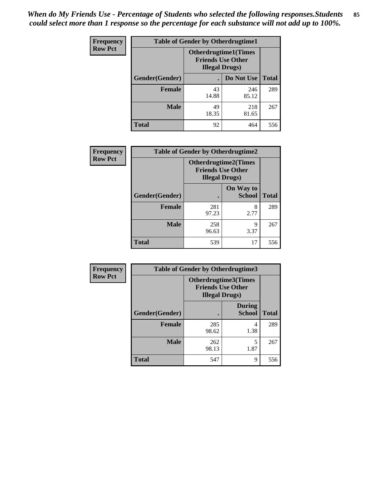| <b>Frequency</b> | <b>Table of Gender by Otherdrugtime1</b> |                        |                                                          |              |  |
|------------------|------------------------------------------|------------------------|----------------------------------------------------------|--------------|--|
| <b>Row Pct</b>   |                                          | <b>Illegal Drugs</b> ) | <b>Otherdrugtime1</b> (Times<br><b>Friends Use Other</b> |              |  |
|                  | Gender(Gender)                           |                        | Do Not Use                                               | <b>Total</b> |  |
|                  | <b>Female</b>                            | 43<br>14.88            | 246<br>85.12                                             | 289          |  |
|                  | <b>Male</b>                              | 49<br>18.35            | 218<br>81.65                                             | 267          |  |
|                  | <b>Total</b>                             | 92                     | 464                                                      | 556          |  |

| Frequency      | <b>Table of Gender by Otherdrugtime2</b> |                                                                                   |                            |              |
|----------------|------------------------------------------|-----------------------------------------------------------------------------------|----------------------------|--------------|
| <b>Row Pct</b> |                                          | <b>Otherdrugtime2(Times</b><br><b>Friends Use Other</b><br><b>Illegal Drugs</b> ) |                            |              |
|                | Gender(Gender)                           |                                                                                   | On Way to<br><b>School</b> | <b>Total</b> |
|                | <b>Female</b>                            | 281<br>97.23                                                                      | 8<br>2.77                  | 289          |
|                | <b>Male</b>                              | 258<br>96.63                                                                      | 9<br>3.37                  | 267          |
|                | <b>Total</b>                             | 539                                                                               | 17                         | 556          |

| Frequency      | <b>Table of Gender by Otherdrugtime3</b> |                        |                                                         |              |
|----------------|------------------------------------------|------------------------|---------------------------------------------------------|--------------|
| <b>Row Pct</b> |                                          | <b>Illegal Drugs</b> ) | <b>Otherdrugtime3(Times</b><br><b>Friends Use Other</b> |              |
|                | Gender(Gender)                           |                        | <b>During</b><br><b>School</b>                          | <b>Total</b> |
|                | <b>Female</b>                            | 285<br>98.62           | 4<br>1.38                                               | 289          |
|                | <b>Male</b>                              | 262<br>98.13           | 5<br>1.87                                               | 267          |
|                | <b>Total</b>                             | 547                    | 9                                                       | 556          |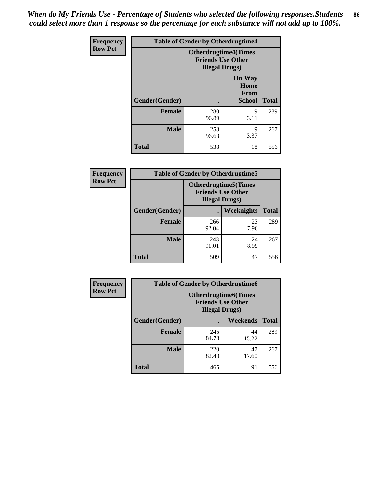*When do My Friends Use - Percentage of Students who selected the following responses.Students could select more than 1 response so the percentage for each substance will not add up to 100%.* **86**

| <b>Frequency</b> | <b>Table of Gender by Otherdrugtime4</b> |                                                    |                                                |              |
|------------------|------------------------------------------|----------------------------------------------------|------------------------------------------------|--------------|
| <b>Row Pct</b>   |                                          | <b>Friends Use Other</b><br><b>Illegal Drugs</b> ) | <b>Otherdrugtime4(Times</b>                    |              |
|                  | Gender(Gender)                           |                                                    | <b>On Way</b><br>Home<br><b>From</b><br>School | <b>Total</b> |
|                  | <b>Female</b>                            | 280<br>96.89                                       | Q<br>3.11                                      | 289          |
|                  | <b>Male</b>                              | 258<br>96.63                                       | 9<br>3.37                                      | 267          |
|                  | <b>Total</b>                             | 538                                                | 18                                             | 556          |

| Frequency      | <b>Table of Gender by Otherdrugtime5</b> |                                                                                    |            |              |
|----------------|------------------------------------------|------------------------------------------------------------------------------------|------------|--------------|
| <b>Row Pct</b> |                                          | <b>Otherdrugtime5</b> (Times<br><b>Friends Use Other</b><br><b>Illegal Drugs</b> ) |            |              |
|                | Gender(Gender)                           |                                                                                    | Weeknights | <b>Total</b> |
|                | <b>Female</b>                            | 266<br>92.04                                                                       | 23<br>7.96 | 289          |
|                | <b>Male</b>                              | 243<br>91.01                                                                       | 24<br>8.99 | 267          |
|                | <b>Total</b>                             | 509                                                                                | 47         | 556          |

| <b>Frequency</b> | <b>Table of Gender by Otherdrugtime6</b> |                                                                                   |             |              |
|------------------|------------------------------------------|-----------------------------------------------------------------------------------|-------------|--------------|
| <b>Row Pct</b>   |                                          | <b>Otherdrugtime6(Times</b><br><b>Friends Use Other</b><br><b>Illegal Drugs</b> ) |             |              |
|                  | Gender(Gender)                           |                                                                                   | Weekends    | <b>Total</b> |
|                  | <b>Female</b>                            | 245<br>84.78                                                                      | 44<br>15.22 | 289          |
|                  | <b>Male</b>                              | 220<br>82.40                                                                      | 47<br>17.60 | 267          |
|                  | <b>Total</b>                             | 465                                                                               | 91          | 556          |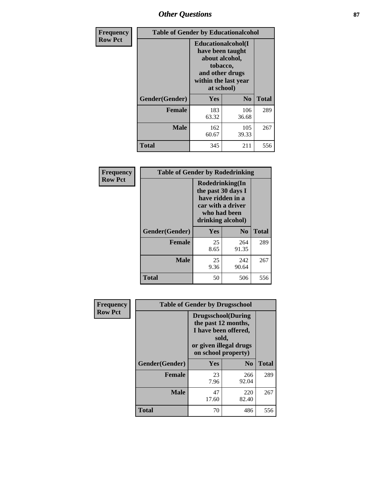# *Other Questions* **87**

| <b>Frequency</b> | <b>Table of Gender by Educationalcohol</b> |                                                                                                                                       |                |              |  |
|------------------|--------------------------------------------|---------------------------------------------------------------------------------------------------------------------------------------|----------------|--------------|--|
| <b>Row Pct</b>   |                                            | <b>Educationalcohol</b> (I<br>have been taught<br>about alcohol,<br>tobacco,<br>and other drugs<br>within the last year<br>at school) |                |              |  |
|                  | Gender(Gender)                             | <b>Yes</b>                                                                                                                            | N <sub>0</sub> | <b>Total</b> |  |
|                  | <b>Female</b>                              | 183<br>63.32                                                                                                                          | 106<br>36.68   | 289          |  |
|                  | <b>Male</b>                                | 162<br>60.67                                                                                                                          | 105<br>39.33   | 267          |  |
|                  | <b>Total</b>                               | 345                                                                                                                                   | 211            | 556          |  |

| Frequency      | <b>Table of Gender by Rodedrinking</b> |                                                                                                                     |              |              |  |
|----------------|----------------------------------------|---------------------------------------------------------------------------------------------------------------------|--------------|--------------|--|
| <b>Row Pct</b> |                                        | Rodedrinking(In<br>the past 30 days I<br>have ridden in a<br>car with a driver<br>who had been<br>drinking alcohol) |              |              |  |
|                | Gender(Gender)                         | Yes<br>$\bf N_0$                                                                                                    |              | <b>Total</b> |  |
|                | <b>Female</b>                          | 25<br>8.65                                                                                                          | 264<br>91.35 | 289          |  |
|                | <b>Male</b>                            | 25<br>9.36                                                                                                          | 242<br>90.64 | 267          |  |
|                | <b>Total</b>                           | 50                                                                                                                  | 506          | 556          |  |

| Frequency      | <b>Table of Gender by Drugsschool</b> |                                                                                                                                     |                |              |  |
|----------------|---------------------------------------|-------------------------------------------------------------------------------------------------------------------------------------|----------------|--------------|--|
| <b>Row Pct</b> |                                       | <b>Drugsschool</b> (During<br>the past 12 months,<br>I have been offered,<br>sold,<br>or given illegal drugs<br>on school property) |                |              |  |
|                | Gender(Gender)                        | Yes                                                                                                                                 | N <sub>0</sub> | <b>Total</b> |  |
|                | <b>Female</b>                         | 23<br>7.96                                                                                                                          | 266<br>92.04   | 289          |  |
|                | <b>Male</b>                           | 47<br>17.60                                                                                                                         | 220<br>82.40   | 267          |  |
|                | <b>Total</b>                          | 70                                                                                                                                  | 486            | 556          |  |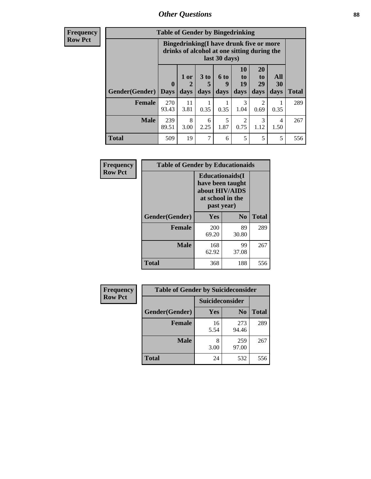# *Other Questions* **88**

**Frequency Row Pct**

| <b>Table of Gender by Bingedrinking</b> |                         |                                                                                                         |                   |                   |                        |                               |                   |              |
|-----------------------------------------|-------------------------|---------------------------------------------------------------------------------------------------------|-------------------|-------------------|------------------------|-------------------------------|-------------------|--------------|
|                                         |                         | Bingedrinking(I have drunk five or more<br>drinks of alcohol at one sitting during the<br>last 30 days) |                   |                   |                        |                               |                   |              |
| <b>Gender</b> (Gender)                  | $\bf{0}$<br><b>Days</b> | 1 or<br>days                                                                                            | 3 to<br>5<br>days | 6 to<br>q<br>days | 10<br>to<br>19<br>days | <b>20</b><br>to<br>29<br>days | All<br>30<br>days | <b>Total</b> |
| <b>Female</b>                           | 270<br>93.43            | 11<br>3.81                                                                                              | 0.35              | 0.35              | 3<br>1.04              | 2<br>0.69                     | 0.35              | 289          |
| <b>Male</b>                             | 239<br>89.51            | 8<br>3.00                                                                                               | 6<br>2.25         | 5<br>1.87         | 2<br>0.75              | 3<br>1.12                     | 4<br>1.50         | 267          |
| <b>Total</b>                            |                         |                                                                                                         |                   |                   |                        |                               |                   |              |

| Frequency      | <b>Table of Gender by Educationaids</b> |                                                                                                 |             |              |  |
|----------------|-----------------------------------------|-------------------------------------------------------------------------------------------------|-------------|--------------|--|
| <b>Row Pct</b> |                                         | <b>Educationaids</b> (I<br>have been taught<br>about HIV/AIDS<br>at school in the<br>past year) |             |              |  |
|                | Gender(Gender)                          | Yes                                                                                             | $\bf N_0$   | <b>Total</b> |  |
|                | <b>Female</b>                           | 200<br>69.20                                                                                    | 89<br>30.80 | 289          |  |
|                | <b>Male</b>                             | 168<br>62.92                                                                                    | 99<br>37.08 | 267          |  |
|                | <b>Total</b>                            | 368                                                                                             | 188         | 556          |  |

| <b>Frequency</b> | <b>Table of Gender by Suicideconsider</b> |                        |                |       |  |
|------------------|-------------------------------------------|------------------------|----------------|-------|--|
| <b>Row Pct</b>   |                                           | <b>Suicideconsider</b> |                |       |  |
|                  | Gender(Gender)                            | Yes                    | N <sub>0</sub> | Total |  |
|                  | <b>Female</b>                             | 16<br>5.54             | 273<br>94.46   | 289   |  |
|                  | <b>Male</b>                               | 8<br>3.00              | 259<br>97.00   | 267   |  |
|                  | <b>Total</b>                              | 24                     | 532            | 556   |  |